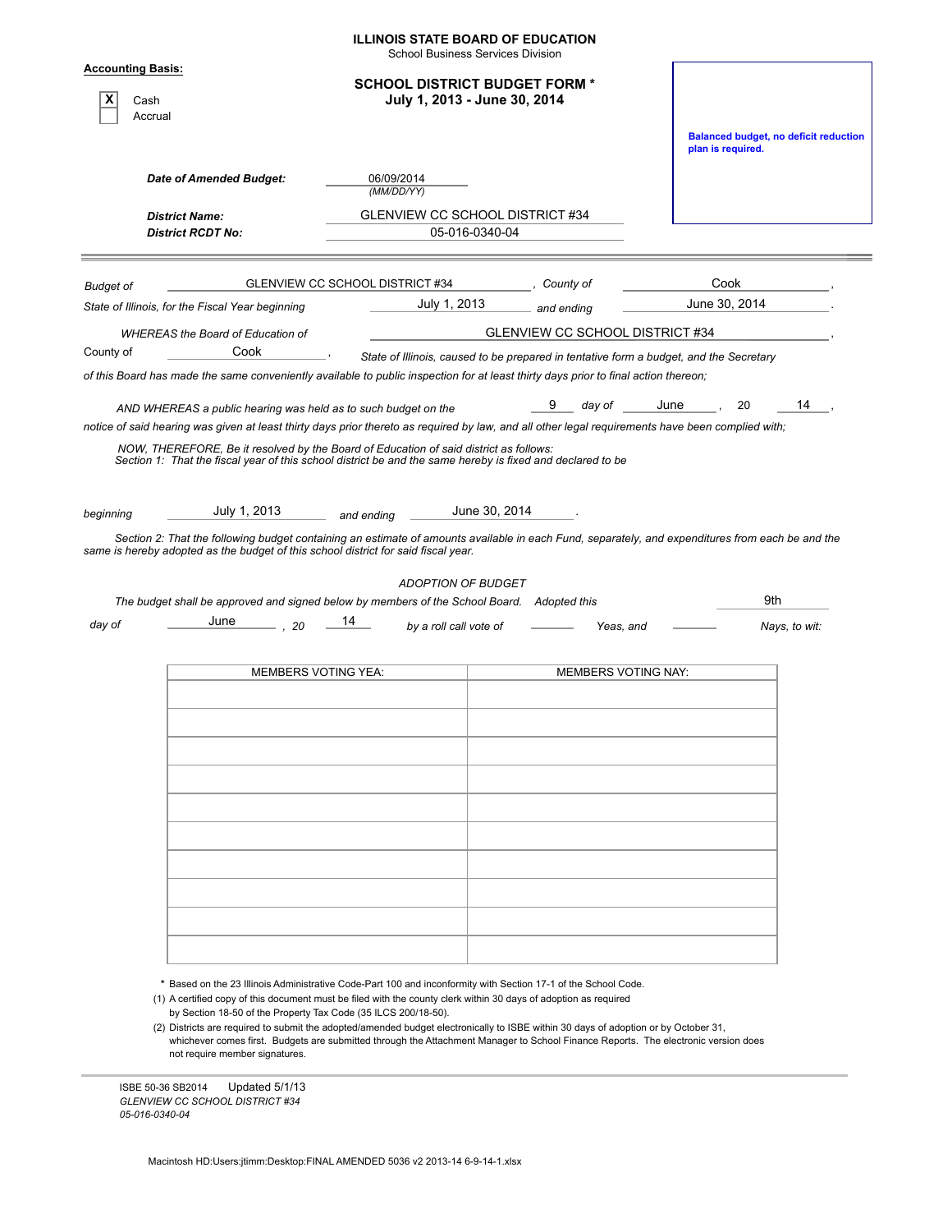| <b>Date of Amended Budget:</b><br><b>District Name:</b><br><b>District RCDT No:</b> | <b>SCHOOL DISTRICT BUDGET FORM *</b><br>06/09/2014<br>(MM/DD/YY)                                     | July 1, 2013 - June 30, 2014                      |                                                                                                                                                                                                                                              | plan is required.                                                                                                                                                                                                                                                                                                         | <b>Balanced budget, no deficit reduction</b>                                                                                                                                                                                                                                                                                                                                                                                                                                                                                                                                                                               |
|-------------------------------------------------------------------------------------|------------------------------------------------------------------------------------------------------|---------------------------------------------------|----------------------------------------------------------------------------------------------------------------------------------------------------------------------------------------------------------------------------------------------|---------------------------------------------------------------------------------------------------------------------------------------------------------------------------------------------------------------------------------------------------------------------------------------------------------------------------|----------------------------------------------------------------------------------------------------------------------------------------------------------------------------------------------------------------------------------------------------------------------------------------------------------------------------------------------------------------------------------------------------------------------------------------------------------------------------------------------------------------------------------------------------------------------------------------------------------------------------|
|                                                                                     |                                                                                                      |                                                   |                                                                                                                                                                                                                                              |                                                                                                                                                                                                                                                                                                                           |                                                                                                                                                                                                                                                                                                                                                                                                                                                                                                                                                                                                                            |
|                                                                                     |                                                                                                      |                                                   |                                                                                                                                                                                                                                              |                                                                                                                                                                                                                                                                                                                           |                                                                                                                                                                                                                                                                                                                                                                                                                                                                                                                                                                                                                            |
|                                                                                     |                                                                                                      |                                                   |                                                                                                                                                                                                                                              |                                                                                                                                                                                                                                                                                                                           |                                                                                                                                                                                                                                                                                                                                                                                                                                                                                                                                                                                                                            |
|                                                                                     |                                                                                                      | GLENVIEW CC SCHOOL DISTRICT #34<br>05-016-0340-04 |                                                                                                                                                                                                                                              |                                                                                                                                                                                                                                                                                                                           |                                                                                                                                                                                                                                                                                                                                                                                                                                                                                                                                                                                                                            |
|                                                                                     | GLENVIEW CC SCHOOL DISTRICT #34                                                                      |                                                   | , County of                                                                                                                                                                                                                                  | Cook                                                                                                                                                                                                                                                                                                                      |                                                                                                                                                                                                                                                                                                                                                                                                                                                                                                                                                                                                                            |
|                                                                                     |                                                                                                      |                                                   |                                                                                                                                                                                                                                              | June 30, 2014                                                                                                                                                                                                                                                                                                             |                                                                                                                                                                                                                                                                                                                                                                                                                                                                                                                                                                                                                            |
|                                                                                     |                                                                                                      |                                                   |                                                                                                                                                                                                                                              |                                                                                                                                                                                                                                                                                                                           |                                                                                                                                                                                                                                                                                                                                                                                                                                                                                                                                                                                                                            |
|                                                                                     |                                                                                                      |                                                   |                                                                                                                                                                                                                                              |                                                                                                                                                                                                                                                                                                                           |                                                                                                                                                                                                                                                                                                                                                                                                                                                                                                                                                                                                                            |
|                                                                                     |                                                                                                      |                                                   | 9                                                                                                                                                                                                                                            | June                                                                                                                                                                                                                                                                                                                      | 14                                                                                                                                                                                                                                                                                                                                                                                                                                                                                                                                                                                                                         |
| July 1, 2013                                                                        | and ending                                                                                           |                                                   |                                                                                                                                                                                                                                              |                                                                                                                                                                                                                                                                                                                           | 9th                                                                                                                                                                                                                                                                                                                                                                                                                                                                                                                                                                                                                        |
| June<br>, 20                                                                        | 14                                                                                                   |                                                   |                                                                                                                                                                                                                                              |                                                                                                                                                                                                                                                                                                                           | Nays, to wit:                                                                                                                                                                                                                                                                                                                                                                                                                                                                                                                                                                                                              |
|                                                                                     |                                                                                                      |                                                   |                                                                                                                                                                                                                                              |                                                                                                                                                                                                                                                                                                                           |                                                                                                                                                                                                                                                                                                                                                                                                                                                                                                                                                                                                                            |
|                                                                                     | State of Illinois, for the Fiscal Year beginning<br><b>WHEREAS the Board of Education of</b><br>Cook | <b>MEMBERS VOTING YEA:</b>                        | July 1, 2013<br>AND WHEREAS a public hearing was held as to such budget on the<br>June 30, 2014<br>same is hereby adopted as the budget of this school district for said fiscal year.<br><b>ADOPTION OF BUDGET</b><br>by a roll call vote of | and ending<br>day of<br>NOW, THEREFORE, Be it resolved by the Board of Education of said district as follows:<br>Section 1: That the fiscal year of this school district be and the same hereby is fixed and declared to be<br>The budget shall be approved and signed below by members of the School Board. Adopted this | GLENVIEW CC SCHOOL DISTRICT #34<br>State of Illinois, caused to be prepared in tentative form a budget, and the Secretary<br>of this Board has made the same conveniently available to public inspection for at least thirty days prior to final action thereon;<br>20<br>notice of said hearing was given at least thirty days prior thereto as required by law, and all other legal requirements have been complied with;<br>Section 2: That the following budget containing an estimate of amounts available in each Fund, separately, and expenditures from each be and the<br>Yeas, and<br><b>MEMBERS VOTING NAY:</b> |

\* Based on the 23 Illinois Administrative Code-Part 100 and inconformity with Section 17-1 of the School Code.

(1) A certified copy of this document must be filed with the county clerk within 30 days of adoption as required by Section 18-50 of the Property Tax Code (35 ILCS 200/18-50).

(2) Districts are required to submit the adopted/amended budget electronically to ISBE within 30 days of adoption or by October 31, whichever comes first. Budgets are submitted through the Attachment Manager to School Finance Reports. The electronic version does not require member signatures.

ISBE 50-36 SB2014 Updated 5/1/13 *GLENVIEW CC SCHOOL DISTRICT #34 05-016-0340-04*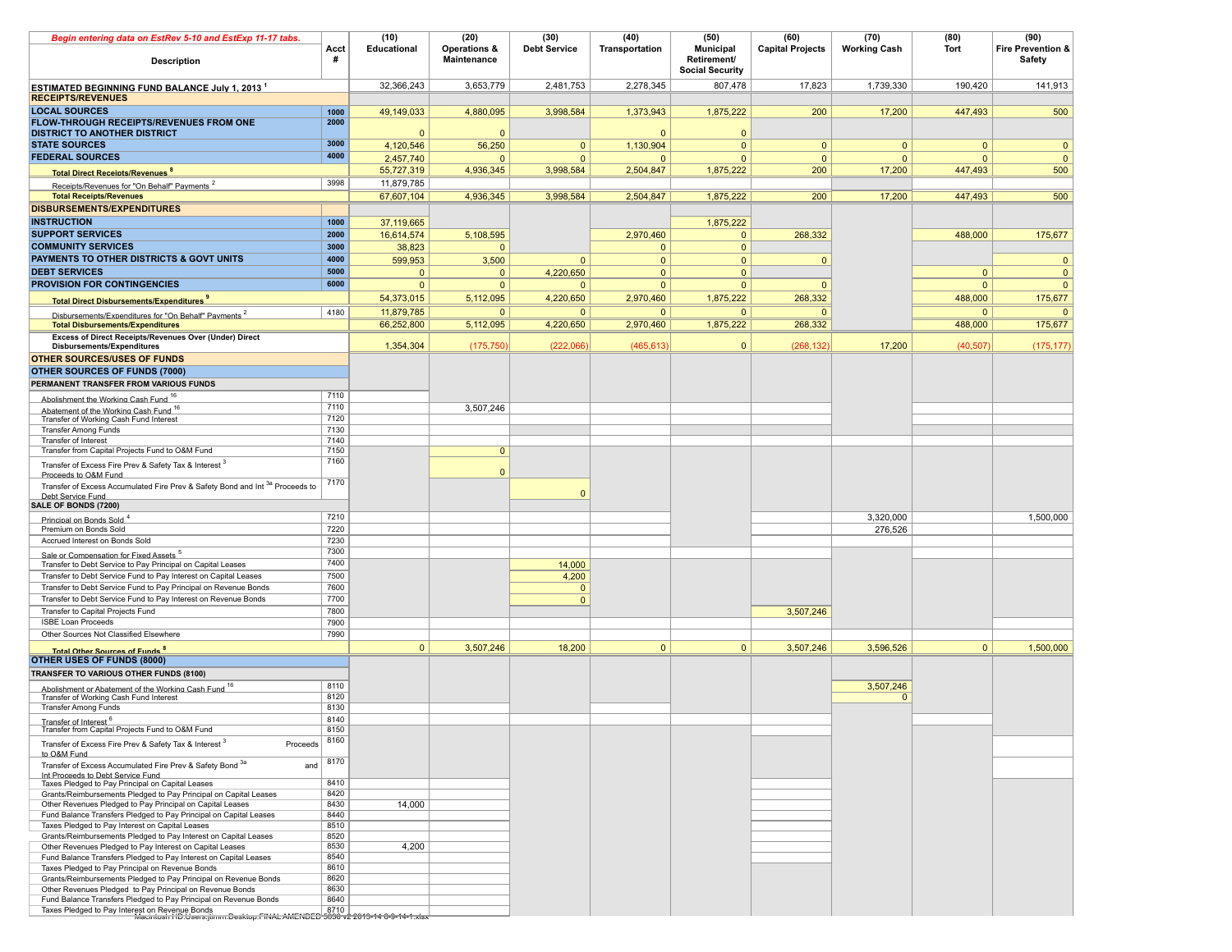| Begin entering data on EstRev 5-10 and EstExp 11-17 tabs.                                                                          |              | (10)         | (20)                        | (30)                           | (40)           | (50)                                                      | (60)                    | (70)                | (80)         | (90)                                   |
|------------------------------------------------------------------------------------------------------------------------------------|--------------|--------------|-----------------------------|--------------------------------|----------------|-----------------------------------------------------------|-------------------------|---------------------|--------------|----------------------------------------|
| Description                                                                                                                        | Acct<br>#    | Educational  | Operations &<br>Maintenance | <b>Debt Service</b>            | Transportation | <b>Municipal</b><br>Retirement/<br><b>Social Security</b> | <b>Capital Projects</b> | <b>Working Cash</b> | Tort         | <b>Fire Prevention &amp;</b><br>Safety |
| <b>ESTIMATED BEGINNING FUND BALANCE July 1. 2013 1</b>                                                                             |              | 32.366.243   | 3,653,779                   | 2,481,753                      | 2,278,345      | 807,478                                                   | 17,823                  | 1,739,330           | 190,420      | 141,913                                |
| <b>RECEIPTS/REVENUES</b>                                                                                                           |              |              |                             |                                |                |                                                           |                         |                     |              |                                        |
| <b>LOCAL SOURCES</b><br>FLOW-THROUGH RECEIPTS/REVENUES FROM ONE                                                                    | 1000<br>2000 | 49,149,033   | 4,880,095                   | 3,998,584                      | 1,373,943      | 1,875,222                                                 | 200                     | 17,200              | 447,493      | 500                                    |
| <b>DISTRICT TO ANOTHER DISTRICT</b>                                                                                                |              | $\Omega$     | $\Omega$                    |                                | $\Omega$       | $\mathbf 0$                                               |                         |                     |              |                                        |
| <b>STATE SOURCES</b>                                                                                                               | 3000         | 4,120,546    | 56,250                      | $\Omega$                       | 1,130,904      | $\overline{0}$                                            | $\mathbf{0}$            | $\overline{0}$      | $\mathbf{0}$ | $\overline{0}$                         |
| <b>FEDERAL SOURCES</b>                                                                                                             | 4000         | 2,457,740    | $\Omega$                    | $\Omega$                       | $\Omega$       | $\Omega$                                                  | $\mathbf{0}$            | $\overline{0}$      | $\mathbf{0}$ | $\overline{0}$                         |
| <b>Total Direct Receints/Revenues<sup>8</sup></b>                                                                                  |              | 55,727,319   | 4,936,345                   | 3,998,584                      | 2,504,847      | 1,875,222                                                 | 200                     | 17,200              | 447,493      | 500                                    |
| Receipts/Revenues for "On Behalf" Payments <sup>2</sup>                                                                            | 3998         | 11,879,785   |                             |                                |                |                                                           |                         |                     |              |                                        |
| <b>Total Receipts/Revenues</b>                                                                                                     |              | 67,607,104   | 4,936,345                   | 3,998,584                      | 2,504,847      | 1,875,222                                                 | 200                     | 17,200              | 447,493      | 500                                    |
| <b>DISBURSEMENTS/EXPENDITURES</b>                                                                                                  |              |              |                             |                                |                |                                                           |                         |                     |              |                                        |
| <b>INSTRUCTION</b>                                                                                                                 | 1000         | 37,119,665   |                             |                                |                | 1,875,222                                                 |                         |                     |              |                                        |
| <b>SUPPORT SERVICES</b>                                                                                                            | 2000         | 16,614,574   | 5,108,595                   |                                | 2,970,460      | $\mathbf 0$                                               | 268,332                 |                     | 488,000      | 175,677                                |
| <b>COMMUNITY SERVICES</b>                                                                                                          | 3000         | 38,823       |                             |                                | $\mathbf{0}$   | $\mathbf 0$                                               |                         |                     |              |                                        |
| PAYMENTS TO OTHER DISTRICTS & GOVT UNITS                                                                                           | 4000         | 599,953      | 3,500                       | $\Omega$                       | $\mathbf{0}$   | $\mathbf 0$                                               | $\mathbf{0}$            |                     |              | $\mathbf{0}$                           |
| <b>DEBT SERVICES</b>                                                                                                               | 5000         | $\mathbf{0}$ | $\Omega$                    | 4,220,650                      | $\mathbf{0}$   | $\mathbf 0$                                               |                         |                     | $\mathbf{0}$ | $\overline{0}$                         |
| <b>PROVISION FOR CONTINGENCIES</b>                                                                                                 | 6000         | $\mathbf{0}$ | $\Omega$                    | $\Omega$                       | $\mathbf{0}$   | $\mathbf 0$                                               | $\mathbf{0}$            |                     | $\mathbf{0}$ | $\mathbf{0}$                           |
| <b>Total Direct Disbursements/Expenditures 9</b>                                                                                   |              | 54,373,015   | 5,112,095                   | 4,220,650                      | 2,970,460      | 1,875,222                                                 | 268,332                 |                     | 488,000      | 175,677                                |
| Disbursements/Expenditures for "On Behalf" Payments <sup>2</sup>                                                                   | 4180         | 11,879,785   | $\mathbf{0}$                | $\Omega$                       | $\mathbf{0}$   | $\mathbf{0}$                                              | $\Omega$                |                     | $\mathbf{0}$ | $\Omega$                               |
| <b>Total Disbursements/Expenditures</b>                                                                                            |              | 66,252,800   | 5,112,095                   | 4,220,650                      | 2,970,460      | 1,875,222                                                 | 268,332                 |                     | 488,000      | 175,677                                |
| Excess of Direct Receipts/Revenues Over (Under) Direct                                                                             |              |              |                             |                                |                |                                                           |                         |                     |              |                                        |
| Disbursements/Expenditures                                                                                                         |              | 1,354,304    | (175, 750)                  | (222,066)                      | (465, 613)     | $\mathbf 0$                                               | (268, 132)              | 17,200              | (40, 507)    | (175, 177)                             |
| <b>OTHER SOURCES/USES OF FUNDS</b>                                                                                                 |              |              |                             |                                |                |                                                           |                         |                     |              |                                        |
| OTHER SOURCES OF FUNDS (7000)                                                                                                      |              |              |                             |                                |                |                                                           |                         |                     |              |                                        |
| PERMANENT TRANSFER FROM VARIOUS FUNDS                                                                                              | 7110         |              |                             |                                |                |                                                           |                         |                     |              |                                        |
| Abolishment the Working Cash Fund <sup>16</sup>                                                                                    | 7110         |              | 3.507.246                   |                                |                |                                                           |                         |                     |              |                                        |
| Abatement of the Working Cash Fund <sup>16</sup><br>Transfer of Working Cash Fund Interest                                         | 7120         |              |                             |                                |                |                                                           |                         |                     |              |                                        |
| <b>Transfer Among Funds</b>                                                                                                        | 7130         |              |                             |                                |                |                                                           |                         |                     |              |                                        |
| Transfer of Interest                                                                                                               | 7140         |              |                             |                                |                |                                                           |                         |                     |              |                                        |
| Transfer from Capital Projects Fund to O&M Fund                                                                                    | 7150         |              | $\mathbf{0}$                |                                |                |                                                           |                         |                     |              |                                        |
| Transfer of Excess Fire Prev & Safety Tax & Interest 3                                                                             | 7160         |              | $\Omega$                    |                                |                |                                                           |                         |                     |              |                                        |
| Proceeds to O&M Fund                                                                                                               | 7170         |              |                             |                                |                |                                                           |                         |                     |              |                                        |
| Transfer of Excess Accumulated Fire Prev & Safety Bond and Int <sup>3a</sup> Proceeds to<br>Debt Service Fund                      |              |              |                             | $\Omega$                       |                |                                                           |                         |                     |              |                                        |
| SALE OF BONDS (7200)                                                                                                               |              |              |                             |                                |                |                                                           |                         |                     |              |                                        |
| Principal on Bonds Sold <sup>4</sup>                                                                                               | 7210         |              |                             |                                |                |                                                           |                         | 3,320,000           |              | 1,500,000                              |
| Premium on Bonds Sold                                                                                                              | 7220         |              |                             |                                |                |                                                           |                         | 276,526             |              |                                        |
| Accrued Interest on Bonds Sold                                                                                                     | 7230         |              |                             |                                |                |                                                           |                         |                     |              |                                        |
| Sale or Compensation for Fixed Assets <sup>5</sup>                                                                                 | 7300         |              |                             |                                |                |                                                           |                         |                     |              |                                        |
| Transfer to Debt Service to Pay Principal on Capital Leases                                                                        | 7400         |              |                             | 14,000                         |                |                                                           |                         |                     |              |                                        |
| Transfer to Debt Service Fund to Pay Interest on Capital Leases<br>Transfer to Debt Service Fund to Pay Principal on Revenue Bonds | 7500<br>7600 |              |                             | 4,200                          |                |                                                           |                         |                     |              |                                        |
| Transfer to Debt Service Fund to Pay Interest on Revenue Bonds                                                                     | 7700         |              |                             | $\overline{0}$<br>$\mathbf{0}$ |                |                                                           |                         |                     |              |                                        |
| Transfer to Capital Projects Fund                                                                                                  | 7800         |              |                             |                                |                |                                                           | 3,507,246               |                     |              |                                        |
| <b>ISBE Loan Proceeds</b>                                                                                                          | 7900         |              |                             |                                |                |                                                           |                         |                     |              |                                        |
| Other Sources Not Classified Elsewhere                                                                                             | 7990         |              |                             |                                |                |                                                           |                         |                     |              |                                        |
| <b>Total Other Sources of Funds<sup>8</sup></b>                                                                                    |              | $\mathbf{0}$ | 3,507,246                   | 18,200                         | $\mathbf{0}$   | $\mathbf 0$                                               | 3,507,246               | 3,596,526           | $\mathbf{0}$ | 1,500,000                              |
| OTHER USES OF FUNDS (8000)                                                                                                         |              |              |                             |                                |                |                                                           |                         |                     |              |                                        |
| TRANSFER TO VARIOUS OTHER FUNDS (8100)                                                                                             |              |              |                             |                                |                |                                                           |                         |                     |              |                                        |
| Abolishment or Abatement of the Working Cash Fund 16                                                                               | 8110         |              |                             |                                |                |                                                           |                         | 3,507,246           |              |                                        |
| Transfer of Working Cash Fund Interest                                                                                             | 8120         |              |                             |                                |                |                                                           |                         | $\Omega$            |              |                                        |
| <b>Transfer Among Funds</b>                                                                                                        | 8130         |              |                             |                                |                |                                                           |                         |                     |              |                                        |
| Transfer of Interest <sup>6</sup><br>Transfer from Capital Projects Fund to O&M Fund                                               | 8140<br>8150 |              |                             |                                |                |                                                           |                         |                     |              |                                        |
|                                                                                                                                    | 8160         |              |                             |                                |                |                                                           |                         |                     |              |                                        |
| Transfer of Excess Fire Prev & Safety Tax & Interest 3<br>Proceeds<br>to O&M Fund                                                  | 8170         |              |                             |                                |                |                                                           |                         |                     |              |                                        |
| Transfer of Excess Accumulated Fire Prev & Safety Bond 3a<br>and<br>Int Proceeds to Debt Service Fund                              |              |              |                             |                                |                |                                                           |                         |                     |              |                                        |
| Taxes Pledged to Pay Principal on Capital Leases                                                                                   | 8410         |              |                             |                                |                |                                                           |                         |                     |              |                                        |
| Grants/Reimbursements Pledged to Pay Principal on Capital Leases                                                                   | 8420         |              |                             |                                |                |                                                           |                         |                     |              |                                        |
| Other Revenues Pledged to Pay Principal on Capital Leases<br>Fund Balance Transfers Pledged to Pay Principal on Capital Leases     | 8430<br>8440 | 14,000       |                             |                                |                |                                                           |                         |                     |              |                                        |
| Taxes Pledged to Pay Interest on Capital Leases                                                                                    | 8510         |              |                             |                                |                |                                                           |                         |                     |              |                                        |
| Grants/Reimbursements Pledged to Pay Interest on Capital Leases                                                                    | 8520         |              |                             |                                |                |                                                           |                         |                     |              |                                        |
| Other Revenues Pledged to Pay Interest on Capital Leases                                                                           | 8530         | 4,200        |                             |                                |                |                                                           |                         |                     |              |                                        |
| Fund Balance Transfers Pledged to Pay Interest on Capital Leases<br>Taxes Pledged to Pay Principal on Revenue Bonds                | 8540<br>8610 |              |                             |                                |                |                                                           |                         |                     |              |                                        |
| Grants/Reimbursements Pledged to Pay Principal on Revenue Bonds                                                                    | 8620         |              |                             |                                |                |                                                           |                         |                     |              |                                        |
| Other Revenues Pledged to Pay Principal on Revenue Bonds                                                                           | 8630         |              |                             |                                |                |                                                           |                         |                     |              |                                        |
| Fund Balance Transfers Pledged to Pay Principal on Revenue Bonds                                                                   | 8640         |              |                             |                                |                |                                                           |                         |                     |              |                                        |
| Taxes Pledged to Pay Interest on Revenue Bonds<br>Maciniosh HD:Users:jtimm:Desktop:FINAL AMENDED 5036 v2 2013-14-6-9-14-1.xlsx     |              |              |                             |                                |                |                                                           |                         |                     |              |                                        |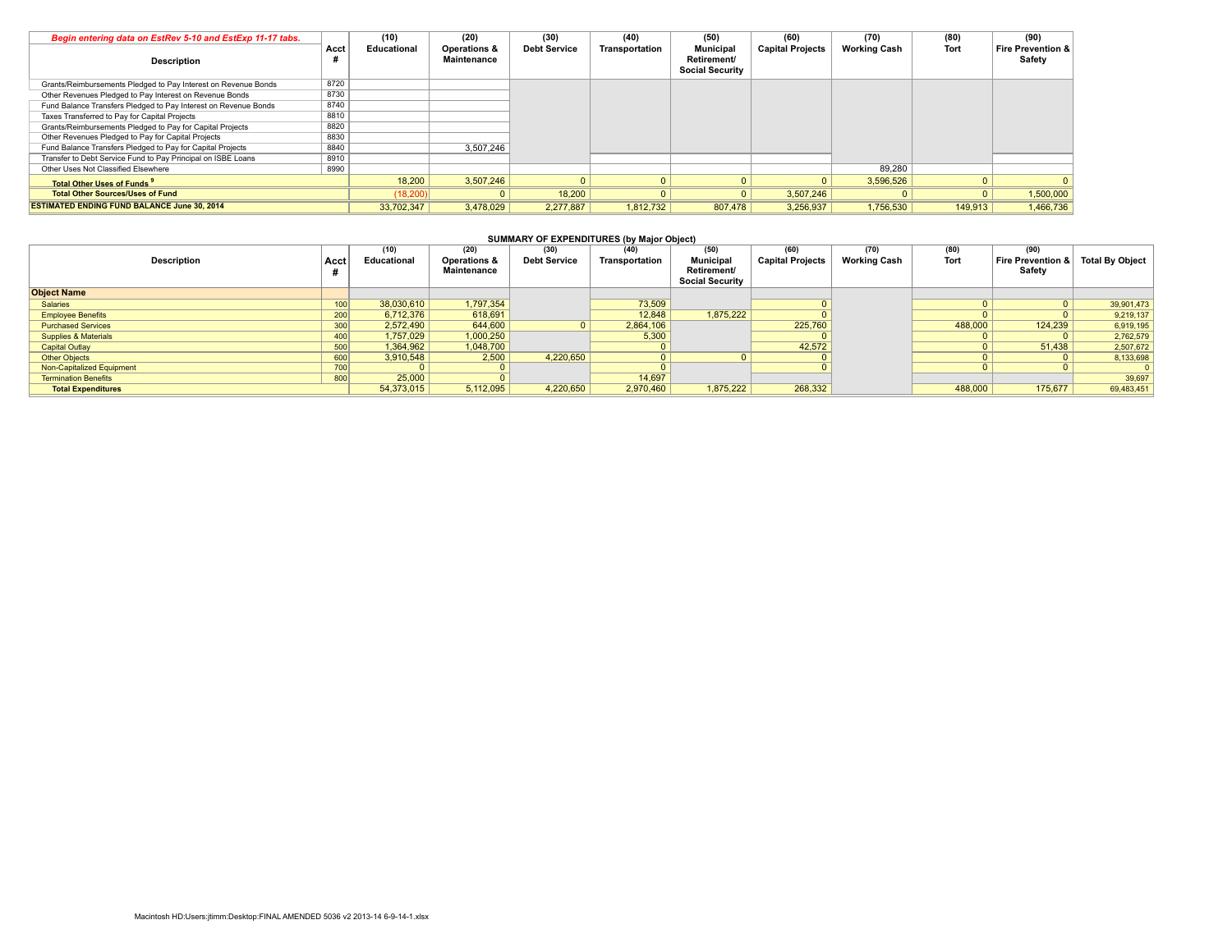| Begin entering data on EstRev 5-10 and EstExp 11-17 tabs.       |      | (10)        | (20)                                   | (30)                | (40)           | (50)                                                      | (60)                    | (70)                | (80)        | (90)                                   |
|-----------------------------------------------------------------|------|-------------|----------------------------------------|---------------------|----------------|-----------------------------------------------------------|-------------------------|---------------------|-------------|----------------------------------------|
| <b>Description</b>                                              | Acct | Educational | <b>Operations &amp;</b><br>Maintenance | <b>Debt Service</b> | Transportation | <b>Municipal</b><br>Retirement/<br><b>Social Security</b> | <b>Capital Projects</b> | <b>Working Cash</b> | <b>Tort</b> | <b>Fire Prevention &amp;</b><br>Safety |
| Grants/Reimbursements Pledged to Pay Interest on Revenue Bonds  | 8720 |             |                                        |                     |                |                                                           |                         |                     |             |                                        |
| Other Revenues Pledged to Pay Interest on Revenue Bonds         | 8730 |             |                                        |                     |                |                                                           |                         |                     |             |                                        |
| Fund Balance Transfers Pledged to Pay Interest on Revenue Bonds | 8740 |             |                                        |                     |                |                                                           |                         |                     |             |                                        |
| Taxes Transferred to Pay for Capital Projects                   | 8810 |             |                                        |                     |                |                                                           |                         |                     |             |                                        |
| Grants/Reimbursements Pledged to Pay for Capital Projects       | 8820 |             |                                        |                     |                |                                                           |                         |                     |             |                                        |
| Other Revenues Pledged to Pay for Capital Projects              | 8830 |             |                                        |                     |                |                                                           |                         |                     |             |                                        |
| Fund Balance Transfers Pledged to Pay for Capital Projects      | 8840 |             | 3.507.246                              |                     |                |                                                           |                         |                     |             |                                        |
| Transfer to Debt Service Fund to Pay Principal on ISBE Loans    | 8910 |             |                                        |                     |                |                                                           |                         |                     |             |                                        |
| Other Uses Not Classified Elsewhere                             | 8990 |             |                                        |                     |                |                                                           |                         | 89.280              |             |                                        |
| Total Other Lises of Funds <sup>9</sup>                         |      | 18,200      | 3,507,246                              |                     |                |                                                           |                         | 3,596,526           |             |                                        |
| <b>Total Other Sources/Uses of Fund</b>                         |      | (18,200)    |                                        | 18,200              |                |                                                           | 3.507.246               |                     | $\Omega$    | 1,500,000                              |
| <b>ESTIMATED ENDING FUND BALANCE June 30, 2014</b>              |      | 33.702.347  | 3.478.029                              | 2.277.887           | 1.812.732      | 807,478                                                   | 3.256.937               | 1.756.530           | 149,913     | 1,466,736                              |

### **SUMMARY OF EXPENDITURES (by Major Object)**

| Description                     | Acct | (10)<br>Educational | (20)<br><b>Operations &amp;</b><br>Maintenance | (30)<br><b>Debt Service</b> | ___<br>(40)<br>Transportation | (50)<br><b>Municipal</b><br>Retirement/ | (60)<br><b>Capital Projects</b> | (70)<br><b>Working Cash</b> | (80)<br><b>Tort</b> | (90)<br>Fire Prevention & Total By Object<br>Safety |            |
|---------------------------------|------|---------------------|------------------------------------------------|-----------------------------|-------------------------------|-----------------------------------------|---------------------------------|-----------------------------|---------------------|-----------------------------------------------------|------------|
|                                 |      |                     |                                                |                             |                               | <b>Social Security</b>                  |                                 |                             |                     |                                                     |            |
| <b>Object Name</b>              |      |                     |                                                |                             |                               |                                         |                                 |                             |                     |                                                     |            |
| Salaries                        | 100  | 38,030,610          | 1,797,354                                      |                             | 73,509                        |                                         |                                 |                             |                     |                                                     | 39,901,473 |
| <b>Employee Benefits</b>        | 200  | 6,712,376           | 618,691                                        |                             | 12,848                        | 1.875.222                               |                                 |                             |                     |                                                     | 9,219,137  |
| <b>Purchased Services</b>       | 300  | 2,572,490           | 644,600                                        |                             | 2,864,106                     |                                         | 225,760                         |                             | 488,000             | 124,239                                             | 6,919,195  |
| <b>Supplies &amp; Materials</b> | 400  | 1,757,029           | 1,000,250                                      |                             | 5,300                         |                                         |                                 |                             |                     |                                                     | 2,762,579  |
| <b>Capital Outlay</b>           | 500  | 1,364,962           | 1,048,700                                      |                             |                               |                                         | 42,572                          |                             |                     | 51,438                                              | 2,507,672  |
| <b>Other Objects</b>            | 600  | 3,910,548           | 2,500                                          | 4.220.650                   |                               |                                         |                                 |                             |                     |                                                     | 8,133,698  |
| Non-Capitalized Equipment       | 700  |                     |                                                |                             |                               |                                         |                                 |                             |                     |                                                     |            |
| <b>Termination Benefits</b>     | 800  | 25,000              |                                                |                             | 14,697                        |                                         |                                 |                             |                     |                                                     | 39,697     |
| <b>Total Expenditures</b>       |      | 54,373,015          | 5,112,095                                      | 4,220,650                   | 2,970,460                     | 1,875,222                               | 268,332                         |                             | 488,000             | 175,677                                             | 69,483,451 |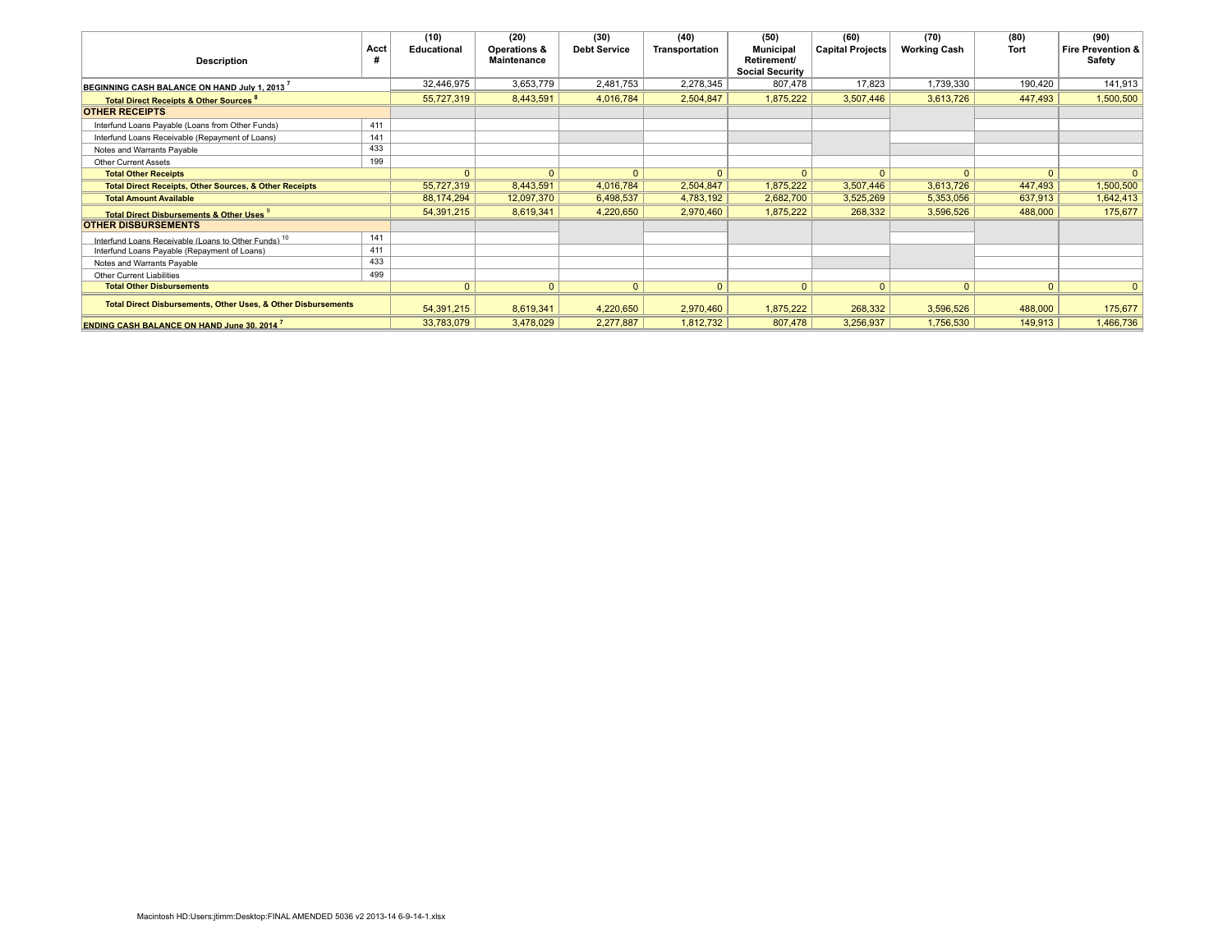|                                                                          |      | (10)               | (20)               | (30)                | (40)           | (50)                                  | (60)                    | (70)                | (80)         | (90)                         |
|--------------------------------------------------------------------------|------|--------------------|--------------------|---------------------|----------------|---------------------------------------|-------------------------|---------------------|--------------|------------------------------|
|                                                                          | Acct | <b>Educational</b> | Operations &       | <b>Debt Service</b> | Transportation | Municipal                             | <b>Capital Projects</b> | <b>Working Cash</b> | Tort         | <b>Fire Prevention &amp;</b> |
| <b>Description</b>                                                       |      |                    | <b>Maintenance</b> |                     |                | Retirement/<br><b>Social Security</b> |                         |                     |              | Safety                       |
| BEGINNING CASH BALANCE ON HAND July 1. 2013                              |      | 32,446,975         | 3,653,779          | 2,481,753           | 2,278,345      | 807,478                               | 17,823                  | 1,739,330           | 190,420      | 141,913                      |
| <b>Total Direct Receipts &amp; Other Sources</b>                         |      | 55,727,319         | 8,443,591          | 4,016,784           | 2,504,847      | 1,875,222                             | 3,507,446               | 3,613,726           | 447,493      | 1,500,500                    |
| <b>OTHER RECEIPTS</b>                                                    |      |                    |                    |                     |                |                                       |                         |                     |              |                              |
| Interfund Loans Payable (Loans from Other Funds)                         | 411  |                    |                    |                     |                |                                       |                         |                     |              |                              |
| Interfund Loans Receivable (Repayment of Loans)                          | 141  |                    |                    |                     |                |                                       |                         |                     |              |                              |
| Notes and Warrants Pavable                                               | 433  |                    |                    |                     |                |                                       |                         |                     |              |                              |
| <b>Other Current Assets</b>                                              | 199  |                    |                    |                     |                |                                       |                         |                     |              |                              |
| <b>Total Other Receipts</b>                                              |      | $\Omega$           | $\mathbf{0}$       | $\Omega$            | $\Omega$       | $\Omega$                              | $\mathbf{0}$            | $\Omega$            | $\mathbf{0}$ | $\mathbf{0}$                 |
| <b>Total Direct Receipts, Other Sources, &amp; Other Receipts</b>        |      | 55,727,319         | 8,443,591          | 4,016,784           | 2,504,847      | 1,875,222                             | 3,507,446               | 3,613,726           | 447,493      | 1,500,500                    |
| <b>Total Amount Available</b>                                            |      | 88,174,294         | 12,097,370         | 6,498,537           | 4,783,192      | 2,682,700                             | 3,525,269               | 5,353,056           | 637,913      | 1,642,413                    |
| <b>Total Direct Disbursements &amp; Other Uses 9</b>                     |      | 54,391,215         | 8,619,341          | 4,220,650           | 2,970,460      | 1,875,222                             | 268,332                 | 3,596,526           | 488,000      | 175,677                      |
| <b>OTHER DISBURSEMENTS</b>                                               |      |                    |                    |                     |                |                                       |                         |                     |              |                              |
| Interfund Loans Receivable (Loans to Other Funds) <sup>10</sup>          | 141  |                    |                    |                     |                |                                       |                         |                     |              |                              |
| Interfund Loans Payable (Repayment of Loans)                             | 411  |                    |                    |                     |                |                                       |                         |                     |              |                              |
| Notes and Warrants Payable                                               | 433  |                    |                    |                     |                |                                       |                         |                     |              |                              |
| <b>Other Current Liabilities</b>                                         | 499  |                    |                    |                     |                |                                       |                         |                     |              |                              |
| <b>Total Other Disbursements</b>                                         |      | $\mathbf{0}$       | $\mathbf{0}$       | $\overline{0}$      | $\mathbf{0}$   | $\mathbf{0}$                          | $\mathbf{0}$            | $\mathbf{0}$        | $\mathbf{0}$ | $\mathbf{0}$                 |
| <b>Total Direct Disbursements, Other Uses, &amp; Other Disbursements</b> |      | 54,391,215         | 8,619,341          | 4,220,650           | 2,970,460      | 1,875,222                             | 268,332                 | 3,596,526           | 488,000      | 175,677                      |
| <b>ENDING CASH BALANCE ON HAND June 30, 2014</b>                         |      | 33,783,079         | 3,478,029          | 2,277,887           | 1,812,732      | 807,478                               | 3,256,937               | 1,756,530           | 149,913      | 1,466,736                    |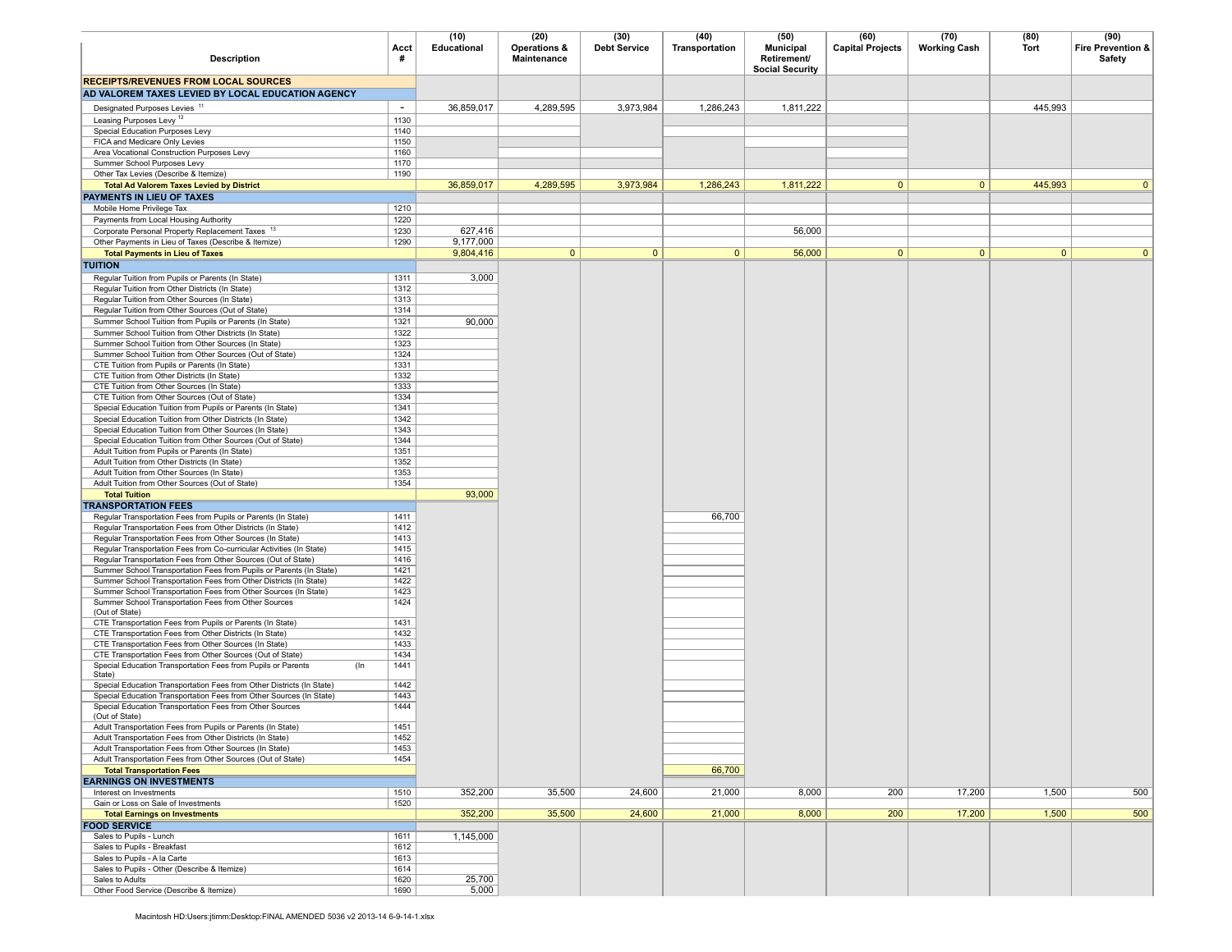|                                                                                                                                      |              | (10)                 | (20)                               | (30)                | (40)           | (50)                                                      | (60)                    | (70)                | (80)         | (90)                        |
|--------------------------------------------------------------------------------------------------------------------------------------|--------------|----------------------|------------------------------------|---------------------|----------------|-----------------------------------------------------------|-------------------------|---------------------|--------------|-----------------------------|
| <b>Description</b>                                                                                                                   | Acct<br>#    | Educational          | Operations &<br><b>Maintenance</b> | <b>Debt Service</b> | Transportation | <b>Municipal</b><br>Retirement/<br><b>Social Security</b> | <b>Capital Projects</b> | <b>Working Cash</b> | <b>Tort</b>  | Fire Prevention &<br>Safety |
| <b>RECEIPTS/REVENUES FROM LOCAL SOURCES</b>                                                                                          |              |                      |                                    |                     |                |                                                           |                         |                     |              |                             |
| AD VALOREM TAXES LEVIED BY LOCAL EDUCATION AGENCY                                                                                    |              |                      |                                    |                     |                |                                                           |                         |                     |              |                             |
| Designated Purposes Levies <sup>11</sup>                                                                                             | $\sim$       | 36,859,017           | 4,289,595                          | 3,973,984           | 1,286,243      | 1,811,222                                                 |                         |                     | 445,993      |                             |
| Leasing Purposes Levy <sup>12</sup>                                                                                                  | 1130         |                      |                                    |                     |                |                                                           |                         |                     |              |                             |
| Special Education Purposes Levy                                                                                                      | 1140         |                      |                                    |                     |                |                                                           |                         |                     |              |                             |
| FICA and Medicare Only Levies                                                                                                        | 1150         |                      |                                    |                     |                |                                                           |                         |                     |              |                             |
| Area Vocational Construction Purposes Levy<br>Summer School Purposes Levy                                                            | 1160<br>1170 |                      |                                    |                     |                |                                                           |                         |                     |              |                             |
| Other Tax Levies (Describe & Itemize)                                                                                                | 1190         |                      |                                    |                     |                |                                                           |                         |                     |              |                             |
| <b>Total Ad Valorem Taxes Levied by District</b>                                                                                     |              | 36,859,017           | 4,289,595                          | 3,973,984           | 1,286,243      | 1,811,222                                                 | $\mathbf{0}$            | $\mathbf{0}$        | 445,993      | $\overline{0}$              |
| PAYMENTS IN LIEU OF TAXES                                                                                                            |              |                      |                                    |                     |                |                                                           |                         |                     |              |                             |
| Mobile Home Privilege Tax                                                                                                            | 1210         |                      |                                    |                     |                |                                                           |                         |                     |              |                             |
| Payments from Local Housing Authority                                                                                                | 1220         |                      |                                    |                     |                |                                                           |                         |                     |              |                             |
| Corporate Personal Property Replacement Taxes 13<br>Other Payments in Lieu of Taxes (Describe & Itemize)                             | 1230<br>1290 | 627,416<br>9,177,000 |                                    |                     |                | 56,000                                                    |                         |                     |              |                             |
| <b>Total Payments in Lieu of Taxes</b>                                                                                               |              | 9,804,416            | 0                                  | $\overline{0}$      | $\mathbf{0}$   | 56,000                                                    | $\mathbf{0}$            | $\mathbf{0}$        | $\mathbf{0}$ | 0 <sup>1</sup>              |
| <b>TUITION</b>                                                                                                                       |              |                      |                                    |                     |                |                                                           |                         |                     |              |                             |
| Regular Tuition from Pupils or Parents (In State)                                                                                    | 1311         | 3,000                |                                    |                     |                |                                                           |                         |                     |              |                             |
| Regular Tuition from Other Districts (In State)                                                                                      | 1312         |                      |                                    |                     |                |                                                           |                         |                     |              |                             |
| Regular Tuition from Other Sources (In State)                                                                                        | 1313         |                      |                                    |                     |                |                                                           |                         |                     |              |                             |
| Regular Tuition from Other Sources (Out of State)                                                                                    | 1314         |                      |                                    |                     |                |                                                           |                         |                     |              |                             |
| Summer School Tuition from Pupils or Parents (In State)<br>Summer School Tuition from Other Districts (In State)                     | 1321<br>1322 | 90,000               |                                    |                     |                |                                                           |                         |                     |              |                             |
| Summer School Tuition from Other Sources (In State)                                                                                  | 1323         |                      |                                    |                     |                |                                                           |                         |                     |              |                             |
| Summer School Tuition from Other Sources (Out of State)                                                                              | 1324         |                      |                                    |                     |                |                                                           |                         |                     |              |                             |
| CTE Tuition from Pupils or Parents (In State)                                                                                        | 1331         |                      |                                    |                     |                |                                                           |                         |                     |              |                             |
| CTE Tuition from Other Districts (In State)                                                                                          | 1332         |                      |                                    |                     |                |                                                           |                         |                     |              |                             |
| CTE Tuition from Other Sources (In State)<br>CTE Tuition from Other Sources (Out of State)                                           | 1333<br>1334 |                      |                                    |                     |                |                                                           |                         |                     |              |                             |
| Special Education Tuition from Pupils or Parents (In State)                                                                          | 1341         |                      |                                    |                     |                |                                                           |                         |                     |              |                             |
| Special Education Tuition from Other Districts (In State)                                                                            | 1342         |                      |                                    |                     |                |                                                           |                         |                     |              |                             |
| Special Education Tuition from Other Sources (In State)                                                                              | 1343         |                      |                                    |                     |                |                                                           |                         |                     |              |                             |
| Special Education Tuition from Other Sources (Out of State)                                                                          | 1344         |                      |                                    |                     |                |                                                           |                         |                     |              |                             |
| Adult Tuition from Pupils or Parents (In State)<br>Adult Tuition from Other Districts (In State)                                     | 1351<br>1352 |                      |                                    |                     |                |                                                           |                         |                     |              |                             |
| Adult Tuition from Other Sources (In State)                                                                                          | 1353         |                      |                                    |                     |                |                                                           |                         |                     |              |                             |
| Adult Tuition from Other Sources (Out of State)                                                                                      | 1354         |                      |                                    |                     |                |                                                           |                         |                     |              |                             |
| <b>Total Tuition</b>                                                                                                                 |              | 93,000               |                                    |                     |                |                                                           |                         |                     |              |                             |
| <b>TRANSPORTATION FEES</b>                                                                                                           |              |                      |                                    |                     |                |                                                           |                         |                     |              |                             |
| Regular Transportation Fees from Pupils or Parents (In State)<br>Regular Transportation Fees from Other Districts (In State)         | 1411<br>1412 |                      |                                    |                     | 66,700         |                                                           |                         |                     |              |                             |
| Regular Transportation Fees from Other Sources (In State)                                                                            | 1413         |                      |                                    |                     |                |                                                           |                         |                     |              |                             |
| Regular Transportation Fees from Co-curricular Activities (In State)                                                                 | 1415         |                      |                                    |                     |                |                                                           |                         |                     |              |                             |
| Regular Transportation Fees from Other Sources (Out of State)                                                                        | 1416         |                      |                                    |                     |                |                                                           |                         |                     |              |                             |
| Summer School Transportation Fees from Pupils or Parents (In State)                                                                  | 1421         |                      |                                    |                     |                |                                                           |                         |                     |              |                             |
| Summer School Transportation Fees from Other Districts (In State)<br>Summer School Transportation Fees from Other Sources (In State) | 1422<br>1423 |                      |                                    |                     |                |                                                           |                         |                     |              |                             |
| Summer School Transportation Fees from Other Sources                                                                                 | 1424         |                      |                                    |                     |                |                                                           |                         |                     |              |                             |
| (Out of State)                                                                                                                       |              |                      |                                    |                     |                |                                                           |                         |                     |              |                             |
| CTE Transportation Fees from Pupils or Parents (In State)                                                                            | 1431         |                      |                                    |                     |                |                                                           |                         |                     |              |                             |
| CTE Transportation Fees from Other Districts (In State)<br>CTE Transportation Fees from Other Sources (In State)                     | 1432<br>1433 |                      |                                    |                     |                |                                                           |                         |                     |              |                             |
| CTE Transportation Fees from Other Sources (Out of State)                                                                            | 1434         |                      |                                    |                     |                |                                                           |                         |                     |              |                             |
| Special Education Transportation Fees from Pupils or Parents<br>$($ In<br>State)                                                     | 1441         |                      |                                    |                     |                |                                                           |                         |                     |              |                             |
| Special Education Transportation Fees from Other Districts (In State)                                                                | 1442         |                      |                                    |                     |                |                                                           |                         |                     |              |                             |
| Special Education Transportation Fees from Other Sources (In State)<br>Special Education Transportation Fees from Other Sources      | 1443<br>1444 |                      |                                    |                     |                |                                                           |                         |                     |              |                             |
| (Out of State)                                                                                                                       |              |                      |                                    |                     |                |                                                           |                         |                     |              |                             |
| Adult Transportation Fees from Pupils or Parents (In State)                                                                          | 1451         |                      |                                    |                     |                |                                                           |                         |                     |              |                             |
| Adult Transportation Fees from Other Districts (In State)                                                                            | 1452         |                      |                                    |                     |                |                                                           |                         |                     |              |                             |
| Adult Transportation Fees from Other Sources (In State)                                                                              | 1453         |                      |                                    |                     |                |                                                           |                         |                     |              |                             |
| Adult Transportation Fees from Other Sources (Out of State)<br><b>Total Transportation Fees</b>                                      | 1454         |                      |                                    |                     | 66,700         |                                                           |                         |                     |              |                             |
| <b>EARNINGS ON INVESTMENTS</b>                                                                                                       |              |                      |                                    |                     |                |                                                           |                         |                     |              |                             |
| Interest on Investments                                                                                                              | 1510         | 352,200              | 35,500                             | 24,600              | 21,000         | 8,000                                                     | 200                     | 17,200              | 1,500        | 500                         |
| Gain or Loss on Sale of Investments                                                                                                  | 1520         |                      |                                    |                     |                |                                                           |                         |                     |              |                             |
| <b>Total Earnings on Investments</b>                                                                                                 |              | 352,200              | 35,500                             | 24,600              | 21,000         | 8,000                                                     | 200                     | 17,200              | 1,500        | 500                         |
| <b>FOOD SERVICE</b><br>Sales to Pupils - Lunch                                                                                       | 1611         | 1.145.000            |                                    |                     |                |                                                           |                         |                     |              |                             |
| Sales to Pupils - Breakfast                                                                                                          | 1612         |                      |                                    |                     |                |                                                           |                         |                     |              |                             |
| Sales to Pupils - A la Carte                                                                                                         | 1613         |                      |                                    |                     |                |                                                           |                         |                     |              |                             |
| Sales to Pupils - Other (Describe & Itemize)                                                                                         | 1614         |                      |                                    |                     |                |                                                           |                         |                     |              |                             |
| Sales to Adults                                                                                                                      | 1620         | 25,700               |                                    |                     |                |                                                           |                         |                     |              |                             |
| Other Food Service (Describe & Itemize)                                                                                              | 1690         | 5,000                |                                    |                     |                |                                                           |                         |                     |              |                             |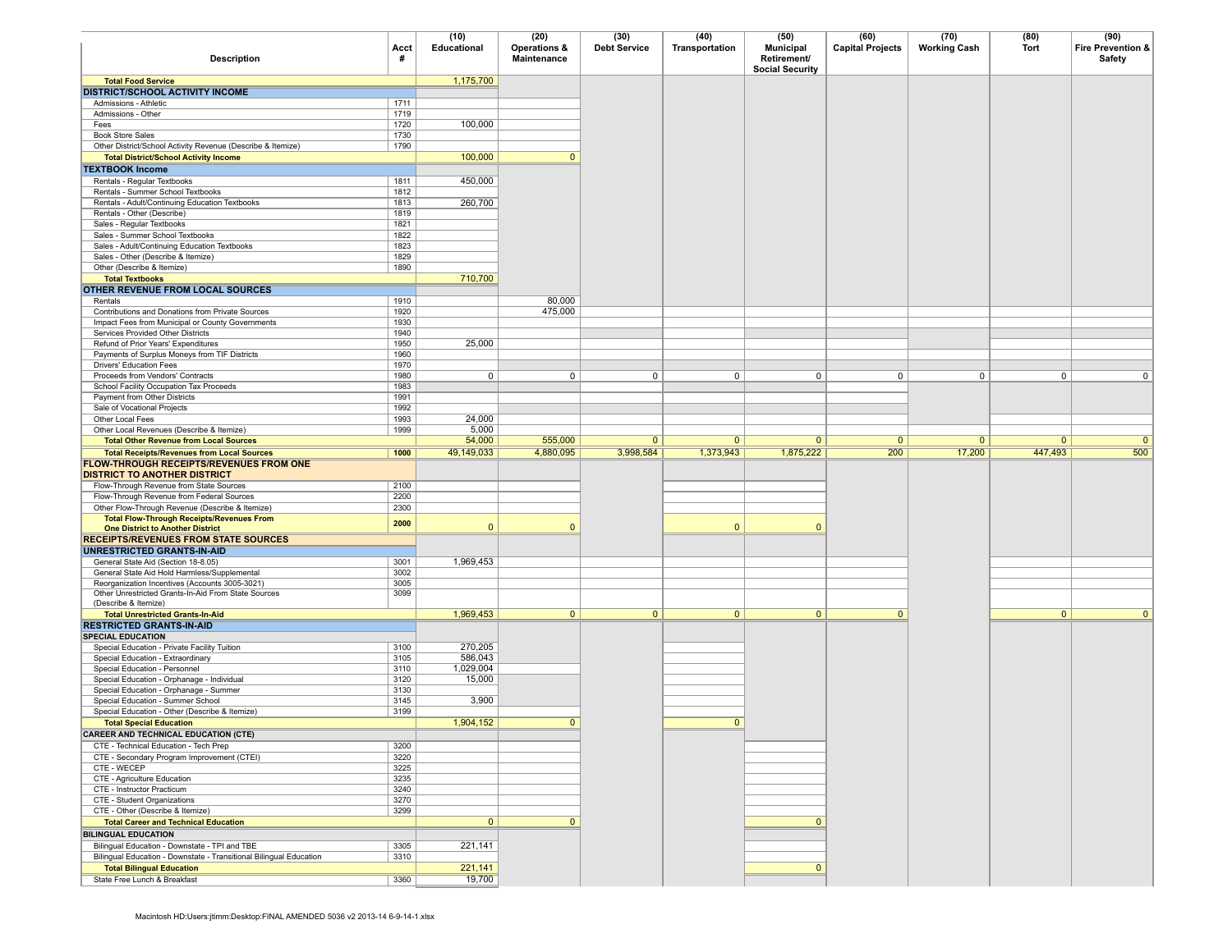| <b>Description</b>                                                                                                  | Acct<br>#    | (10)<br>Educational | (20)<br><b>Operations &amp;</b><br>Maintenance | (30)<br><b>Debt Service</b> | (40)<br>Transportation | (50)<br><b>Municipal</b><br>Retirement/<br><b>Social Security</b> | (60)<br><b>Capital Projects</b> | (70)<br><b>Working Cash</b> | (80)<br>Tort   | (90)<br>Fire Prevention &<br>Safety |
|---------------------------------------------------------------------------------------------------------------------|--------------|---------------------|------------------------------------------------|-----------------------------|------------------------|-------------------------------------------------------------------|---------------------------------|-----------------------------|----------------|-------------------------------------|
| <b>Total Food Service</b>                                                                                           |              | 1,175,700           |                                                |                             |                        |                                                                   |                                 |                             |                |                                     |
| <b>DISTRICT/SCHOOL ACTIVITY INCOME</b>                                                                              |              |                     |                                                |                             |                        |                                                                   |                                 |                             |                |                                     |
| Admissions - Athletic                                                                                               | 1711         |                     |                                                |                             |                        |                                                                   |                                 |                             |                |                                     |
| Admissions - Other<br>Fees                                                                                          | 1719<br>1720 | 100,000             |                                                |                             |                        |                                                                   |                                 |                             |                |                                     |
| <b>Book Store Sales</b>                                                                                             | 1730         |                     |                                                |                             |                        |                                                                   |                                 |                             |                |                                     |
| Other District/School Activity Revenue (Describe & Itemize)                                                         | 1790         |                     |                                                |                             |                        |                                                                   |                                 |                             |                |                                     |
| <b>Total District/School Activity Income</b>                                                                        |              | 100,000             | $\mathbf{0}$                                   |                             |                        |                                                                   |                                 |                             |                |                                     |
| <b>TEXTBOOK Income</b>                                                                                              |              |                     |                                                |                             |                        |                                                                   |                                 |                             |                |                                     |
| Rentals - Regular Textbooks                                                                                         | 1811         | 450,000             |                                                |                             |                        |                                                                   |                                 |                             |                |                                     |
| Rentals - Summer School Textbooks                                                                                   | 1812         |                     |                                                |                             |                        |                                                                   |                                 |                             |                |                                     |
| Rentals - Adult/Continuing Education Textbooks                                                                      | 1813         | 260,700             |                                                |                             |                        |                                                                   |                                 |                             |                |                                     |
| Rentals - Other (Describe)<br>Sales - Regular Textbooks                                                             | 1819<br>1821 |                     |                                                |                             |                        |                                                                   |                                 |                             |                |                                     |
| Sales - Summer School Textbooks                                                                                     | 1822         |                     |                                                |                             |                        |                                                                   |                                 |                             |                |                                     |
| Sales - Adult/Continuing Education Textbooks                                                                        | 1823         |                     |                                                |                             |                        |                                                                   |                                 |                             |                |                                     |
| Sales - Other (Describe & Itemize)                                                                                  | 1829         |                     |                                                |                             |                        |                                                                   |                                 |                             |                |                                     |
| Other (Describe & Itemize)                                                                                          | 1890         |                     |                                                |                             |                        |                                                                   |                                 |                             |                |                                     |
| <b>Total Textbooks</b>                                                                                              |              | 710,700             |                                                |                             |                        |                                                                   |                                 |                             |                |                                     |
| OTHER REVENUE FROM LOCAL SOURCES                                                                                    |              |                     |                                                |                             |                        |                                                                   |                                 |                             |                |                                     |
| Rentals                                                                                                             | 1910         |                     | 80,000                                         |                             |                        |                                                                   |                                 |                             |                |                                     |
| Contributions and Donations from Private Sources<br>Impact Fees from Municipal or County Governments                | 1920<br>1930 |                     | 475,000                                        |                             |                        |                                                                   |                                 |                             |                |                                     |
| Services Provided Other Districts                                                                                   | 1940         |                     |                                                |                             |                        |                                                                   |                                 |                             |                |                                     |
| Refund of Prior Years' Expenditures                                                                                 | 1950         | 25,000              |                                                |                             |                        |                                                                   |                                 |                             |                |                                     |
| Payments of Surplus Moneys from TIF Districts                                                                       | 1960         |                     |                                                |                             |                        |                                                                   |                                 |                             |                |                                     |
| Drivers' Education Fees                                                                                             | 1970         |                     |                                                |                             |                        |                                                                   |                                 |                             |                |                                     |
| Proceeds from Vendors' Contracts                                                                                    | 1980         | 0                   | 0                                              | 0                           | $^{\circ}$             | 0                                                                 | 0                               | $\mathbf{0}$                | 0              | 0                                   |
| School Facility Occupation Tax Proceeds                                                                             | 1983         |                     |                                                |                             |                        |                                                                   |                                 |                             |                |                                     |
| Payment from Other Districts                                                                                        | 1991         |                     |                                                |                             |                        |                                                                   |                                 |                             |                |                                     |
| Sale of Vocational Projects<br>Other Local Fees                                                                     | 1992<br>1993 | 24,000              |                                                |                             |                        |                                                                   |                                 |                             |                |                                     |
| Other Local Revenues (Describe & Itemize)                                                                           | 1999         | 5,000               |                                                |                             |                        |                                                                   |                                 |                             |                |                                     |
| <b>Total Other Revenue from Local Sources</b>                                                                       |              | 54,000              | 555,000                                        | $\mathbf{0}$                | $\mathbf{0}$           | $\mathbf{0}$                                                      | $\mathbf{0}$                    | $\mathbf{0}$                | $\mathbf{0}$   | $\mathbf{0}$                        |
| <b>Total Receipts/Revenues from Local Sources</b>                                                                   | 1000         | 49,149,033          | 4,880,095                                      | 3,998,584                   | 1,373,943              | 1,875,222                                                         | 200                             | 17,200                      | 447,493        | 500                                 |
| FLOW-THROUGH RECEIPTS/REVENUES FROM ONE<br><b>DISTRICT TO ANOTHER DISTRICT</b>                                      |              |                     |                                                |                             |                        |                                                                   |                                 |                             |                |                                     |
| Flow-Through Revenue from State Sources                                                                             | 2100         |                     |                                                |                             |                        |                                                                   |                                 |                             |                |                                     |
| Flow-Through Revenue from Federal Sources                                                                           | 2200         |                     |                                                |                             |                        |                                                                   |                                 |                             |                |                                     |
| Other Flow-Through Revenue (Describe & Itemize)<br><b>Total Flow-Through Receipts/Revenues From</b>                 | 2300<br>2000 |                     |                                                |                             |                        |                                                                   |                                 |                             |                |                                     |
| <b>One District to Another District</b>                                                                             |              | $\mathbf 0$         | $\Omega$                                       |                             | $\mathbf{0}$           | $\mathbf{0}$                                                      |                                 |                             |                |                                     |
| <b>RECEIPTS/REVENUES FROM STATE SOURCES</b>                                                                         |              |                     |                                                |                             |                        |                                                                   |                                 |                             |                |                                     |
| UNRESTRICTED GRANTS-IN-AID                                                                                          |              |                     |                                                |                             |                        |                                                                   |                                 |                             |                |                                     |
| General State Aid (Section 18-8.05)<br>General State Aid Hold Harmless/Supplemental                                 | 3001<br>3002 | 1,969,453           |                                                |                             |                        |                                                                   |                                 |                             |                |                                     |
| Reorganization Incentives (Accounts 3005-3021)                                                                      | 3005         |                     |                                                |                             |                        |                                                                   |                                 |                             |                |                                     |
| Other Unrestricted Grants-In-Aid From State Sources                                                                 | 3099         |                     |                                                |                             |                        |                                                                   |                                 |                             |                |                                     |
| (Describe & Itemize)                                                                                                |              |                     |                                                |                             |                        |                                                                   |                                 |                             |                |                                     |
| <b>Total Unrestricted Grants-In-Aid</b>                                                                             |              | 1,969,453           | $\mathbf{0}$                                   | $\mathbf{0}$                | $\overline{0}$         | $\mathbf{0}$                                                      | $\mathbf{0}$                    |                             | $\overline{0}$ | $\mathbf{0}$                        |
| <b>RESTRICTED GRANTS-IN-AID</b><br><b>SPECIAL EDUCATION</b>                                                         |              |                     |                                                |                             |                        |                                                                   |                                 |                             |                |                                     |
| Special Education - Private Facility Tuition                                                                        | 3100         | 270,205             |                                                |                             |                        |                                                                   |                                 |                             |                |                                     |
| Special Education - Extraordinary                                                                                   | 3105         | 586,043             |                                                |                             |                        |                                                                   |                                 |                             |                |                                     |
| Special Education - Personnel                                                                                       | 3110         | 1,029,004           |                                                |                             |                        |                                                                   |                                 |                             |                |                                     |
| Special Education - Orphanage - Individual                                                                          | 3120         | 15,000              |                                                |                             |                        |                                                                   |                                 |                             |                |                                     |
| Special Education - Orphanage - Summer                                                                              | 3130         |                     |                                                |                             |                        |                                                                   |                                 |                             |                |                                     |
| Special Education - Summer School                                                                                   | 3145         | 3,900               |                                                |                             |                        |                                                                   |                                 |                             |                |                                     |
| Special Education - Other (Describe & Itemize)<br><b>Total Special Education</b>                                    | 3199         | 1,904,152           | $\mathbf{0}$                                   |                             | $\mathbf{0}$           |                                                                   |                                 |                             |                |                                     |
| <b>CAREER AND TECHNICAL EDUCATION (CTE)</b>                                                                         |              |                     |                                                |                             |                        |                                                                   |                                 |                             |                |                                     |
| CTE - Technical Education - Tech Prep                                                                               | 3200         |                     |                                                |                             |                        |                                                                   |                                 |                             |                |                                     |
| CTE - Secondary Program Improvement (CTEI)                                                                          | 3220         |                     |                                                |                             |                        |                                                                   |                                 |                             |                |                                     |
| CTE - WECEP                                                                                                         | 3225         |                     |                                                |                             |                        |                                                                   |                                 |                             |                |                                     |
| CTE - Agriculture Education                                                                                         | 3235         |                     |                                                |                             |                        |                                                                   |                                 |                             |                |                                     |
| CTE - Instructor Practicum                                                                                          | 3240         |                     |                                                |                             |                        |                                                                   |                                 |                             |                |                                     |
| CTE - Student Organizations                                                                                         | 3270         |                     |                                                |                             |                        |                                                                   |                                 |                             |                |                                     |
| CTE - Other (Describe & Itemize)                                                                                    | 3299         |                     |                                                |                             |                        |                                                                   |                                 |                             |                |                                     |
| <b>Total Career and Technical Education</b>                                                                         |              | $\overline{0}$      | $\mathbf{0}$                                   |                             |                        | $\mathbf{0}$                                                      |                                 |                             |                |                                     |
| <b>BILINGUAL EDUCATION</b>                                                                                          |              |                     |                                                |                             |                        |                                                                   |                                 |                             |                |                                     |
| Bilingual Education - Downstate - TPI and TBE<br>Bilingual Education - Downstate - Transitional Bilingual Education | 3305<br>3310 | 221,141             |                                                |                             |                        |                                                                   |                                 |                             |                |                                     |
| <b>Total Bilingual Education</b>                                                                                    |              | 221,141             |                                                |                             |                        | $\overline{0}$                                                    |                                 |                             |                |                                     |
| State Free Lunch & Breakfast                                                                                        | 3360         | 19,700              |                                                |                             |                        |                                                                   |                                 |                             |                |                                     |
|                                                                                                                     |              |                     |                                                |                             |                        |                                                                   |                                 |                             |                |                                     |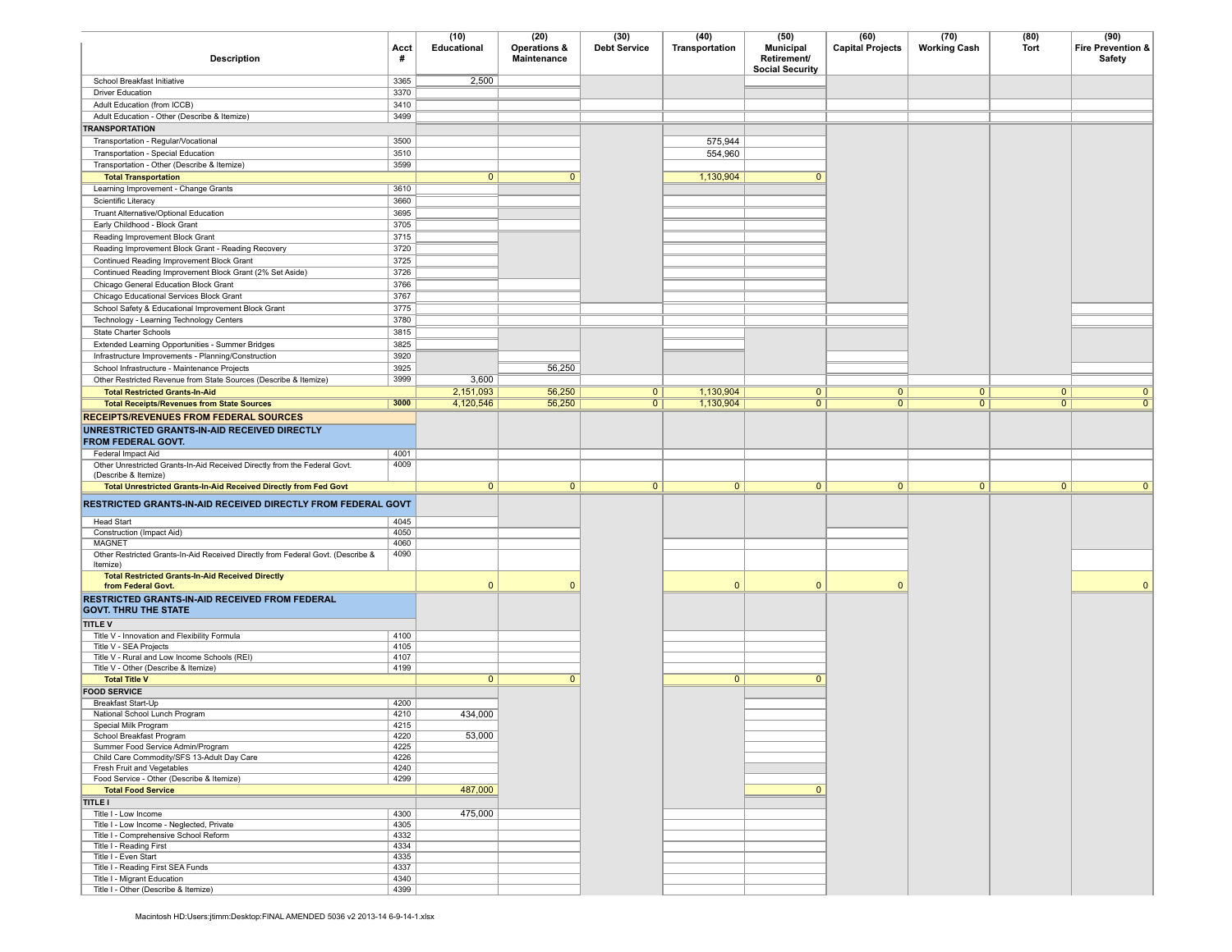| <b>Description</b>                                                                                  | Acct<br>#    | (10)<br>Educational | (20)<br>Operations &<br>Maintenance | (30)<br><b>Debt Service</b> | (40)<br>Transportation | (50)<br><b>Municipal</b><br>Retirement/<br><b>Social Security</b> | (60)<br><b>Capital Projects</b> | (70)<br><b>Working Cash</b> | (80)<br><b>Tort</b> | (90)<br><b>Fire Prevention &amp;</b><br>Safety |
|-----------------------------------------------------------------------------------------------------|--------------|---------------------|-------------------------------------|-----------------------------|------------------------|-------------------------------------------------------------------|---------------------------------|-----------------------------|---------------------|------------------------------------------------|
| School Breakfast Initiative                                                                         | 3365         | 2,500               |                                     |                             |                        |                                                                   |                                 |                             |                     |                                                |
| <b>Driver Education</b>                                                                             | 3370         |                     |                                     |                             |                        |                                                                   |                                 |                             |                     |                                                |
| Adult Education (from ICCB)                                                                         | 3410         |                     |                                     |                             |                        |                                                                   |                                 |                             |                     |                                                |
| Adult Education - Other (Describe & Itemize)                                                        | 3499         |                     |                                     |                             |                        |                                                                   |                                 |                             |                     |                                                |
| <b>TRANSPORTATION</b>                                                                               |              |                     |                                     |                             |                        |                                                                   |                                 |                             |                     |                                                |
| Transportation - Regular/Vocational                                                                 | 3500         |                     |                                     |                             | 575,944                |                                                                   |                                 |                             |                     |                                                |
| Transportation - Special Education                                                                  | 3510<br>3599 |                     |                                     |                             | 554,960                |                                                                   |                                 |                             |                     |                                                |
| Transportation - Other (Describe & Itemize)<br><b>Total Transportation</b>                          |              | $\mathbf{0}$        | $\mathbf{0}$                        |                             | 1,130,904              | $\Omega$                                                          |                                 |                             |                     |                                                |
| Learning Improvement - Change Grants                                                                | 3610         |                     |                                     |                             |                        |                                                                   |                                 |                             |                     |                                                |
| Scientific Literacy                                                                                 | 3660         |                     |                                     |                             |                        |                                                                   |                                 |                             |                     |                                                |
| Truant Alternative/Optional Education                                                               | 3695         |                     |                                     |                             |                        |                                                                   |                                 |                             |                     |                                                |
| Early Childhood - Block Grant                                                                       | 3705         |                     |                                     |                             |                        |                                                                   |                                 |                             |                     |                                                |
| Reading Improvement Block Grant                                                                     | 3715         |                     |                                     |                             |                        |                                                                   |                                 |                             |                     |                                                |
| Reading Improvement Block Grant - Reading Recovery                                                  | 3720         |                     |                                     |                             |                        |                                                                   |                                 |                             |                     |                                                |
| Continued Reading Improvement Block Grant                                                           | 3725         |                     |                                     |                             |                        |                                                                   |                                 |                             |                     |                                                |
| Continued Reading Improvement Block Grant (2% Set Aside)                                            | 3726         |                     |                                     |                             |                        |                                                                   |                                 |                             |                     |                                                |
| Chicago General Education Block Grant                                                               | 3766         |                     |                                     |                             |                        |                                                                   |                                 |                             |                     |                                                |
| Chicago Educational Services Block Grant                                                            | 3767         |                     |                                     |                             |                        |                                                                   |                                 |                             |                     |                                                |
| School Safety & Educational Improvement Block Grant                                                 | 3775         |                     |                                     |                             |                        |                                                                   |                                 |                             |                     |                                                |
| Technology - Learning Technology Centers                                                            | 3780         |                     |                                     |                             |                        |                                                                   |                                 |                             |                     |                                                |
| State Charter Schools                                                                               | 3815         |                     |                                     |                             |                        |                                                                   |                                 |                             |                     |                                                |
| Extended Learning Opportunities - Summer Bridges                                                    | 3825<br>3920 |                     |                                     |                             |                        |                                                                   |                                 |                             |                     |                                                |
| Infrastructure Improvements - Planning/Construction<br>School Infrastructure - Maintenance Projects | 3925         |                     | 56,250                              |                             |                        |                                                                   |                                 |                             |                     |                                                |
| Other Restricted Revenue from State Sources (Describe & Itemize)                                    | 3999         | 3,600               |                                     |                             |                        |                                                                   |                                 |                             |                     |                                                |
| <b>Total Restricted Grants-In-Aid</b>                                                               |              | 2,151,093           | 56,250                              | $\overline{0}$              | 1,130,904              | $\overline{0}$                                                    | $\mathbf{0}$                    | 0                           | 0                   | $\mathbf{0}$                                   |
| <b>Total Receipts/Revenues from State Sources</b>                                                   | 3000         | 4,120,546           | 56,250                              | 0                           | 1,130,904              | $\overline{0}$                                                    | $\overline{0}$                  | $\overline{0}$              | 0                   | $\overline{0}$                                 |
| <b>RECEIPTS/REVENUES FROM FEDERAL SOURCES</b>                                                       |              |                     |                                     |                             |                        |                                                                   |                                 |                             |                     |                                                |
| UNRESTRICTED GRANTS-IN-AID RECEIVED DIRECTLY<br>FROM FEDERAL GOVT.                                  |              |                     |                                     |                             |                        |                                                                   |                                 |                             |                     |                                                |
| Federal Impact Aid                                                                                  | 4001         |                     |                                     |                             |                        |                                                                   |                                 |                             |                     |                                                |
| Other Unrestricted Grants-In-Aid Received Directly from the Federal Govt.<br>(Describe & Itemize)   | 4009         |                     |                                     |                             |                        |                                                                   |                                 |                             |                     |                                                |
| Total Unrestricted Grants-In-Aid Received Directly from Fed Govt                                    |              | $\overline{0}$      | 0                                   | $\overline{0}$              | $\overline{0}$         | $\overline{0}$                                                    | $\mathbf{0}$                    | $\overline{0}$              | $\overline{0}$      | $\mathbf{0}$                                   |
| RESTRICTED GRANTS-IN-AID RECEIVED DIRECTLY FROM FEDERAL GOVT                                        |              |                     |                                     |                             |                        |                                                                   |                                 |                             |                     |                                                |
| <b>Head Start</b>                                                                                   | 4045         |                     |                                     |                             |                        |                                                                   |                                 |                             |                     |                                                |
| Construction (Impact Aid)<br>MAGNET                                                                 | 4050<br>4060 |                     |                                     |                             |                        |                                                                   |                                 |                             |                     |                                                |
| Other Restricted Grants-In-Aid Received Directly from Federal Govt. (Describe &<br>Itemize)         | 4090         |                     |                                     |                             |                        |                                                                   |                                 |                             |                     |                                                |
| <b>Total Restricted Grants-In-Aid Received Directly</b><br>from Federal Govt.                       |              | $\mathbf{0}$        | $\Omega$                            |                             | $\Omega$               | $\mathbf{0}$                                                      | $\Omega$                        |                             |                     | $\Omega$                                       |
| RESTRICTED GRANTS-IN-AID RECEIVED FROM FEDERAL<br><b>GOVT. THRU THE STATE</b>                       |              |                     |                                     |                             |                        |                                                                   |                                 |                             |                     |                                                |
| <b>TITLE V</b>                                                                                      |              |                     |                                     |                             |                        |                                                                   |                                 |                             |                     |                                                |
| Title V - Innovation and Flexibility Formula                                                        | 4100<br>4105 |                     |                                     |                             |                        |                                                                   |                                 |                             |                     |                                                |
| Title V - SEA Projects<br>Title V - Rural and Low Income Schools (REI)                              | 4107         |                     |                                     |                             |                        |                                                                   |                                 |                             |                     |                                                |
| Title V - Other (Describe & Itemize)                                                                | 4199         |                     |                                     |                             |                        |                                                                   |                                 |                             |                     |                                                |
| <b>Total Title V</b>                                                                                |              | $\mathbf{0}$        | $\mathbf{0}$                        |                             | $\mathbf{0}$           | $\overline{0}$                                                    |                                 |                             |                     |                                                |
| <b>FOOD SERVICE</b>                                                                                 |              |                     |                                     |                             |                        |                                                                   |                                 |                             |                     |                                                |
| Breakfast Start-Up                                                                                  | 4200         |                     |                                     |                             |                        |                                                                   |                                 |                             |                     |                                                |
| National School Lunch Program                                                                       | 4210         | 434,000             |                                     |                             |                        |                                                                   |                                 |                             |                     |                                                |
| Special Milk Program<br>School Breakfast Program                                                    | 4215<br>4220 | 53,000              |                                     |                             |                        |                                                                   |                                 |                             |                     |                                                |
| Summer Food Service Admin/Program                                                                   | 4225         |                     |                                     |                             |                        |                                                                   |                                 |                             |                     |                                                |
| Child Care Commodity/SFS 13-Adult Day Care                                                          | 4226         |                     |                                     |                             |                        |                                                                   |                                 |                             |                     |                                                |
| Fresh Fruit and Vegetables                                                                          | 4240         |                     |                                     |                             |                        |                                                                   |                                 |                             |                     |                                                |
| Food Service - Other (Describe & Itemize)                                                           | 4299         |                     |                                     |                             |                        |                                                                   |                                 |                             |                     |                                                |
| <b>Total Food Service</b>                                                                           |              | 487,000             |                                     |                             |                        | $\mathbf{0}$                                                      |                                 |                             |                     |                                                |
| <b>TITLE I</b>                                                                                      |              | 475,000             |                                     |                             |                        |                                                                   |                                 |                             |                     |                                                |
| Title I - Low Income<br>Title I - Low Income - Neglected, Private                                   | 4300<br>4305 |                     |                                     |                             |                        |                                                                   |                                 |                             |                     |                                                |
| Title I - Comprehensive School Reform                                                               | 4332         |                     |                                     |                             |                        |                                                                   |                                 |                             |                     |                                                |
| Title I - Reading First                                                                             | 4334         |                     |                                     |                             |                        |                                                                   |                                 |                             |                     |                                                |
| Title I - Even Start                                                                                | 4335         |                     |                                     |                             |                        |                                                                   |                                 |                             |                     |                                                |
| Title I - Reading First SEA Funds                                                                   | 4337         |                     |                                     |                             |                        |                                                                   |                                 |                             |                     |                                                |
| Title I - Migrant Education<br>Title I - Other (Describe & Itemize)                                 | 4340<br>4399 |                     |                                     |                             |                        |                                                                   |                                 |                             |                     |                                                |
|                                                                                                     |              |                     |                                     |                             |                        |                                                                   |                                 |                             |                     |                                                |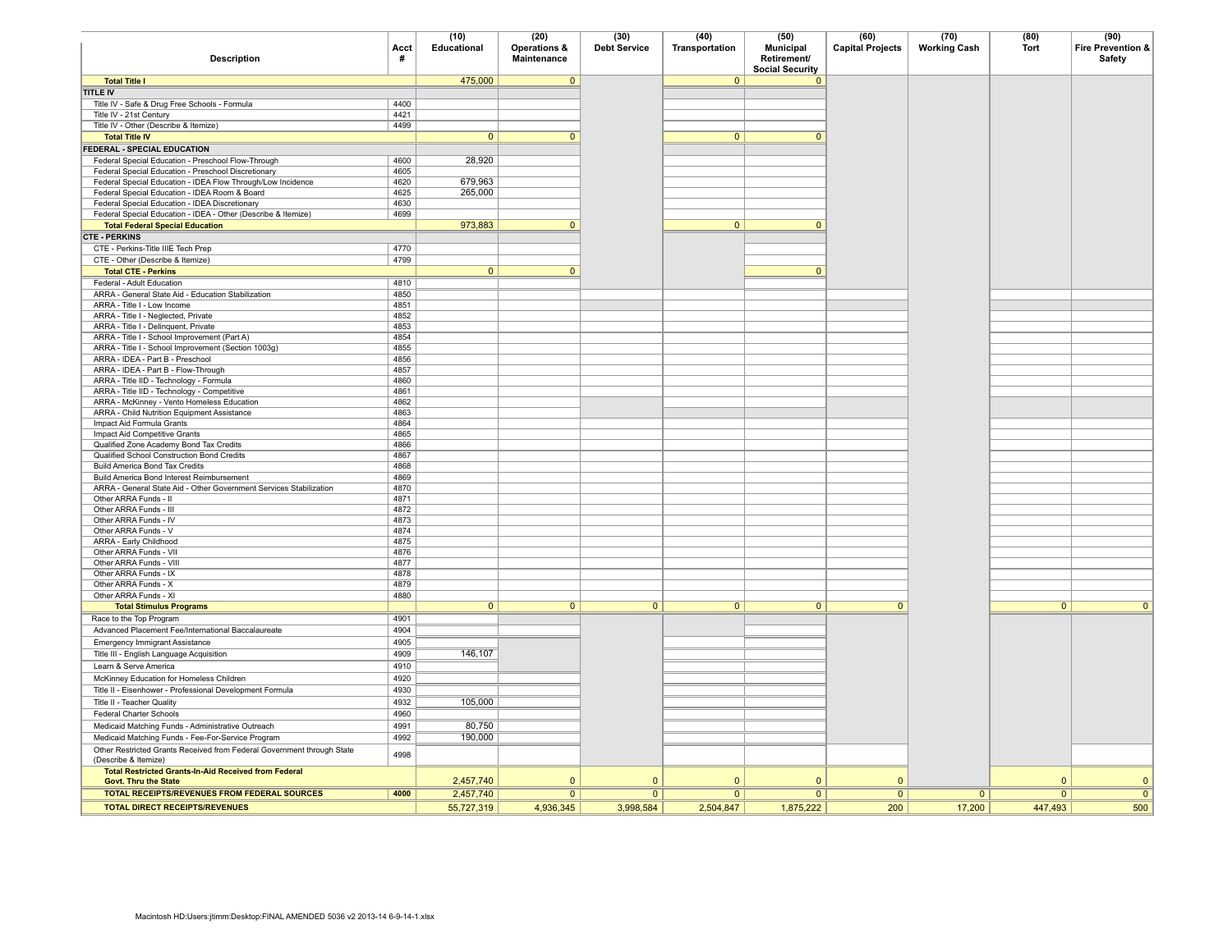| <b>Description</b>                                                                              | Acct<br>#    | (10)<br>Educational | (20)<br>Operations &<br>Maintenance | (30)<br><b>Debt Service</b> | (40)<br>Transportation | (50)<br><b>Municipal</b><br>Retirement/<br><b>Social Security</b> | (60)<br><b>Capital Projects</b> | (70)<br><b>Working Cash</b> | (80)<br><b>Tort</b> | (90)<br>Fire Prevention &<br>Safety |
|-------------------------------------------------------------------------------------------------|--------------|---------------------|-------------------------------------|-----------------------------|------------------------|-------------------------------------------------------------------|---------------------------------|-----------------------------|---------------------|-------------------------------------|
| <b>Total Title I</b>                                                                            |              | 475,000             | $\overline{0}$                      |                             | $\overline{0}$         | $\overline{0}$                                                    |                                 |                             |                     |                                     |
| <b>TITLE IV</b>                                                                                 |              |                     |                                     |                             |                        |                                                                   |                                 |                             |                     |                                     |
| Title IV - Safe & Drug Free Schools - Formula                                                   | 4400         |                     |                                     |                             |                        |                                                                   |                                 |                             |                     |                                     |
| Title IV - 21st Century                                                                         | 4421         |                     |                                     |                             |                        |                                                                   |                                 |                             |                     |                                     |
| Title IV - Other (Describe & Itemize)                                                           | 4499         |                     |                                     |                             |                        |                                                                   |                                 |                             |                     |                                     |
| <b>Total Title IV</b>                                                                           |              | $\mathbf{0}$        | $\mathbf{0}$                        |                             | $\overline{0}$         | $\mathbf{0}$                                                      |                                 |                             |                     |                                     |
| FEDERAL - SPECIAL EDUCATION                                                                     |              |                     |                                     |                             |                        |                                                                   |                                 |                             |                     |                                     |
| Federal Special Education - Preschool Flow-Through                                              | 4600         | 28,920              |                                     |                             |                        |                                                                   |                                 |                             |                     |                                     |
| Federal Special Education - Preschool Discretionary                                             | 4605         |                     |                                     |                             |                        |                                                                   |                                 |                             |                     |                                     |
| Federal Special Education - IDEA Flow Through/Low Incidence                                     | 4620         | 679,963             |                                     |                             |                        |                                                                   |                                 |                             |                     |                                     |
| Federal Special Education - IDEA Room & Board<br>Federal Special Education - IDEA Discretionary | 4625<br>4630 | 265,000             |                                     |                             |                        |                                                                   |                                 |                             |                     |                                     |
| Federal Special Education - IDEA - Other (Describe & Itemize)                                   | 4699         |                     |                                     |                             |                        |                                                                   |                                 |                             |                     |                                     |
| <b>Total Federal Special Education</b>                                                          |              | 973,883             | $\mathbf{0}$                        |                             | $\overline{0}$         | $\mathbf{0}$                                                      |                                 |                             |                     |                                     |
| <b>CTE - PERKINS</b>                                                                            |              |                     |                                     |                             |                        |                                                                   |                                 |                             |                     |                                     |
| CTE - Perkins-Title IIIE Tech Prep                                                              | 4770         |                     |                                     |                             |                        |                                                                   |                                 |                             |                     |                                     |
| CTE - Other (Describe & Itemize)                                                                | 4799         |                     |                                     |                             |                        |                                                                   |                                 |                             |                     |                                     |
| <b>Total CTE - Perkins</b>                                                                      |              | $\overline{0}$      | $\overline{0}$                      |                             |                        | $\overline{0}$                                                    |                                 |                             |                     |                                     |
| Federal - Adult Education                                                                       | 4810         |                     |                                     |                             |                        |                                                                   |                                 |                             |                     |                                     |
| ARRA - General State Aid - Education Stabilization                                              | 4850         |                     |                                     |                             |                        |                                                                   |                                 |                             |                     |                                     |
| ARRA - Title I - Low Income                                                                     | 4851         |                     |                                     |                             |                        |                                                                   |                                 |                             |                     |                                     |
| ARRA - Title I - Neglected, Private                                                             | 4852         |                     |                                     |                             |                        |                                                                   |                                 |                             |                     |                                     |
| ARRA - Title I - Delinquent, Private                                                            | 4853         |                     |                                     |                             |                        |                                                                   |                                 |                             |                     |                                     |
| ARRA - Title I - School Improvement (Part A)                                                    | 4854         |                     |                                     |                             |                        |                                                                   |                                 |                             |                     |                                     |
| ARRA - Title I - School Improvement (Section 1003g)                                             | 4855         |                     |                                     |                             |                        |                                                                   |                                 |                             |                     |                                     |
| ARRA - IDEA - Part B - Preschool                                                                | 4856         |                     |                                     |                             |                        |                                                                   |                                 |                             |                     |                                     |
| ARRA - IDEA - Part B - Flow-Through                                                             | 4857         |                     |                                     |                             |                        |                                                                   |                                 |                             |                     |                                     |
| ARRA - Title IID - Technology - Formula<br>ARRA - Title IID - Technology - Competitive          | 4860<br>4861 |                     |                                     |                             |                        |                                                                   |                                 |                             |                     |                                     |
| ARRA - McKinney - Vento Homeless Education                                                      | 4862         |                     |                                     |                             |                        |                                                                   |                                 |                             |                     |                                     |
| ARRA - Child Nutrition Equipment Assistance                                                     | 4863         |                     |                                     |                             |                        |                                                                   |                                 |                             |                     |                                     |
| Impact Aid Formula Grants                                                                       | 4864         |                     |                                     |                             |                        |                                                                   |                                 |                             |                     |                                     |
| Impact Aid Competitive Grants                                                                   | 4865         |                     |                                     |                             |                        |                                                                   |                                 |                             |                     |                                     |
| Qualified Zone Academy Bond Tax Credits                                                         | 4866         |                     |                                     |                             |                        |                                                                   |                                 |                             |                     |                                     |
| Qualified School Construction Bond Credits                                                      | 4867         |                     |                                     |                             |                        |                                                                   |                                 |                             |                     |                                     |
| <b>Build America Bond Tax Credits</b>                                                           | 4868         |                     |                                     |                             |                        |                                                                   |                                 |                             |                     |                                     |
| Build America Bond Interest Reimbursement                                                       | 4869         |                     |                                     |                             |                        |                                                                   |                                 |                             |                     |                                     |
| ARRA - General State Aid - Other Government Services Stabilization                              | 4870         |                     |                                     |                             |                        |                                                                   |                                 |                             |                     |                                     |
| Other ARRA Funds - II<br>Other ARRA Funds - III                                                 | 4871<br>4872 |                     |                                     |                             |                        |                                                                   |                                 |                             |                     |                                     |
| Other ARRA Funds - IV                                                                           | 4873         |                     |                                     |                             |                        |                                                                   |                                 |                             |                     |                                     |
| Other ARRA Funds - V                                                                            | 4874         |                     |                                     |                             |                        |                                                                   |                                 |                             |                     |                                     |
| ARRA - Early Childhood                                                                          | 4875         |                     |                                     |                             |                        |                                                                   |                                 |                             |                     |                                     |
| Other ARRA Funds - VII                                                                          | 4876         |                     |                                     |                             |                        |                                                                   |                                 |                             |                     |                                     |
| Other ARRA Funds - VIII                                                                         | 4877         |                     |                                     |                             |                        |                                                                   |                                 |                             |                     |                                     |
| Other ARRA Funds - IX                                                                           | 4878         |                     |                                     |                             |                        |                                                                   |                                 |                             |                     |                                     |
| Other ARRA Funds - X                                                                            | 4879         |                     |                                     |                             |                        |                                                                   |                                 |                             |                     |                                     |
| Other ARRA Funds - XI                                                                           | 4880         |                     |                                     |                             |                        |                                                                   |                                 |                             |                     |                                     |
| <b>Total Stimulus Programs</b>                                                                  |              | $\mathbf{0}$        | 0                                   | $\overline{0}$              | $\overline{0}$         | $\overline{0}$                                                    | $\overline{0}$                  |                             | $\overline{0}$      | $\overline{0}$                      |
| Race to the Top Program                                                                         | 4901         |                     |                                     |                             |                        |                                                                   |                                 |                             |                     |                                     |
| Advanced Placement Fee/International Baccalaureate                                              | 4904         |                     |                                     |                             |                        |                                                                   |                                 |                             |                     |                                     |
| <b>Emergency Immigrant Assistance</b>                                                           | 4905         |                     |                                     |                             |                        |                                                                   |                                 |                             |                     |                                     |
| Title III - English Language Acquisition                                                        | 4909         | 146,107             |                                     |                             |                        |                                                                   |                                 |                             |                     |                                     |
| Learn & Serve America                                                                           | 4910         |                     |                                     |                             |                        |                                                                   |                                 |                             |                     |                                     |
| McKinney Education for Homeless Children                                                        | 4920         |                     |                                     |                             |                        |                                                                   |                                 |                             |                     |                                     |
| Title II - Eisenhower - Professional Development Formula                                        | 4930         |                     |                                     |                             |                        |                                                                   |                                 |                             |                     |                                     |
| Title II - Teacher Quality                                                                      | 4932         | 105,000             |                                     |                             |                        |                                                                   |                                 |                             |                     |                                     |
| <b>Federal Charter Schools</b>                                                                  | 4960         |                     |                                     |                             |                        |                                                                   |                                 |                             |                     |                                     |
| Medicaid Matching Funds - Administrative Outreach                                               | 4991         | 80,750              |                                     |                             |                        |                                                                   |                                 |                             |                     |                                     |
| Medicaid Matching Funds - Fee-For-Service Program                                               | 4992         | 190,000             |                                     |                             |                        |                                                                   |                                 |                             |                     |                                     |
| Other Restricted Grants Received from Federal Government through State<br>(Describe & Itemize)  | 4998         |                     |                                     |                             |                        |                                                                   |                                 |                             |                     |                                     |
| Total Restricted Grants-In-Aid Received from Federal<br><b>Govt. Thru the State</b>             |              | 2,457,740           | $\Omega$                            | $\Omega$                    | $\Omega$               | $\Omega$                                                          | $\mathbf{0}$                    |                             | $\overline{0}$      | $\mathbf{0}$                        |
| TOTAL RECEIPTS/REVENUES FROM FEDERAL SOURCES                                                    | 4000         | 2,457,740           | $\overline{0}$                      | $\mathbf{0}$                | $\mathbf{0}$           | $\mathbf{0}$                                                      | $\mathbf{0}$                    | $\mathbf{0}$                | $\mathbf{0}$        | 0                                   |
| <b>TOTAL DIRECT RECEIPTS/REVENUES</b>                                                           |              | 55,727,319          | 4,936,345                           | 3,998,584                   | 2,504,847              | 1,875,222                                                         | 200                             | 17,200                      | 447,493             | 500                                 |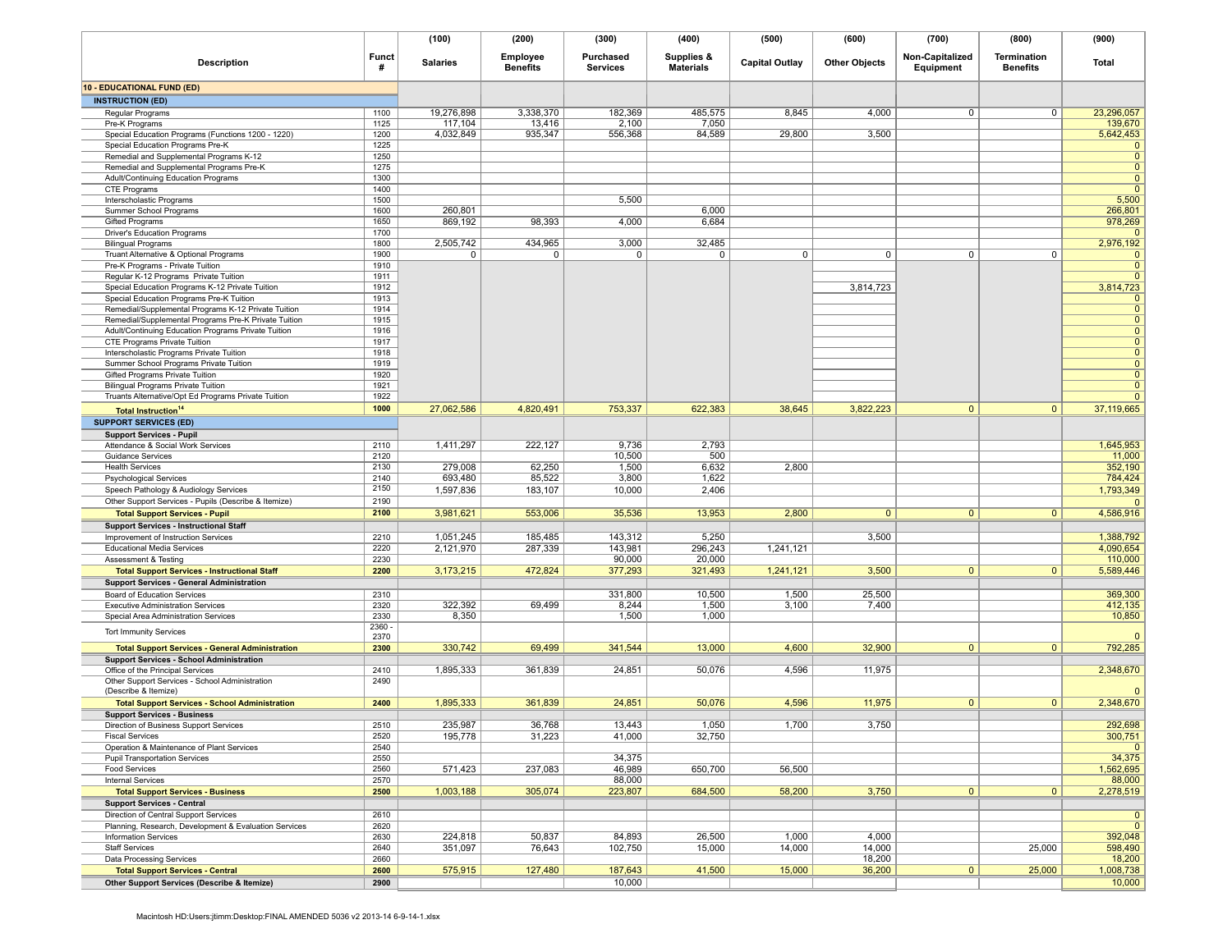|                                                                                        |                   | (100)           | (200)                       | (300)                        | (400)                          | (500)                 | (600)                | (700)                        | (800)                          | (900)                          |
|----------------------------------------------------------------------------------------|-------------------|-----------------|-----------------------------|------------------------------|--------------------------------|-----------------------|----------------------|------------------------------|--------------------------------|--------------------------------|
| <b>Description</b>                                                                     | <b>Funct</b><br># | <b>Salaries</b> | Employee<br><b>Benefits</b> | Purchased<br><b>Services</b> | Supplies &<br><b>Materials</b> | <b>Capital Outlay</b> | <b>Other Objects</b> | Non-Capitalized<br>Equipment | Termination<br><b>Benefits</b> | Total                          |
| <b>10 - EDUCATIONAL FUND (ED)</b>                                                      |                   |                 |                             |                              |                                |                       |                      |                              |                                |                                |
| <b>INSTRUCTION (ED)</b>                                                                |                   |                 |                             |                              |                                |                       |                      |                              |                                |                                |
| Regular Programs                                                                       | 1100              | 19,276,898      | 3,338,370                   | 182,369                      | 485,575                        | 8,845                 | 4,000                | 0                            | 0                              | 23,296,057                     |
| Pre-K Programs                                                                         | 1125              | 117,104         | 13,416                      | 2,100                        | 7,050                          |                       |                      |                              |                                | 139,670                        |
| Special Education Programs (Functions 1200 - 1220)                                     | 1200              | 4,032,849       | 935,347                     | 556,368                      | 84,589                         | 29,800                | 3,500                |                              |                                | 5,642,453                      |
| Special Education Programs Pre-K                                                       | 1225              |                 |                             |                              |                                |                       |                      |                              |                                | $\mathbf 0$                    |
| Remedial and Supplemental Programs K-12                                                | 1250<br>1275      |                 |                             |                              |                                |                       |                      |                              |                                | $\overline{0}$<br>$\mathbf{0}$ |
| Remedial and Supplemental Programs Pre-K<br>Adult/Continuing Education Programs        | 1300              |                 |                             |                              |                                |                       |                      |                              |                                | $\overline{0}$                 |
| CTE Programs                                                                           | 1400              |                 |                             |                              |                                |                       |                      |                              |                                | $\overline{0}$                 |
| Interscholastic Programs                                                               | 1500              |                 |                             | 5,500                        |                                |                       |                      |                              |                                | 5,500                          |
| Summer School Programs                                                                 | 1600              | 260,801         |                             |                              | 6,000                          |                       |                      |                              |                                | 266,801                        |
| Gifted Programs                                                                        | 1650              | 869,192         | 98,393                      | 4,000                        | 6,684                          |                       |                      |                              |                                | 978,269                        |
| <b>Driver's Education Programs</b>                                                     | 1700              |                 |                             |                              |                                |                       |                      |                              |                                | $\mathbf{0}$                   |
| <b>Bilingual Programs</b>                                                              | 1800<br>1900      | 2,505,742<br>0  | 434,965<br>0                | 3,000<br>0                   | 32,485                         | 0                     | $\mathbf 0$          | 0                            | $\mathbf{0}$                   | 2,976,192<br>$\mathbf 0$       |
| Truant Alternative & Optional Programs<br>Pre-K Programs - Private Tuition             | 1910              |                 |                             |                              | 0                              |                       |                      |                              |                                | $\overline{0}$                 |
| Regular K-12 Programs Private Tuition                                                  | 1911              |                 |                             |                              |                                |                       |                      |                              |                                | $\mathbf{0}$                   |
| Special Education Programs K-12 Private Tuition                                        | 1912              |                 |                             |                              |                                |                       | 3,814,723            |                              |                                | 3,814,723                      |
| Special Education Programs Pre-K Tuition                                               | 1913              |                 |                             |                              |                                |                       |                      |                              |                                | $\mathbf{0}$                   |
| Remedial/Supplemental Programs K-12 Private Tuition                                    | 1914              |                 |                             |                              |                                |                       |                      |                              |                                | $\mathbf 0$                    |
| Remedial/Supplemental Programs Pre-K Private Tuition                                   | 1915              |                 |                             |                              |                                |                       |                      |                              |                                | $\mathbf{0}$                   |
| Adult/Continuing Education Programs Private Tuition                                    | 1916              |                 |                             |                              |                                |                       |                      |                              |                                | $\overline{0}$                 |
| CTE Programs Private Tuition                                                           | 1917<br>1918      |                 |                             |                              |                                |                       |                      |                              |                                | $\overline{0}$                 |
| Interscholastic Programs Private Tuition<br>Summer School Programs Private Tuition     | 1919              |                 |                             |                              |                                |                       |                      |                              |                                | $\mathbf 0$<br>$\mathbf 0$     |
| Gifted Programs Private Tuition                                                        | 1920              |                 |                             |                              |                                |                       |                      |                              |                                | $\mathbf{0}$                   |
| <b>Bilingual Programs Private Tuition</b>                                              | 1921              |                 |                             |                              |                                |                       |                      |                              |                                | $\mathbf{0}$                   |
| Truants Alternative/Opt Ed Programs Private Tuition                                    | 1922              |                 |                             |                              |                                |                       |                      |                              |                                | $\mathbf{0}$                   |
| <b>Total Instruction<sup>14</sup></b>                                                  | 1000              | 27,062,586      | 4,820,491                   | 753,337                      | 622,383                        | 38,645                | 3,822,223            | $\mathbf{0}$                 | $\mathbf{0}$                   | 37,119,665                     |
| <b>SUPPORT SERVICES (ED)</b>                                                           |                   |                 |                             |                              |                                |                       |                      |                              |                                |                                |
| <b>Support Services - Pupil</b>                                                        |                   |                 |                             |                              |                                |                       |                      |                              |                                |                                |
| Attendance & Social Work Services                                                      | 2110              | 1,411,297       | 222,127                     | 9,736                        | 2,793                          |                       |                      |                              |                                | 1,645,953                      |
| <b>Guidance Services</b>                                                               | 2120              |                 |                             | 10,500                       | 500                            |                       |                      |                              |                                | 11,000                         |
| <b>Health Services</b>                                                                 | 2130              | 279,008         | 62,250                      | 1,500                        | 6,632                          | 2,800                 |                      |                              |                                | 352,190                        |
| <b>Psychological Services</b>                                                          | 2140<br>2150      | 693,480         | 85,522                      | 3,800                        | 1,622                          |                       |                      |                              |                                | 784,424                        |
| Speech Pathology & Audiology Services                                                  | 2190              | 1,597,836       | 183,107                     | 10,000                       | 2,406                          |                       |                      |                              |                                | 1,793,349                      |
| Other Support Services - Pupils (Describe & Itemize)                                   | 2100              | 3,981,621       | 553,006                     | 35,536                       | 13,953                         | 2,800                 | 0                    | $\mathbf{0}$                 | $\circ$                        | 4,586,916                      |
| <b>Total Support Services - Pupil</b><br><b>Support Services - Instructional Staff</b> |                   |                 |                             |                              |                                |                       |                      |                              |                                |                                |
| Improvement of Instruction Services                                                    | 2210              | 1,051,245       | 185,485                     | 143,312                      | 5,250                          |                       | 3,500                |                              |                                | 1,388,792                      |
| <b>Educational Media Services</b>                                                      | 2220              | 2,121,970       | 287,339                     | 143,981                      | 296,243                        | 1,241,121             |                      |                              |                                | 4,090,654                      |
| Assessment & Testing                                                                   | 2230              |                 |                             | 90,000                       | 20,000                         |                       |                      |                              |                                | 110,000                        |
| <b>Total Support Services - Instructional Staff</b>                                    | 2200              | 3,173,215       | 472,824                     | 377,293                      | 321,493                        | 1,241,121             | 3,500                | $\overline{0}$               | $\overline{0}$                 | 5,589,446                      |
| <b>Support Services - General Administration</b>                                       |                   |                 |                             |                              |                                |                       |                      |                              |                                |                                |
| Board of Education Services                                                            | 2310              |                 |                             | 331,800                      | 10,500                         | 1,500                 | 25,500               |                              |                                | 369,300                        |
| <b>Executive Administration Services</b>                                               | 2320              | 322,392         | 69,499                      | 8,244                        | 1,500                          | 3,100                 | 7,400                |                              |                                | 412,135                        |
| Special Area Administration Services                                                   | 2330<br>2360      | 8,350           |                             | 1,500                        | 1,000                          |                       |                      |                              |                                | 10,850                         |
| <b>Tort Immunity Services</b>                                                          | 2370              |                 |                             |                              |                                |                       |                      |                              |                                | $\mathbf{0}$                   |
| <b>Total Support Services - General Administration</b>                                 | 2300              | 330,742         | 69,499                      | 341,544                      | 13,000                         | 4,600                 | 32,900               | $\mathbf{0}$                 | $\circ$                        | 792,285                        |
| <b>Support Services - School Administration</b>                                        |                   |                 |                             |                              |                                |                       |                      |                              |                                |                                |
| Office of the Principal Services                                                       | 2410              | 1,895,333       | 361,839                     | 24,851                       | 50,076                         | 4,596                 | 11,975               |                              |                                | 2,348,670                      |
| Other Support Services - School Administration<br>(Describe & Itemize)                 | 2490              |                 |                             |                              |                                |                       |                      |                              |                                | $\mathbf{0}$                   |
| <b>Total Support Services - School Administration</b>                                  | 2400              | 1,895,333       | 361,839                     | 24,851                       | 50,076                         | 4,596                 | 11,975               | $\mathbf{0}$                 | $\mathbf{0}$                   | 2,348,670                      |
| <b>Support Services - Business</b>                                                     |                   |                 |                             |                              |                                |                       |                      |                              |                                |                                |
| Direction of Business Support Services                                                 | 2510              | 235,987         | 36,768                      | 13,443                       | 1,050                          | 1,700                 | 3,750                |                              |                                | 292,698                        |
| <b>Fiscal Services</b>                                                                 | 2520              | 195,778         | 31,223                      | 41,000                       | 32,750                         |                       |                      |                              |                                | 300,751                        |
| Operation & Maintenance of Plant Services                                              | 2540              |                 |                             |                              |                                |                       |                      |                              |                                | $\mathbf{0}$                   |
| <b>Pupil Transportation Services</b>                                                   | 2550              |                 |                             | 34,375                       |                                |                       |                      |                              |                                | 34,375                         |
| <b>Food Services</b>                                                                   | 2560              | 571,423         | 237,083                     | 46,989                       | 650,700                        | 56,500                |                      |                              |                                | 1,562,695                      |
| <b>Internal Services</b><br><b>Total Support Services - Business</b>                   | 2570<br>2500      | 1,003,188       | 305,074                     | 88,000<br>223,807            | 684,500                        | 58,200                | 3,750                | $\mathbf{0}$                 | 0                              | 88,000<br>2,278,519            |
| <b>Support Services - Central</b>                                                      |                   |                 |                             |                              |                                |                       |                      |                              |                                |                                |
| Direction of Central Support Services                                                  | 2610              |                 |                             |                              |                                |                       |                      |                              |                                | $\overline{0}$                 |
| Planning, Research, Development & Evaluation Services                                  | 2620              |                 |                             |                              |                                |                       |                      |                              |                                | $\overline{0}$                 |
| <b>Information Services</b>                                                            | 2630              | 224,818         | 50,837                      | 84,893                       | 26,500                         | 1,000                 | 4,000                |                              |                                | 392,048                        |
| <b>Staff Services</b>                                                                  | 2640              | 351,097         | 76,643                      | 102,750                      | 15,000                         | 14,000                | 14,000               |                              | 25,000                         | 598,490                        |
| Data Processing Services                                                               | 2660              |                 |                             |                              |                                |                       | 18,200               |                              |                                | 18,200                         |
| <b>Total Support Services - Central</b>                                                | 2600              | 575,915         | 127,480                     | 187,643                      | 41,500                         | 15,000                | 36,200               | $\mathbf{0}$                 | 25,000                         | 1,008,738                      |
| <b>Other Support Services (Describe &amp; Itemize)</b>                                 | 2900              |                 |                             | 10,000                       |                                |                       |                      |                              |                                | 10,000                         |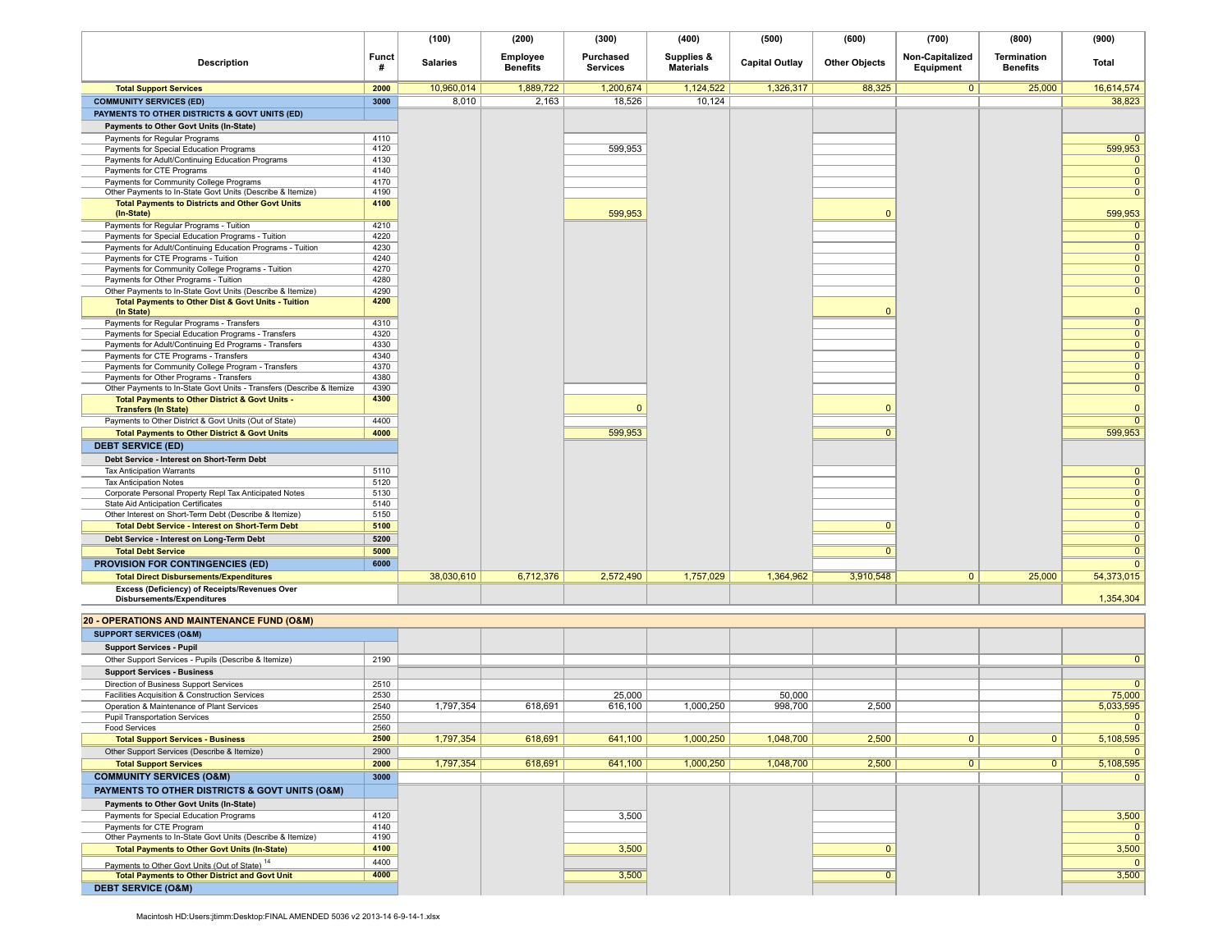|                                                                                                                       |                   | (100)           | (200)                       | (300)                        | (400)                          | (500)                 | (600)                | (700)                        | (800)                                 | (900)          |
|-----------------------------------------------------------------------------------------------------------------------|-------------------|-----------------|-----------------------------|------------------------------|--------------------------------|-----------------------|----------------------|------------------------------|---------------------------------------|----------------|
| <b>Description</b>                                                                                                    | <b>Funct</b><br># | <b>Salaries</b> | Employee<br><b>Benefits</b> | Purchased<br><b>Services</b> | Supplies &<br><b>Materials</b> | <b>Capital Outlay</b> | <b>Other Objects</b> | Non-Capitalized<br>Equipment | <b>Termination</b><br><b>Benefits</b> | Total          |
| <b>Total Support Services</b>                                                                                         | 2000              | 10,960,014      | 1,889,722                   | 1,200,674                    | 1,124,522                      | 1,326,317             | 88,325               | $\mathbf{0}$                 | 25,000                                | 16,614,574     |
| <b>COMMUNITY SERVICES (ED)</b>                                                                                        | 3000              | 8,010           | 2,163                       | 18,526                       | 10,124                         |                       |                      |                              |                                       | 38,823         |
| PAYMENTS TO OTHER DISTRICTS & GOVT UNITS (ED)                                                                         |                   |                 |                             |                              |                                |                       |                      |                              |                                       |                |
| <b>Payments to Other Govt Units (In-State)</b>                                                                        |                   |                 |                             |                              |                                |                       |                      |                              |                                       |                |
| Payments for Regular Programs                                                                                         | 4110              |                 |                             |                              |                                |                       |                      |                              |                                       | $\Omega$       |
| Payments for Special Education Programs                                                                               | 4120              |                 |                             | 599,953                      |                                |                       |                      |                              |                                       | 599,953        |
| Payments for Adult/Continuing Education Programs                                                                      | 4130              |                 |                             |                              |                                |                       |                      |                              |                                       | $\mathbf{0}$   |
| Payments for CTE Programs                                                                                             | 4140              |                 |                             |                              |                                |                       |                      |                              |                                       | $\mathbf{0}$   |
| Payments for Community College Programs                                                                               | 4170<br>4190      |                 |                             |                              |                                |                       |                      |                              |                                       | $\mathbf{0}$   |
| Other Payments to In-State Govt Units (Describe & Itemize)<br><b>Total Payments to Districts and Other Govt Units</b> | 4100              |                 |                             |                              |                                |                       |                      |                              |                                       | $\mathbf{0}$   |
| (In-State)                                                                                                            |                   |                 |                             | 599,953                      |                                |                       | $\Omega$             |                              |                                       | 599,953        |
| Payments for Regular Programs - Tuition                                                                               | 4210              |                 |                             |                              |                                |                       |                      |                              |                                       | $\Omega$       |
| Payments for Special Education Programs - Tuition                                                                     | 4220              |                 |                             |                              |                                |                       |                      |                              |                                       | $\overline{0}$ |
| Payments for Adult/Continuing Education Programs - Tuition                                                            | 4230              |                 |                             |                              |                                |                       |                      |                              |                                       | $\mathbf{0}$   |
| Payments for CTE Programs - Tuition                                                                                   | 4240              |                 |                             |                              |                                |                       |                      |                              |                                       | $\mathbf 0$    |
| Payments for Community College Programs - Tuition                                                                     | 4270              |                 |                             |                              |                                |                       |                      |                              |                                       | $\mathbf{0}$   |
| Payments for Other Programs - Tuition                                                                                 | 4280              |                 |                             |                              |                                |                       |                      |                              |                                       | $\overline{0}$ |
| Other Payments to In-State Govt Units (Describe & Itemize)                                                            | 4290<br>4200      |                 |                             |                              |                                |                       |                      |                              |                                       | $\mathbf{0}$   |
| <b>Total Payments to Other Dist &amp; Govt Units - Tuition</b><br>(In State)                                          |                   |                 |                             |                              |                                |                       | $\Omega$             |                              |                                       | $\mathbf{0}$   |
| Payments for Regular Programs - Transfers                                                                             | 4310              |                 |                             |                              |                                |                       |                      |                              |                                       | $\overline{0}$ |
| Payments for Special Education Programs - Transfers                                                                   | 4320              |                 |                             |                              |                                |                       |                      |                              |                                       | $\mathbf{0}$   |
| Payments for Adult/Continuing Ed Programs - Transfers                                                                 | 4330              |                 |                             |                              |                                |                       |                      |                              |                                       | $\overline{0}$ |
| Payments for CTE Programs - Transfers                                                                                 | 4340              |                 |                             |                              |                                |                       |                      |                              |                                       | $\mathbf{0}$   |
| Payments for Community College Program - Transfers                                                                    | 4370              |                 |                             |                              |                                |                       |                      |                              |                                       | $\mathbf{0}$   |
| Payments for Other Programs - Transfers                                                                               | 4380              |                 |                             |                              |                                |                       |                      |                              |                                       | $\overline{0}$ |
| Other Payments to In-State Govt Units - Transfers (Describe & Itemize                                                 | 4390<br>4300      |                 |                             |                              |                                |                       |                      |                              |                                       | $\mathbf{0}$   |
| Total Payments to Other District & Govt Units -<br><b>Transfers (In State)</b>                                        |                   |                 |                             | $\Omega$                     |                                |                       | $\Omega$             |                              |                                       | $\mathbf{0}$   |
| Payments to Other District & Govt Units (Out of State)                                                                | 4400              |                 |                             |                              |                                |                       |                      |                              |                                       | $\overline{0}$ |
| <b>Total Payments to Other District &amp; Govt Units</b>                                                              | 4000              |                 |                             | 599,953                      |                                |                       | $\overline{0}$       |                              |                                       | 599,953        |
| <b>DEBT SERVICE (ED)</b>                                                                                              |                   |                 |                             |                              |                                |                       |                      |                              |                                       |                |
| Debt Service - Interest on Short-Term Debt                                                                            |                   |                 |                             |                              |                                |                       |                      |                              |                                       |                |
| <b>Tax Anticipation Warrants</b>                                                                                      | 5110              |                 |                             |                              |                                |                       |                      |                              |                                       | $\mathbf{0}$   |
| <b>Tax Anticipation Notes</b>                                                                                         | 5120              |                 |                             |                              |                                |                       |                      |                              |                                       | $\mathbf 0$    |
| Corporate Personal Property Repl Tax Anticipated Notes                                                                | 5130              |                 |                             |                              |                                |                       |                      |                              |                                       | $\mathbf{0}$   |
| State Aid Anticipation Certificates                                                                                   | 5140              |                 |                             |                              |                                |                       |                      |                              |                                       | $\overline{0}$ |
| Other Interest on Short-Term Debt (Describe & Itemize)                                                                | 5150              |                 |                             |                              |                                |                       |                      |                              |                                       | $\mathbf{0}$   |
| <b>Total Debt Service - Interest on Short-Term Debt</b>                                                               | 5100              |                 |                             |                              |                                |                       | $\mathbf{0}$         |                              |                                       | $\mathbf 0$    |
| Debt Service - Interest on Long-Term Debt                                                                             | 5200              |                 |                             |                              |                                |                       |                      |                              |                                       | $\mathbf 0$    |
| <b>Total Debt Service</b>                                                                                             | 5000              |                 |                             |                              |                                |                       | $\mathbf{0}$         |                              |                                       | $\overline{0}$ |
| <b>PROVISION FOR CONTINGENCIES (ED)</b>                                                                               | 6000              |                 |                             |                              |                                |                       |                      |                              |                                       | $\mathbf{0}$   |
| <b>Total Direct Disbursements/Expenditures</b>                                                                        |                   | 38,030,610      | 6,712,376                   | 2,572,490                    | 1,757,029                      | 1,364,962             | 3,910,548            | $\mathbf{0}$                 | 25,000                                | 54,373,015     |
| Excess (Deficiency) of Receipts/Revenues Over                                                                         |                   |                 |                             |                              |                                |                       |                      |                              |                                       | 1,354,304      |
| Disbursements/Expenditures                                                                                            |                   |                 |                             |                              |                                |                       |                      |                              |                                       |                |
| 20 - OPERATIONS AND MAINTENANCE FUND (O&M)                                                                            |                   |                 |                             |                              |                                |                       |                      |                              |                                       |                |
| <b>SUPPORT SERVICES (O&amp;M)</b>                                                                                     |                   |                 |                             |                              |                                |                       |                      |                              |                                       |                |
| <b>Support Services - Pupil</b>                                                                                       |                   |                 |                             |                              |                                |                       |                      |                              |                                       |                |
| Other Support Services - Pupils (Describe & Itemize)                                                                  | 2190              |                 |                             |                              |                                |                       |                      |                              |                                       | $\mathbf 0$    |
| <b>Support Services - Business</b>                                                                                    |                   |                 |                             |                              |                                |                       |                      |                              |                                       |                |
| Direction of Business Support Services                                                                                | 2510              |                 |                             |                              |                                |                       |                      |                              |                                       | $\mathbf{0}$   |
| Facilities Acquisition & Construction Services                                                                        | 2530              |                 |                             | 25,000                       |                                | 50,000                |                      |                              |                                       | 75,000         |
| Operation & Maintenance of Plant Services                                                                             | 2540              | 1,797,354       | 618,691                     | 616,100                      | 1,000,250                      | 998,700               | 2,500                |                              |                                       | 5,033,595      |
| <b>Pupil Transportation Services</b>                                                                                  | 2550              |                 |                             |                              |                                |                       |                      |                              |                                       | $\mathbf{0}$   |
| Food Services                                                                                                         | 2560              |                 |                             |                              |                                |                       |                      |                              |                                       | $\Omega$       |
| <b>Total Support Services - Business</b>                                                                              | 2500              | 1,797,354       | 618,691                     | 641,100                      | 1,000,250                      | 1,048,700             | 2,500                | $\mathbf{0}$                 | $\circ$                               | 5,108,595      |
| Other Support Services (Describe & Itemize)                                                                           | 2900              |                 |                             |                              |                                |                       |                      |                              |                                       | $\mathbf{0}$   |
| <b>Total Support Services</b>                                                                                         | 2000              | 1,797,354       | 618,691                     | 641,100                      | 1,000,250                      | 1,048,700             | 2,500                | $\overline{0}$               | $\overline{0}$                        | 5,108,595      |
| <b>COMMUNITY SERVICES (O&amp;M)</b>                                                                                   | 3000              |                 |                             |                              |                                |                       |                      |                              |                                       | $\mathbf{0}$   |
| PAYMENTS TO OTHER DISTRICTS & GOVT UNITS (O&M)                                                                        |                   |                 |                             |                              |                                |                       |                      |                              |                                       |                |
| Payments to Other Govt Units (In-State)                                                                               |                   |                 |                             |                              |                                |                       |                      |                              |                                       |                |
| Payments for Special Education Programs                                                                               | 4120              |                 |                             | 3,500                        |                                |                       |                      |                              |                                       | 3,500          |
| Payments for CTE Program                                                                                              | 4140              |                 |                             |                              |                                |                       |                      |                              |                                       | $\mathbf{0}$   |
| Other Payments to In-State Govt Units (Describe & Itemize)                                                            | 4190<br>4100      |                 |                             |                              |                                |                       | $\mathbf 0$          |                              |                                       | $\mathbf{0}$   |
| <b>Total Payments to Other Govt Units (In-State)</b>                                                                  |                   |                 |                             | 3,500                        |                                |                       |                      |                              |                                       | 3,500          |
| Payments to Other Govt Units (Out of State) <sup>14</sup>                                                             | 4400<br>4000      |                 |                             |                              |                                |                       |                      |                              |                                       | $\mathbf{0}$   |
| <b>Total Payments to Other District and Govt Unit</b><br><b>DEBT SERVICE (O&amp;M)</b>                                |                   |                 |                             | 3,500                        |                                |                       | $\overline{0}$       |                              |                                       | 3,500          |
|                                                                                                                       |                   |                 |                             |                              |                                |                       |                      |                              |                                       |                |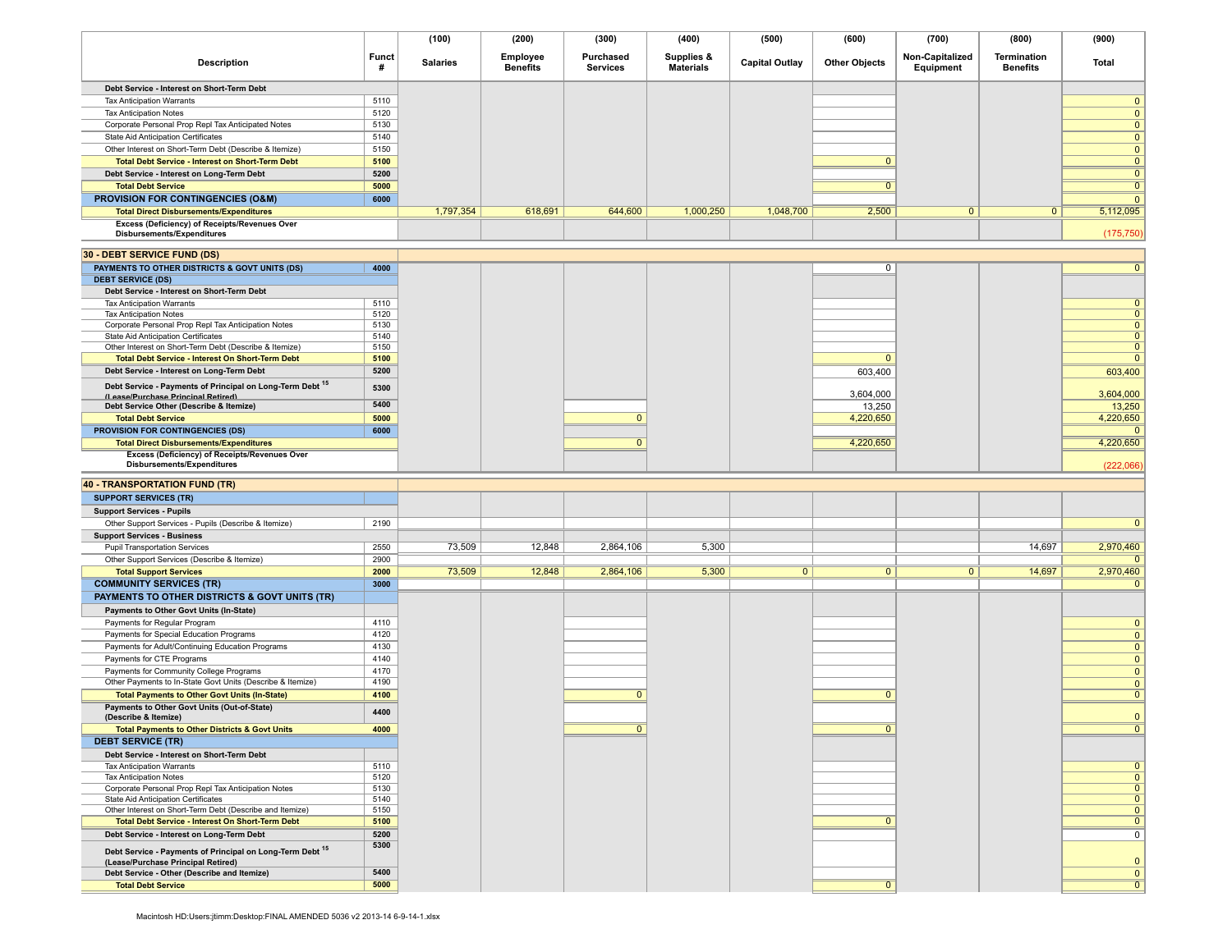|                                                                                                     |                   | (100)           | (200)                       | (300)                        | (400)                          | (500)                 | (600)                | (700)                        | (800)                          | (900)                        |
|-----------------------------------------------------------------------------------------------------|-------------------|-----------------|-----------------------------|------------------------------|--------------------------------|-----------------------|----------------------|------------------------------|--------------------------------|------------------------------|
| <b>Description</b>                                                                                  | <b>Funct</b><br># | <b>Salaries</b> | Employee<br><b>Benefits</b> | Purchased<br><b>Services</b> | Supplies &<br><b>Materials</b> | <b>Capital Outlay</b> | <b>Other Objects</b> | Non-Capitalized<br>Equipment | Termination<br><b>Benefits</b> | Total                        |
| Debt Service - Interest on Short-Term Debt                                                          |                   |                 |                             |                              |                                |                       |                      |                              |                                |                              |
| <b>Tax Anticipation Warrants</b>                                                                    | 5110              |                 |                             |                              |                                |                       |                      |                              |                                | $\mathbf{0}$                 |
| <b>Tax Anticipation Notes</b>                                                                       | 5120              |                 |                             |                              |                                |                       |                      |                              |                                | $\mathbf{0}$                 |
| Corporate Personal Prop Repl Tax Anticipated Notes                                                  | 5130              |                 |                             |                              |                                |                       |                      |                              |                                | $\mathbf{0}$                 |
| State Aid Anticipation Certificates                                                                 | 5140              |                 |                             |                              |                                |                       |                      |                              |                                | $\mathbf{0}$                 |
| Other Interest on Short-Term Debt (Describe & Itemize)                                              | 5150              |                 |                             |                              |                                |                       |                      |                              |                                | $\mathbf{0}$                 |
| <b>Total Debt Service - Interest on Short-Term Debt</b>                                             | 5100              |                 |                             |                              |                                |                       | $\mathbf{0}$         |                              |                                | $\mathbf{0}$                 |
| Debt Service - Interest on Long-Term Debt                                                           | 5200              |                 |                             |                              |                                |                       |                      |                              |                                | $\overline{0}$               |
| <b>Total Debt Service</b>                                                                           | 5000              |                 |                             |                              |                                |                       | $\mathbf{0}$         |                              |                                | $\mathbf{0}$                 |
| <b>PROVISION FOR CONTINGENCIES (O&amp;M)</b>                                                        | 6000              |                 |                             |                              |                                |                       |                      |                              |                                | $\mathbf{0}$                 |
| <b>Total Direct Disbursements/Expenditures</b>                                                      |                   | 1,797,354       | 618,691                     | 644,600                      | 1,000,250                      | 1,048,700             | 2,500                | $\mathbf{0}$                 | $\mathbf{0}$                   | 5,112,095                    |
| Excess (Deficiency) of Receipts/Revenues Over<br>Disbursements/Expenditures                         |                   |                 |                             |                              |                                |                       |                      |                              |                                | (175, 750)                   |
| 30 - DEBT SERVICE FUND (DS)                                                                         |                   |                 |                             |                              |                                |                       |                      |                              |                                |                              |
| PAYMENTS TO OTHER DISTRICTS & GOVT UNITS (DS)                                                       | 4000              |                 |                             |                              |                                |                       | 0                    |                              |                                | $\overline{0}$               |
| <b>DEBT SERVICE (DS)</b>                                                                            |                   |                 |                             |                              |                                |                       |                      |                              |                                |                              |
| Debt Service - Interest on Short-Term Debt                                                          |                   |                 |                             |                              |                                |                       |                      |                              |                                |                              |
| <b>Tax Anticipation Warrants</b>                                                                    | 5110              |                 |                             |                              |                                |                       |                      |                              |                                | $\mathbf{0}$                 |
| <b>Tax Anticipation Notes</b><br>Corporate Personal Prop Repl Tax Anticipation Notes                | 5120<br>5130      |                 |                             |                              |                                |                       |                      |                              |                                | $\mathbf{0}$<br>$\mathbf{0}$ |
| State Aid Anticipation Certificates                                                                 | 5140              |                 |                             |                              |                                |                       |                      |                              |                                | $\mathbf{0}$                 |
| Other Interest on Short-Term Debt (Describe & Itemize)                                              | 5150              |                 |                             |                              |                                |                       |                      |                              |                                | $\mathbf{0}$                 |
| <b>Total Debt Service - Interest On Short-Term Debt</b>                                             | 5100              |                 |                             |                              |                                |                       | $\mathbf{0}$         |                              |                                | $\mathbf{0}$                 |
| Debt Service - Interest on Long-Term Debt                                                           | 5200              |                 |                             |                              |                                |                       | 603,400              |                              |                                | 603,400                      |
| Debt Service - Payments of Principal on Long-Term Debt 15<br>(Lease/Purchase Principal Retired)     | 5300              |                 |                             |                              |                                |                       | 3,604,000            |                              |                                | 3,604,000                    |
| Debt Service Other (Describe & Itemize)                                                             | 5400              |                 |                             |                              |                                |                       | 13,250               |                              |                                | 13,250                       |
| <b>Total Debt Service</b>                                                                           | 5000              |                 |                             | $\mathbf{0}$                 |                                |                       | 4,220,650            |                              |                                | 4,220,650                    |
| PROVISION FOR CONTINGENCIES (DS)                                                                    | 6000              |                 |                             |                              |                                |                       |                      |                              |                                | $\mathbf{0}$                 |
| <b>Total Direct Disbursements/Expenditures</b><br>Excess (Deficiency) of Receipts/Revenues Over     |                   |                 |                             | $\mathbf{0}$                 |                                |                       | 4,220,650            |                              |                                | 4,220,650                    |
| Disbursements/Expenditures                                                                          |                   |                 |                             |                              |                                |                       |                      |                              |                                | (222,066)                    |
|                                                                                                     |                   |                 |                             |                              |                                |                       |                      |                              |                                |                              |
| <b>40 - TRANSPORTATION FUND (TR)</b>                                                                |                   |                 |                             |                              |                                |                       |                      |                              |                                |                              |
| <b>SUPPORT SERVICES (TR)</b>                                                                        |                   |                 |                             |                              |                                |                       |                      |                              |                                |                              |
| <b>Support Services - Pupils</b>                                                                    | 2190              |                 |                             |                              |                                |                       |                      |                              |                                | $\mathbf{0}$                 |
| Other Support Services - Pupils (Describe & Itemize)<br><b>Support Services - Business</b>          |                   |                 |                             |                              |                                |                       |                      |                              |                                |                              |
| <b>Pupil Transportation Services</b>                                                                | 2550              | 73,509          | 12,848                      | 2,864,106                    | 5,300                          |                       |                      |                              | 14,697                         | 2,970,460                    |
| Other Support Services (Describe & Itemize)                                                         | 2900              |                 |                             |                              |                                |                       |                      |                              |                                | $\Omega$                     |
| <b>Total Support Services</b>                                                                       | 2000              | 73,509          | 12,848                      | 2,864,106                    | 5,300                          | $\overline{0}$        | $\overline{0}$       | $\overline{0}$               | 14,697                         | 2,970,460                    |
| <b>COMMUNITY SERVICES (TR)</b>                                                                      | 3000              |                 |                             |                              |                                |                       |                      |                              |                                | $\mathbf{0}$                 |
| <b>PAYMENTS TO OTHER DISTRICTS &amp; GOVT UNITS (TR)</b>                                            |                   |                 |                             |                              |                                |                       |                      |                              |                                |                              |
| Payments to Other Govt Units (In-State)                                                             |                   |                 |                             |                              |                                |                       |                      |                              |                                |                              |
| Payments for Regular Program                                                                        | 4110              |                 |                             |                              |                                |                       |                      |                              |                                | $\mathbf{0}$                 |
| Payments for Special Education Programs                                                             | 4120              |                 |                             |                              |                                |                       |                      |                              |                                | $\mathbf{0}$                 |
| Payments for Adult/Continuing Education Programs                                                    | 4130              |                 |                             |                              |                                |                       |                      |                              |                                | $\mathbf{0}$                 |
| Payments for CTE Programs                                                                           | 4140              |                 |                             |                              |                                |                       |                      |                              |                                | $\mathbf{0}$                 |
| Payments for Community College Programs                                                             | 4170<br>4190      |                 |                             |                              |                                |                       |                      |                              |                                | $\mathbf{0}$                 |
| Other Payments to In-State Govt Units (Describe & Itemize)                                          | 4100              |                 |                             | $\mathbf{0}$                 |                                |                       | $\Omega$             |                              |                                | $\mathbf{0}$<br>$\mathbf{0}$ |
| <b>Total Payments to Other Govt Units (In-State)</b><br>Payments to Other Govt Units (Out-of-State) |                   |                 |                             |                              |                                |                       |                      |                              |                                |                              |
| (Describe & Itemize)                                                                                | 4400              |                 |                             |                              |                                |                       |                      |                              |                                | $\mathbf{0}$                 |
| <b>Total Payments to Other Districts &amp; Govt Units</b>                                           | 4000              |                 |                             |                              |                                |                       |                      |                              |                                |                              |
| <b>DEBT SERVICE (TR)</b>                                                                            |                   |                 |                             |                              |                                |                       |                      |                              |                                |                              |
| Debt Service - Interest on Short-Term Debt                                                          |                   |                 |                             |                              |                                |                       |                      |                              |                                |                              |
| <b>Tax Anticipation Warrants</b>                                                                    | 5110              |                 |                             |                              |                                |                       |                      |                              |                                | $\mathbf{0}$                 |
| <b>Tax Anticipation Notes</b>                                                                       | 5120              |                 |                             |                              |                                |                       |                      |                              |                                | $\mathbf{0}$                 |
| Corporate Personal Prop Repl Tax Anticipation Notes<br>State Aid Anticipation Certificates          | 5130<br>5140      |                 |                             |                              |                                |                       |                      |                              |                                | $\mathbf{0}$<br>$\mathbf{0}$ |
| Other Interest on Short-Term Debt (Describe and Itemize)                                            | 5150              |                 |                             |                              |                                |                       |                      |                              |                                | $\mathbf{0}$                 |
| Total Debt Service - Interest On Short-Term Debt                                                    | 5100              |                 |                             |                              |                                |                       | $\mathbf{0}$         |                              |                                | $\mathbf{0}$                 |
| Debt Service - Interest on Long-Term Debt                                                           | 5200              |                 |                             |                              |                                |                       |                      |                              |                                | $\mathbf 0$                  |
| Debt Service - Payments of Principal on Long-Term Debt 15<br>(Lease/Purchase Principal Retired)     | 5300              |                 |                             |                              |                                |                       |                      |                              |                                | $\mathbf{0}$                 |
| Debt Service - Other (Describe and Itemize)                                                         | 5400              |                 |                             |                              |                                |                       |                      |                              |                                | $\mathbf{0}$                 |
| <b>Total Debt Service</b>                                                                           | 5000              |                 |                             |                              |                                |                       | $\mathbf{0}$         |                              |                                | $\overline{0}$               |
|                                                                                                     |                   |                 |                             |                              |                                |                       |                      |                              |                                |                              |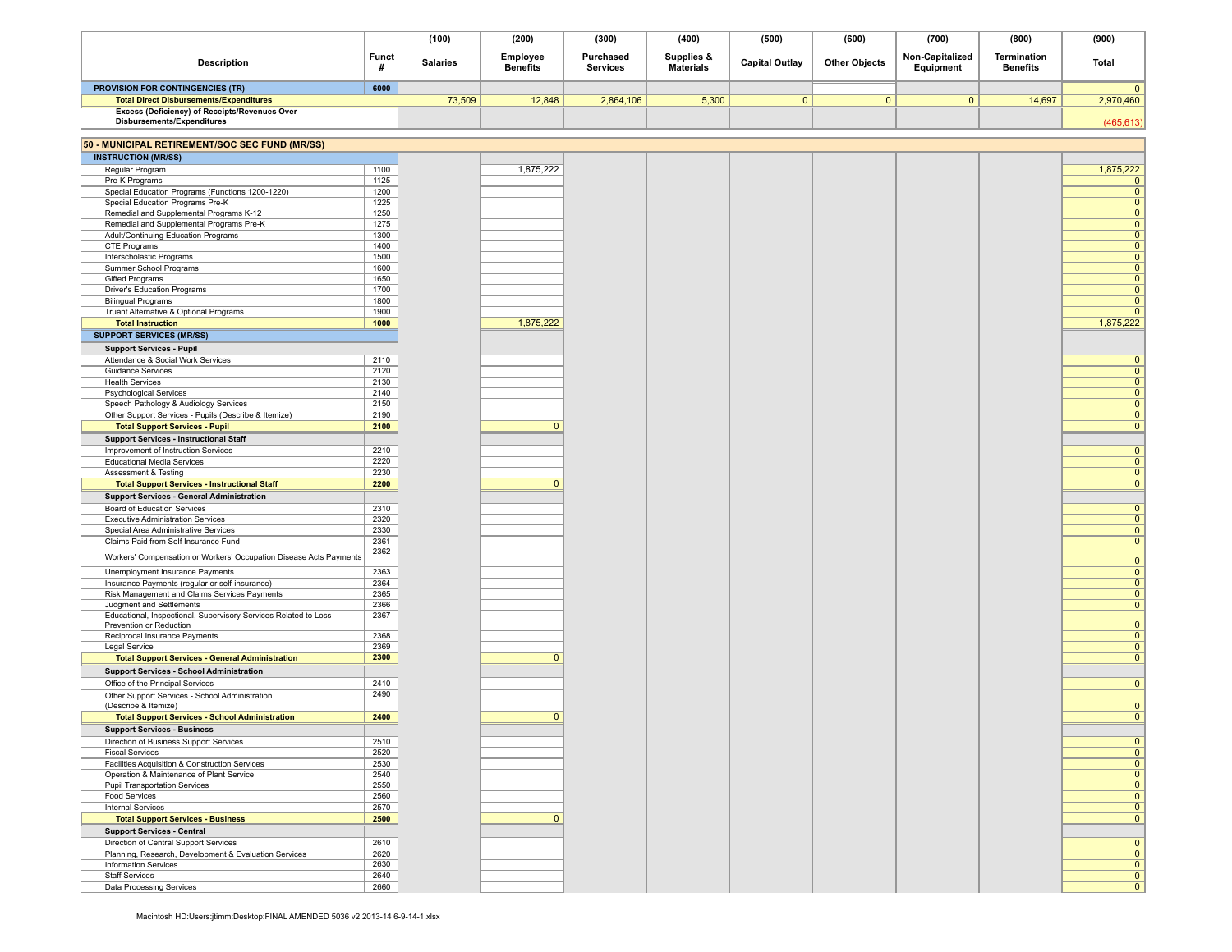|                                                                                               |                   | (100)           | (200)                       | (300)                        | (400)                          | (500)                 | (600)                | (700)                        | (800)                          | (900)                          |
|-----------------------------------------------------------------------------------------------|-------------------|-----------------|-----------------------------|------------------------------|--------------------------------|-----------------------|----------------------|------------------------------|--------------------------------|--------------------------------|
| <b>Description</b>                                                                            | <b>Funct</b><br># | <b>Salaries</b> | Employee<br><b>Benefits</b> | Purchased<br><b>Services</b> | Supplies &<br><b>Materials</b> | <b>Capital Outlay</b> | <b>Other Objects</b> | Non-Capitalized<br>Equipment | Termination<br><b>Benefits</b> | <b>Total</b>                   |
| PROVISION FOR CONTINGENCIES (TR)                                                              | 6000              |                 |                             |                              |                                |                       |                      |                              |                                | $\Omega$                       |
| <b>Total Direct Disbursements/Expenditures</b>                                                |                   | 73,509          | 12,848                      | 2,864,106                    | 5,300                          | $\mathbf{0}$          | $\mathbf{0}$         | $\overline{0}$               | 14,697                         | 2,970,460                      |
| Excess (Deficiency) of Receipts/Revenues Over<br>Disbursements/Expenditures                   |                   |                 |                             |                              |                                |                       |                      |                              |                                | (465, 613)                     |
| 50 - MUNICIPAL RETIREMENT/SOC SEC FUND (MR/SS)                                                |                   |                 |                             |                              |                                |                       |                      |                              |                                |                                |
| <b>INSTRUCTION (MR/SS)</b>                                                                    |                   |                 |                             |                              |                                |                       |                      |                              |                                |                                |
| Regular Program                                                                               | 1100              |                 | 1,875,222                   |                              |                                |                       |                      |                              |                                | 1,875,222                      |
| Pre-K Programs                                                                                | 1125              |                 |                             |                              |                                |                       |                      |                              |                                | $\mathbf 0$                    |
| Special Education Programs (Functions 1200-1220)<br>Special Education Programs Pre-K          | 1200<br>1225      |                 |                             |                              |                                |                       |                      |                              |                                | $\mathbf{0}$<br>$\overline{0}$ |
| Remedial and Supplemental Programs K-12                                                       | 1250              |                 |                             |                              |                                |                       |                      |                              |                                | $\mathbf{0}$                   |
| Remedial and Supplemental Programs Pre-K                                                      | 1275              |                 |                             |                              |                                |                       |                      |                              |                                | $\mathbf{0}$                   |
| Adult/Continuing Education Programs                                                           | 1300              |                 |                             |                              |                                |                       |                      |                              |                                | $\mathbf{0}$                   |
| CTE Programs                                                                                  | 1400              |                 |                             |                              |                                |                       |                      |                              |                                | $\mathbf{0}$                   |
| Interscholastic Programs<br>Summer School Programs                                            | 1500<br>1600      |                 |                             |                              |                                |                       |                      |                              |                                | $\mathbf{0}$<br>$\mathbf{0}$   |
| Gifted Programs                                                                               | 1650              |                 |                             |                              |                                |                       |                      |                              |                                | $\overline{0}$                 |
| Driver's Education Programs                                                                   | 1700              |                 |                             |                              |                                |                       |                      |                              |                                | $\mathbf{0}$                   |
| <b>Bilingual Programs</b>                                                                     | 1800              |                 |                             |                              |                                |                       |                      |                              |                                | $\mathbf 0$                    |
| Truant Alternative & Optional Programs                                                        | 1900              |                 |                             |                              |                                |                       |                      |                              |                                | $\Omega$                       |
| <b>Total Instruction</b>                                                                      | 1000              |                 | 1,875,222                   |                              |                                |                       |                      |                              |                                | 1,875,222                      |
| <b>SUPPORT SERVICES (MR/SS)</b>                                                               |                   |                 |                             |                              |                                |                       |                      |                              |                                |                                |
| <b>Support Services - Pupil</b><br>Attendance & Social Work Services                          | 2110              |                 |                             |                              |                                |                       |                      |                              |                                | $\mathbf{0}$                   |
| <b>Guidance Services</b>                                                                      | 2120              |                 |                             |                              |                                |                       |                      |                              |                                | $\mathbf{0}$                   |
| <b>Health Services</b>                                                                        | 2130              |                 |                             |                              |                                |                       |                      |                              |                                | $\mathbf{0}$                   |
| <b>Psychological Services</b>                                                                 | 2140              |                 |                             |                              |                                |                       |                      |                              |                                | $\overline{0}$                 |
| Speech Pathology & Audiology Services                                                         | 2150              |                 |                             |                              |                                |                       |                      |                              |                                | $\mathbf{0}$                   |
| Other Support Services - Pupils (Describe & Itemize)<br><b>Total Support Services - Pupil</b> | 2190<br>2100      |                 | $\overline{0}$              |                              |                                |                       |                      |                              |                                | $\mathbf{0}$<br>$\overline{0}$ |
| <b>Support Services - Instructional Staff</b>                                                 |                   |                 |                             |                              |                                |                       |                      |                              |                                |                                |
| Improvement of Instruction Services                                                           | 2210              |                 |                             |                              |                                |                       |                      |                              |                                | $\overline{0}$                 |
| <b>Educational Media Services</b>                                                             | 2220              |                 |                             |                              |                                |                       |                      |                              |                                | $\mathbf{0}$                   |
| Assessment & Testing                                                                          | 2230              |                 |                             |                              |                                |                       |                      |                              |                                | $\overline{0}$                 |
| <b>Total Support Services - Instructional Staff</b>                                           | 2200              |                 | $\mathbf{0}$                |                              |                                |                       |                      |                              |                                | $\mathbf{0}$                   |
| <b>Support Services - General Administration</b>                                              |                   |                 |                             |                              |                                |                       |                      |                              |                                |                                |
| Board of Education Services<br><b>Executive Administration Services</b>                       | 2310<br>2320      |                 |                             |                              |                                |                       |                      |                              |                                | $\mathbf{0}$<br>$\mathbf{0}$   |
| Special Area Administrative Services                                                          | 2330              |                 |                             |                              |                                |                       |                      |                              |                                | $\mathbf{0}$                   |
| Claims Paid from Self Insurance Fund                                                          | 2361              |                 |                             |                              |                                |                       |                      |                              |                                | $\mathbf{0}$                   |
| Workers' Compensation or Workers' Occupation Disease Acts Payments                            | 2362              |                 |                             |                              |                                |                       |                      |                              |                                | $\mathbf{0}$                   |
| Unemployment Insurance Payments                                                               | 2363              |                 |                             |                              |                                |                       |                      |                              |                                | $\mathbf{0}$                   |
| Insurance Payments (regular or self-insurance)                                                | 2364              |                 |                             |                              |                                |                       |                      |                              |                                | $\mathbf{0}$                   |
| Risk Management and Claims Services Payments<br>Judgment and Settlements                      | 2365<br>2366      |                 |                             |                              |                                |                       |                      |                              |                                | $\mathbf{0}$<br>$\mathbf{0}$   |
| Educational, Inspectional, Supervisory Services Related to Loss<br>Prevention or Reduction    | 2367              |                 |                             |                              |                                |                       |                      |                              |                                | $\mathbf{0}$                   |
| Reciprocal Insurance Payments                                                                 | 2368              |                 |                             |                              |                                |                       |                      |                              |                                | $\mathbf{0}$                   |
| Legal Service                                                                                 | 2369              |                 |                             |                              |                                |                       |                      |                              |                                | $\mathbf{0}$                   |
| <b>Total Support Services - General Administration</b>                                        | 2300              |                 | $\mathbf{0}$                |                              |                                |                       |                      |                              |                                | $\mathbf{0}$                   |
| <b>Support Services - School Administration</b>                                               |                   |                 |                             |                              |                                |                       |                      |                              |                                |                                |
| Office of the Principal Services<br>Other Support Services - School Administration            | 2410<br>2490      |                 |                             |                              |                                |                       |                      |                              |                                | $\mathbf{0}$                   |
| (Describe & Itemize)<br><b>Total Support Services - School Administration</b>                 | 2400              |                 | $\mathbf{0}$                |                              |                                |                       |                      |                              |                                | $\mathbf{0}$<br>$\mathbf{0}$   |
| <b>Support Services - Business</b>                                                            |                   |                 |                             |                              |                                |                       |                      |                              |                                |                                |
| Direction of Business Support Services                                                        | 2510              |                 |                             |                              |                                |                       |                      |                              |                                | $\mathbf{0}$                   |
| <b>Fiscal Services</b><br>Facilities Acquisition & Construction Services                      | 2520<br>2530      |                 |                             |                              |                                |                       |                      |                              |                                | $\mathbf{0}$<br>$\mathbf{0}$   |
| Operation & Maintenance of Plant Service                                                      | 2540              |                 |                             |                              |                                |                       |                      |                              |                                | $\mathbf{0}$                   |
| <b>Pupil Transportation Services</b>                                                          | 2550              |                 |                             |                              |                                |                       |                      |                              |                                | $\mathbf{0}$                   |
| <b>Food Services</b>                                                                          | 2560              |                 |                             |                              |                                |                       |                      |                              |                                | $\mathbf{0}$                   |
| <b>Internal Services</b>                                                                      | 2570              |                 |                             |                              |                                |                       |                      |                              |                                | $\mathbf{0}$                   |
| <b>Total Support Services - Business</b>                                                      | 2500              |                 | $\mathbf{0}$                |                              |                                |                       |                      |                              |                                | $\mathbf{0}$                   |
| <b>Support Services - Central</b><br>Direction of Central Support Services                    | 2610              |                 |                             |                              |                                |                       |                      |                              |                                | $\overline{0}$                 |
| Planning, Research, Development & Evaluation Services                                         | 2620              |                 |                             |                              |                                |                       |                      |                              |                                | $\mathbf{0}$                   |
| <b>Information Services</b>                                                                   | 2630              |                 |                             |                              |                                |                       |                      |                              |                                | $\mathbf{0}$                   |
| <b>Staff Services</b>                                                                         | 2640              |                 |                             |                              |                                |                       |                      |                              |                                | $\overline{0}$                 |
| Data Processing Services                                                                      | 2660              |                 |                             |                              |                                |                       |                      |                              |                                | $\mathbf{0}$                   |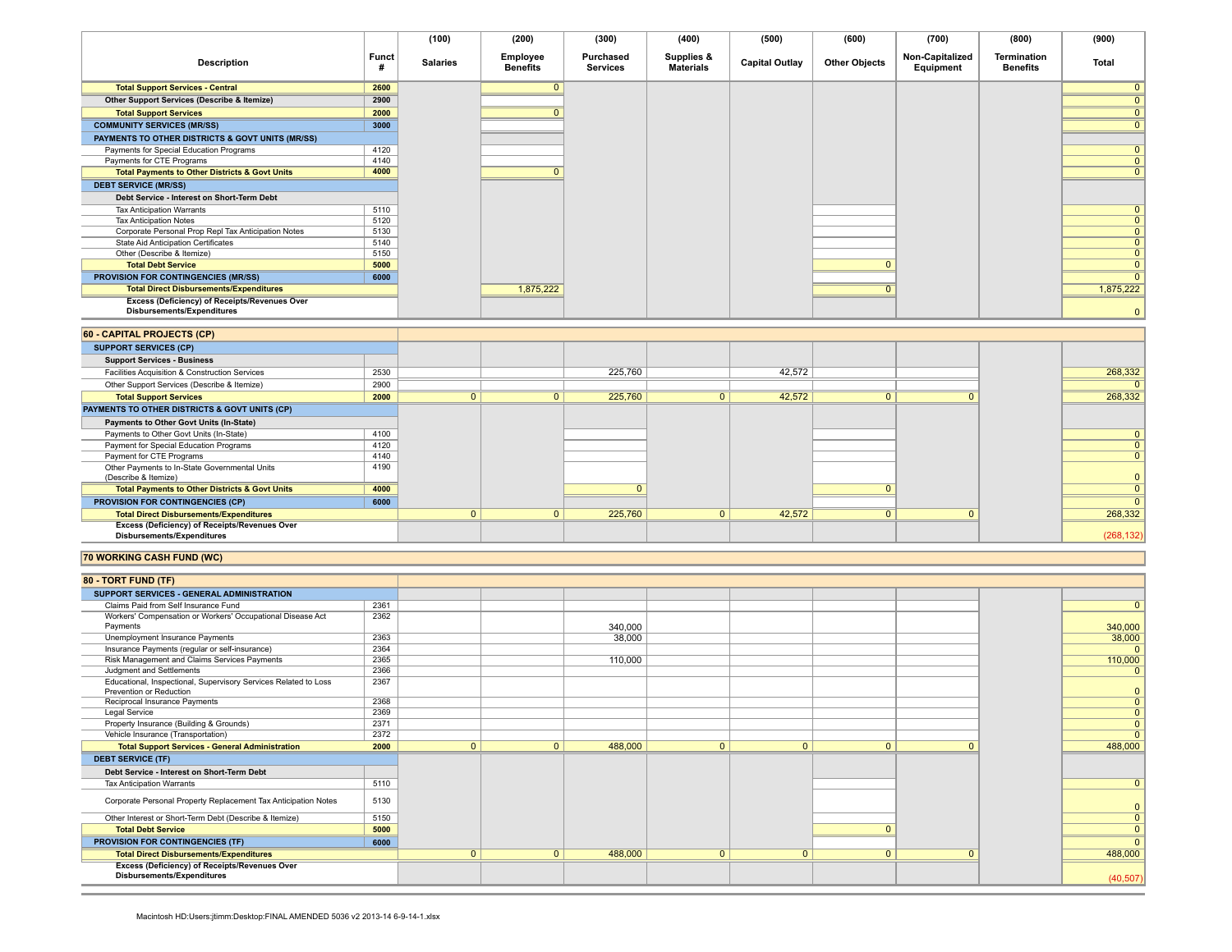|                                                                             |       | (100)           | (200)                       | (300)                        | (400)                          | (500)                 | (600)                | (700)                        | (800)                   | (900)        |
|-----------------------------------------------------------------------------|-------|-----------------|-----------------------------|------------------------------|--------------------------------|-----------------------|----------------------|------------------------------|-------------------------|--------------|
| <b>Description</b>                                                          | Funct | <b>Salaries</b> | Employee<br><b>Benefits</b> | Purchased<br><b>Services</b> | Supplies &<br><b>Materials</b> | <b>Capital Outlay</b> | <b>Other Objects</b> | Non-Capitalized<br>Equipment | Termination<br>Benefits | Total        |
| <b>Total Support Services - Central</b>                                     | 2600  |                 |                             |                              |                                |                       |                      |                              |                         |              |
| Other Support Services (Describe & Itemize)                                 | 2900  |                 |                             |                              |                                |                       |                      |                              |                         |              |
| <b>Total Support Services</b>                                               | 2000  |                 |                             |                              |                                |                       |                      |                              |                         |              |
| <b>COMMUNITY SERVICES (MR/SS)</b>                                           | 3000  |                 |                             |                              |                                |                       |                      |                              |                         |              |
| PAYMENTS TO OTHER DISTRICTS & GOVT UNITS (MR/SS)                            |       |                 |                             |                              |                                |                       |                      |                              |                         |              |
| Payments for Special Education Programs                                     | 4120  |                 |                             |                              |                                |                       |                      |                              |                         | $\mathbf{0}$ |
| Payments for CTE Programs                                                   | 4140  |                 |                             |                              |                                |                       |                      |                              |                         |              |
| <b>Total Payments to Other Districts &amp; Govt Units</b>                   | 4000  |                 |                             |                              |                                |                       |                      |                              |                         | $\mathbf{0}$ |
| <b>DEBT SERVICE (MR/SS)</b>                                                 |       |                 |                             |                              |                                |                       |                      |                              |                         |              |
| Debt Service - Interest on Short-Term Debt                                  |       |                 |                             |                              |                                |                       |                      |                              |                         |              |
| <b>Tax Anticipation Warrants</b>                                            | 5110  |                 |                             |                              |                                |                       |                      |                              |                         | $\mathbf{0}$ |
| <b>Tax Anticipation Notes</b>                                               | 5120  |                 |                             |                              |                                |                       |                      |                              |                         |              |
| Corporate Personal Prop Repl Tax Anticipation Notes                         | 5130  |                 |                             |                              |                                |                       |                      |                              |                         | $\Omega$     |
| State Aid Anticipation Certificates                                         | 5140  |                 |                             |                              |                                |                       |                      |                              |                         |              |
| Other (Describe & Itemize)                                                  | 5150  |                 |                             |                              |                                |                       |                      |                              |                         |              |
| <b>Total Debt Service</b>                                                   | 5000  |                 |                             |                              |                                |                       |                      |                              |                         |              |
| <b>PROVISION FOR CONTINGENCIES (MR/SS)</b>                                  | 6000  |                 |                             |                              |                                |                       |                      |                              |                         |              |
| <b>Total Direct Disbursements/Expenditures</b>                              |       |                 | 1,875,222                   |                              |                                |                       |                      |                              |                         | 1,875,222    |
| Excess (Deficiency) of Receipts/Revenues Over<br>Disbursements/Expenditures |       |                 |                             |                              |                                |                       |                      |                              |                         |              |

| 60 - CAPITAL PROJECTS (CP)                                                         |      |          |          |         |        |  |              |
|------------------------------------------------------------------------------------|------|----------|----------|---------|--------|--|--------------|
| <b>SUPPORT SERVICES (CP)</b>                                                       |      |          |          |         |        |  |              |
| <b>Support Services - Business</b>                                                 |      |          |          |         |        |  |              |
| Facilities Acquisition & Construction Services                                     | 2530 |          |          | 225.760 | 42.572 |  | 268.332      |
| Other Support Services (Describe & Itemize)                                        | 2900 |          |          |         |        |  |              |
| <b>Total Support Services</b>                                                      | 2000 | $\Omega$ |          | 225,760 | 42,572 |  | 268,332      |
| PAYMENTS TO OTHER DISTRICTS & GOVT UNITS (CP)                                      |      |          |          |         |        |  |              |
| Payments to Other Govt Units (In-State)                                            |      |          |          |         |        |  |              |
| Payments to Other Govt Units (In-State)                                            | 4100 |          |          |         |        |  | $\mathbf{0}$ |
| Payment for Special Education Programs                                             | 4120 |          |          |         |        |  |              |
| Payment for CTE Programs                                                           | 4140 |          |          |         |        |  | $\mathbf{0}$ |
| Other Payments to In-State Governmental Units                                      | 4190 |          |          |         |        |  |              |
| (Describe & Itemize)                                                               |      |          |          |         |        |  |              |
| <b>Total Payments to Other Districts &amp; Govt Units</b>                          | 4000 |          |          |         |        |  |              |
| <b>PROVISION FOR CONTINGENCIES (CP)</b>                                            | 6000 |          |          |         |        |  |              |
| <b>Total Direct Disbursements/Expenditures</b>                                     |      | $\Omega$ | $\Omega$ | 225,760 | 42,572 |  | 268,332      |
| Excess (Deficiency) of Receipts/Revenues Over<br><b>Disbursements/Expenditures</b> |      |          |          |         |        |  | (268, 132)   |

### **70 WORKING CASH FUND (WC)**

| 80 - TORT FUND (TF)                                             |      |              |                |         |              |              |              |          |                |
|-----------------------------------------------------------------|------|--------------|----------------|---------|--------------|--------------|--------------|----------|----------------|
| SUPPORT SERVICES - GENERAL ADMINISTRATION                       |      |              |                |         |              |              |              |          |                |
| Claims Paid from Self Insurance Fund                            | 2361 |              |                |         |              |              |              |          | $\mathbf{0}$   |
| Workers' Compensation or Workers' Occupational Disease Act      | 2362 |              |                |         |              |              |              |          |                |
| Payments                                                        |      |              |                | 340,000 |              |              |              |          | 340,000        |
| Unemployment Insurance Payments                                 | 2363 |              |                | 38,000  |              |              |              |          | 38,000         |
| Insurance Payments (regular or self-insurance)                  | 2364 |              |                |         |              |              |              |          | $\Omega$       |
| Risk Management and Claims Services Payments                    | 2365 |              |                | 110,000 |              |              |              |          | 110,000        |
| Judgment and Settlements                                        | 2366 |              |                |         |              |              |              |          | $\mathbf{0}$   |
| Educational, Inspectional, Supervisory Services Related to Loss | 2367 |              |                |         |              |              |              |          |                |
| Prevention or Reduction                                         |      |              |                |         |              |              |              |          | $\mathbf{0}$   |
| Reciprocal Insurance Payments                                   | 2368 |              |                |         |              |              |              |          | $\overline{0}$ |
| <b>Legal Service</b>                                            | 2369 |              |                |         |              |              |              |          | $\overline{0}$ |
| Property Insurance (Building & Grounds)                         | 2371 |              |                |         |              |              |              |          | $\mathbf{0}$   |
| Vehicle Insurance (Transportation)                              | 2372 |              |                |         |              |              |              |          | $\Omega$       |
| <b>Total Support Services - General Administration</b>          | 2000 | $\mathbf{0}$ | $\Omega$       | 488,000 | $\mathbf{0}$ | $\mathbf{0}$ | $\mathbf{0}$ | $\Omega$ | 488,000        |
| <b>DEBT SERVICE (TF)</b>                                        |      |              |                |         |              |              |              |          |                |
| Debt Service - Interest on Short-Term Debt                      |      |              |                |         |              |              |              |          |                |
| <b>Tax Anticipation Warrants</b>                                | 5110 |              |                |         |              |              |              |          | $\mathbf{0}$   |
| Corporate Personal Property Replacement Tax Anticipation Notes  | 5130 |              |                |         |              |              |              |          | $\mathbf{0}$   |
| Other Interest or Short-Term Debt (Describe & Itemize)          | 5150 |              |                |         |              |              |              |          | $\overline{0}$ |
| <b>Total Debt Service</b>                                       | 5000 |              |                |         |              |              |              |          | $\mathbf{0}$   |
| <b>PROVISION FOR CONTINGENCIES (TF)</b>                         | 6000 |              |                |         |              |              |              |          | $\overline{0}$ |
| <b>Total Direct Disbursements/Expenditures</b>                  |      | $\mathbf{0}$ | $\overline{0}$ | 488,000 | $\mathbf{0}$ | $\mathbf{0}$ | $\mathbf{0}$ | $\Omega$ | 488,000        |
| <b>Excess (Deficiency) of Receipts/Revenues Over</b>            |      |              |                |         |              |              |              |          |                |
| Disbursements/Expenditures                                      |      |              |                |         |              |              |              |          | (40, 507)      |
|                                                                 |      |              |                |         |              |              |              |          |                |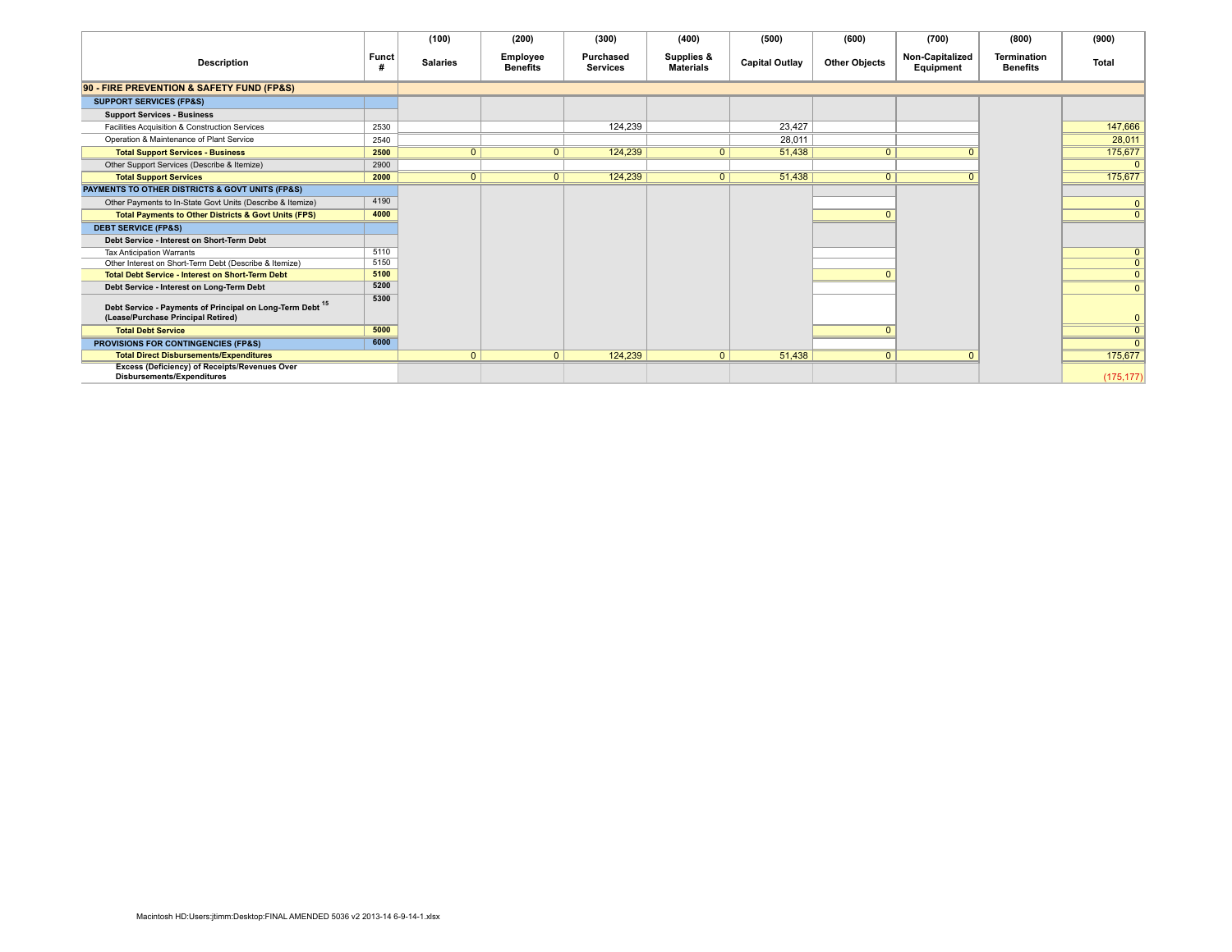|                                                                                                 |              | (100)           | (200)                       | (300)                        | (400)                          | (500)                 | (600)                | (700)                        | (800)                          | (900)          |
|-------------------------------------------------------------------------------------------------|--------------|-----------------|-----------------------------|------------------------------|--------------------------------|-----------------------|----------------------|------------------------------|--------------------------------|----------------|
| <b>Description</b>                                                                              | <b>Funct</b> | <b>Salaries</b> | Employee<br><b>Benefits</b> | Purchased<br><b>Services</b> | Supplies &<br><b>Materials</b> | <b>Capital Outlay</b> | <b>Other Objects</b> | Non-Capitalized<br>Equipment | Termination<br><b>Benefits</b> | <b>Total</b>   |
| 90 - FIRE PREVENTION & SAFETY FUND (FP&S)                                                       |              |                 |                             |                              |                                |                       |                      |                              |                                |                |
| <b>SUPPORT SERVICES (FP&amp;S)</b>                                                              |              |                 |                             |                              |                                |                       |                      |                              |                                |                |
| <b>Support Services - Business</b>                                                              |              |                 |                             |                              |                                |                       |                      |                              |                                |                |
| Facilities Acquisition & Construction Services                                                  | 2530         |                 |                             | 124.239                      |                                | 23.427                |                      |                              |                                | 147,666        |
| Operation & Maintenance of Plant Service                                                        | 2540         |                 |                             |                              |                                | 28.011                |                      |                              |                                | 28,011         |
| <b>Total Support Services - Business</b>                                                        | 2500         | $\overline{0}$  | $\overline{0}$              | 124,239                      | $\overline{0}$                 | 51,438                |                      |                              |                                | 175,677        |
| Other Support Services (Describe & Itemize)                                                     | 2900         |                 |                             |                              |                                |                       |                      |                              |                                | $\mathbf{0}$   |
| <b>Total Support Services</b>                                                                   | 2000         | $\overline{0}$  | $\overline{0}$              | 124,239                      | 0                              | 51,438                |                      |                              |                                | 175,677        |
| PAYMENTS TO OTHER DISTRICTS & GOVT UNITS (FP&S)                                                 |              |                 |                             |                              |                                |                       |                      |                              |                                |                |
| Other Payments to In-State Govt Units (Describe & Itemize)                                      | 4190         |                 |                             |                              |                                |                       |                      |                              |                                | $\mathbf 0$    |
| <b>Total Payments to Other Districts &amp; Govt Units (FPS)</b>                                 | 4000         |                 |                             |                              |                                |                       |                      |                              |                                | $\mathbf{0}$   |
| <b>DEBT SERVICE (FP&amp;S)</b>                                                                  |              |                 |                             |                              |                                |                       |                      |                              |                                |                |
| Debt Service - Interest on Short-Term Debt                                                      |              |                 |                             |                              |                                |                       |                      |                              |                                |                |
| <b>Tax Anticipation Warrants</b>                                                                | 5110         |                 |                             |                              |                                |                       |                      |                              |                                | $\mathbf{0}$   |
| Other Interest on Short-Term Debt (Describe & Itemize)                                          | 5150         |                 |                             |                              |                                |                       |                      |                              |                                | $\overline{0}$ |
| <b>Total Debt Service - Interest on Short-Term Debt</b>                                         | 5100         |                 |                             |                              |                                |                       |                      |                              |                                | $\overline{0}$ |
| Debt Service - Interest on Long-Term Debt                                                       | 5200         |                 |                             |                              |                                |                       |                      |                              |                                | $\mathbf{0}$   |
| Debt Service - Payments of Principal on Long-Term Debt 15<br>(Lease/Purchase Principal Retired) | 5300         |                 |                             |                              |                                |                       |                      |                              |                                |                |
| <b>Total Debt Service</b>                                                                       | 5000         |                 |                             |                              |                                |                       |                      |                              |                                | $\mathbf{0}$   |
| PROVISIONS FOR CONTINGENCIES (FP&S)                                                             | 6000         |                 |                             |                              |                                |                       |                      |                              |                                | $\Omega$       |
| <b>Total Direct Disbursements/Expenditures</b>                                                  |              | $\mathbf{0}$    | $\Omega$                    | 124,239                      | $\mathbf{0}$                   | 51.438                | $\Omega$             | $\Omega$                     |                                | 175,677        |
| Excess (Deficiency) of Receipts/Revenues Over<br>Disbursements/Expenditures                     |              |                 |                             |                              |                                |                       |                      |                              |                                | (175, 177)     |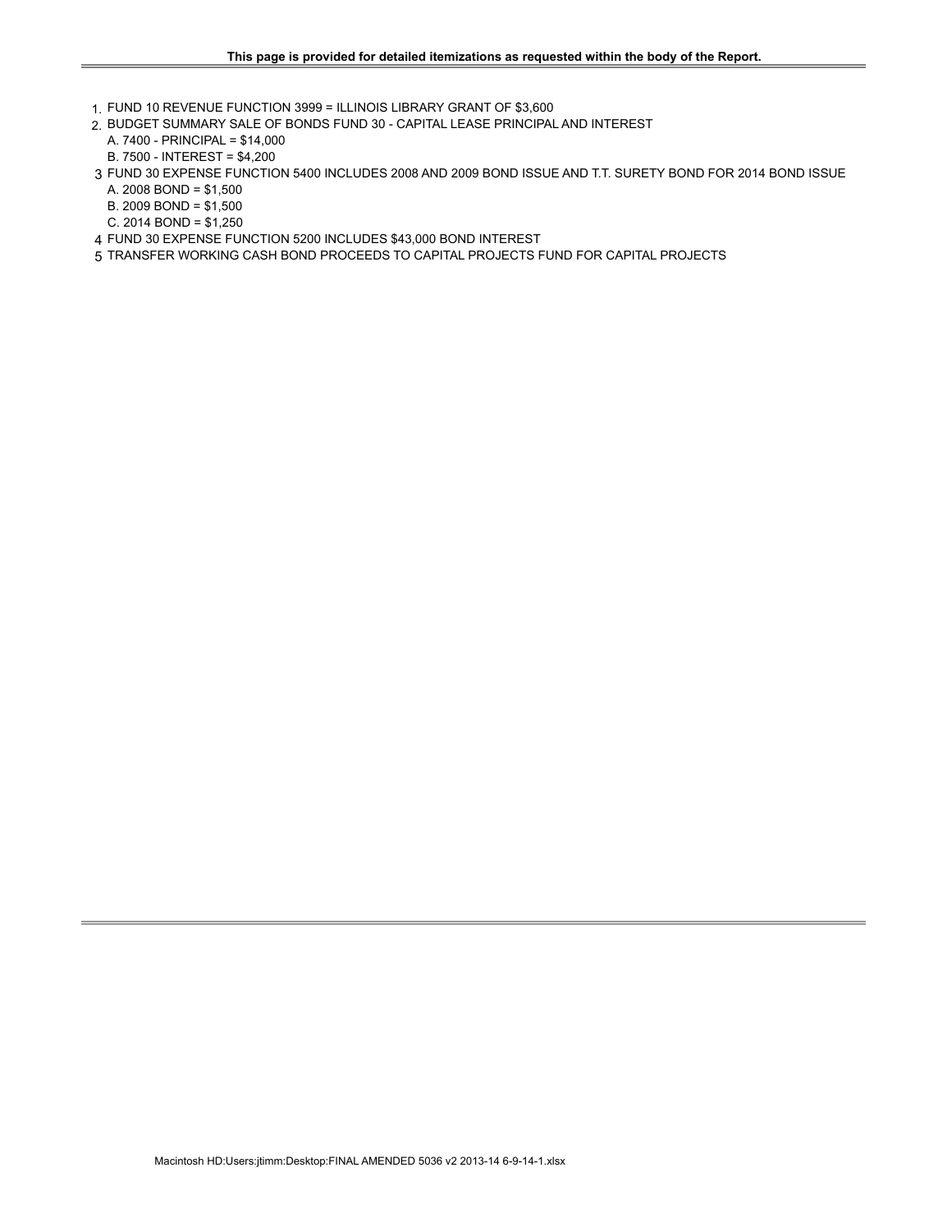- 1. FUND 10 REVENUE FUNCTION 3999 = ILLINOIS LIBRARY GRANT OF \$3,600
- 2. BUDGET SUMMARY SALE OF BONDS FUND 30 CAPITAL LEASE PRINCIPAL AND INTEREST
	- A. 7400 PRINCIPAL = \$14,000 B. 7500 - INTEREST = \$4,200
- 3 FUND 30 EXPENSE FUNCTION 5400 INCLUDES 2008 AND 2009 BOND ISSUE AND T.T. SURETY BOND FOR 2014 BOND ISSUE
- A. 2008 BOND = \$1,500
- B. 2009 BOND = \$1,500
- C. 2014 BOND = \$1,250
- 4 FUND 30 EXPENSE FUNCTION 5200 INCLUDES \$43,000 BOND INTEREST
- 5 TRANSFER WORKING CASH BOND PROCEEDS TO CAPITAL PROJECTS FUND FOR CAPITAL PROJECTS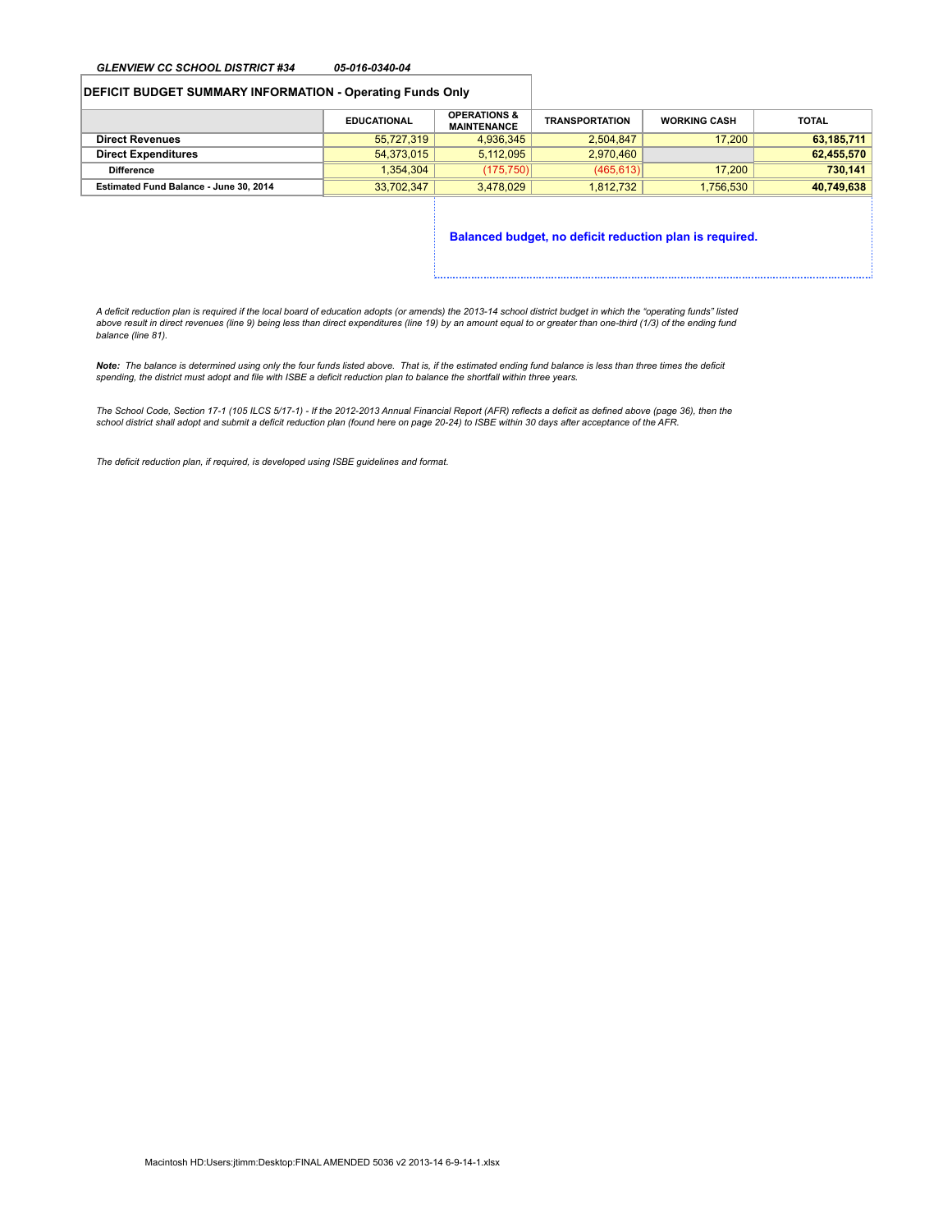### *GLENVIEW CC SCHOOL DISTRICT #34 05-016-0340-04*

### **DEFICIT BUDGET SUMMARY INFORMATION - Operating Funds Only**

|                                        | <b>EDUCATIONAL</b> | <b>OPERATIONS &amp;</b><br><b>MAINTENANCE</b> | <b>TRANSPORTATION</b> | <b>WORKING CASH</b> | <b>TOTAL</b> |
|----------------------------------------|--------------------|-----------------------------------------------|-----------------------|---------------------|--------------|
| <b>Direct Revenues</b>                 | 55,727,319         | 4.936.345                                     | 2.504.847             | 17,200              | 63,185,711   |
| <b>Direct Expenditures</b>             | 54.373.015         | 5.112.095                                     | 2.970.460             |                     | 62,455,570   |
| <b>Difference</b>                      | 1.354.304          | (175.750)                                     | (465.613)             | 17,200              | 730.141      |
| Estimated Fund Balance - June 30, 2014 | 33.702.347         | 3.478.029                                     | 1.812.732             | 1.756.530           | 40,749,638   |
|                                        |                    |                                               |                       |                     |              |

**Balanced budget, no deficit reduction plan is required.**

*A deficit reduction plan is required if the local board of education adopts (or amends) the 2013-14 school district budget in which the "operating funds" listed above result in direct revenues (line 9) being less than direct expenditures (line 19) by an amount equal to or greater than one-third (1/3) of the ending fund balance (line 81).*

*Note: The balance is determined using only the four funds listed above. That is, if the estimated ending fund balance is less than three times the deficit spending, the district must adopt and file with ISBE a deficit reduction plan to balance the shortfall within three years.*

*The School Code, Section 17-1 (105 ILCS 5/17-1) - If the 2012-2013 Annual Financial Report (AFR) reflects a deficit as defined above (page 36), then the school district shall adopt and submit a deficit reduction plan (found here on page 20-24) to ISBE within 30 days after acceptance of the AFR.*

*The deficit reduction plan, if required, is developed using ISBE guidelines and format.*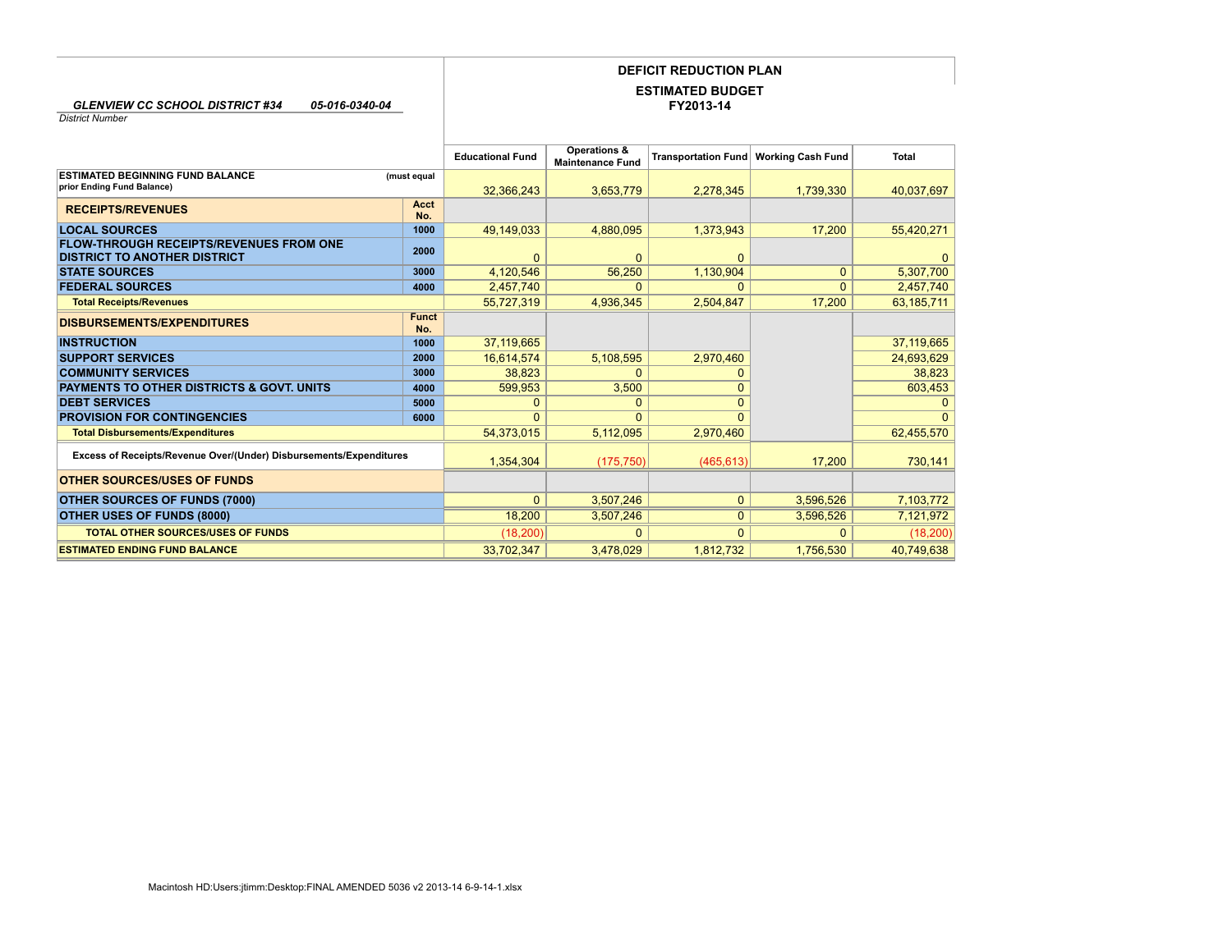## **DEFICIT REDUCTION PLAN**

### **FY2013-14 ESTIMATED BUDGET**

*GLENVIEW CC SCHOOL DISTRICT #34 05-016-0340-04*

*District Number*

|                                                                    |              | <b>Educational Fund</b> | Operations &<br><b>Maintenance Fund</b> | <b>Transportation Fund</b> | <b>Working Cash Fund</b> | <b>Total</b> |
|--------------------------------------------------------------------|--------------|-------------------------|-----------------------------------------|----------------------------|--------------------------|--------------|
| <b>ESTIMATED BEGINNING FUND BALANCE</b>                            | (must equal  |                         |                                         |                            |                          |              |
| prior Ending Fund Balance)                                         |              | 32.366.243              | 3,653,779                               | 2.278.345                  | 1,739,330                | 40,037,697   |
|                                                                    | Acct         |                         |                                         |                            |                          |              |
| <b>RECEIPTS/REVENUES</b>                                           | No.          |                         |                                         |                            |                          |              |
| <b>LOCAL SOURCES</b>                                               | 1000         | 49,149,033              | 4,880,095                               | 1,373,943                  | 17,200                   | 55,420,271   |
| <b>FLOW-THROUGH RECEIPTS/REVENUES FROM ONE</b>                     | 2000         |                         |                                         |                            |                          |              |
| <b>DISTRICT TO ANOTHER DISTRICT</b>                                |              | $\Omega$                | $\mathbf{0}$                            | $\Omega$                   |                          | 0            |
| <b>STATE SOURCES</b>                                               | 3000         | 4,120,546               | 56,250                                  | 1,130,904                  | $\Omega$                 | 5,307,700    |
| <b>FEDERAL SOURCES</b>                                             | 4000         | 2,457,740               | $\Omega$                                | 0                          | $\Omega$                 | 2,457,740    |
| <b>Total Receipts/Revenues</b>                                     |              | 55,727,319              | 4,936,345                               | 2,504,847                  | 17,200                   | 63,185,711   |
| <b>DISBURSEMENTS/EXPENDITURES</b>                                  | <b>Funct</b> |                         |                                         |                            |                          |              |
|                                                                    | No.          |                         |                                         |                            |                          |              |
| <b>INSTRUCTION</b>                                                 | 1000         | 37,119,665              |                                         |                            |                          | 37,119,665   |
| <b>SUPPORT SERVICES</b>                                            | 2000         | 16,614,574              | 5,108,595                               | 2,970,460                  |                          | 24,693,629   |
| <b>COMMUNITY SERVICES</b>                                          | 3000         | 38.823                  | $\Omega$                                |                            |                          | 38,823       |
| <b>PAYMENTS TO OTHER DISTRICTS &amp; GOVT, UNITS</b>               | 4000         | 599.953                 | 3.500                                   | ი                          |                          | 603,453      |
| <b>DEBT SERVICES</b>                                               | 5000         | 0                       | 0                                       |                            |                          | $\Omega$     |
| <b>PROVISION FOR CONTINGENCIES</b>                                 | 6000         |                         |                                         |                            |                          | $\Omega$     |
| <b>Total Disbursements/Expenditures</b>                            |              | 54,373,015              | 5,112,095                               | 2,970,460                  |                          | 62,455,570   |
| Excess of Receipts/Revenue Over/(Under) Disbursements/Expenditures |              | 1.354.304               | (175, 750)                              | (465, 613)                 | 17.200                   | 730,141      |
| <b>OTHER SOURCES/USES OF FUNDS</b>                                 |              |                         |                                         |                            |                          |              |
| <b>OTHER SOURCES OF FUNDS (7000)</b>                               |              | $\Omega$                | 3.507.246                               | $\mathbf{0}$               | 3,596,526                | 7,103,772    |
| OTHER USES OF FUNDS (8000)                                         |              | 18,200                  | 3,507,246                               | $\Omega$                   | 3,596,526                | 7,121,972    |
| <b>TOTAL OTHER SOURCES/USES OF FUNDS</b>                           |              | (18, 200)               | $\mathbf 0$                             | $\Omega$                   | $\Omega$                 | (18,200)     |
| <b>ESTIMATED ENDING FUND BALANCE</b>                               |              | 33,702,347              | 3,478,029                               | 1,812,732                  | 1,756,530                | 40,749,638   |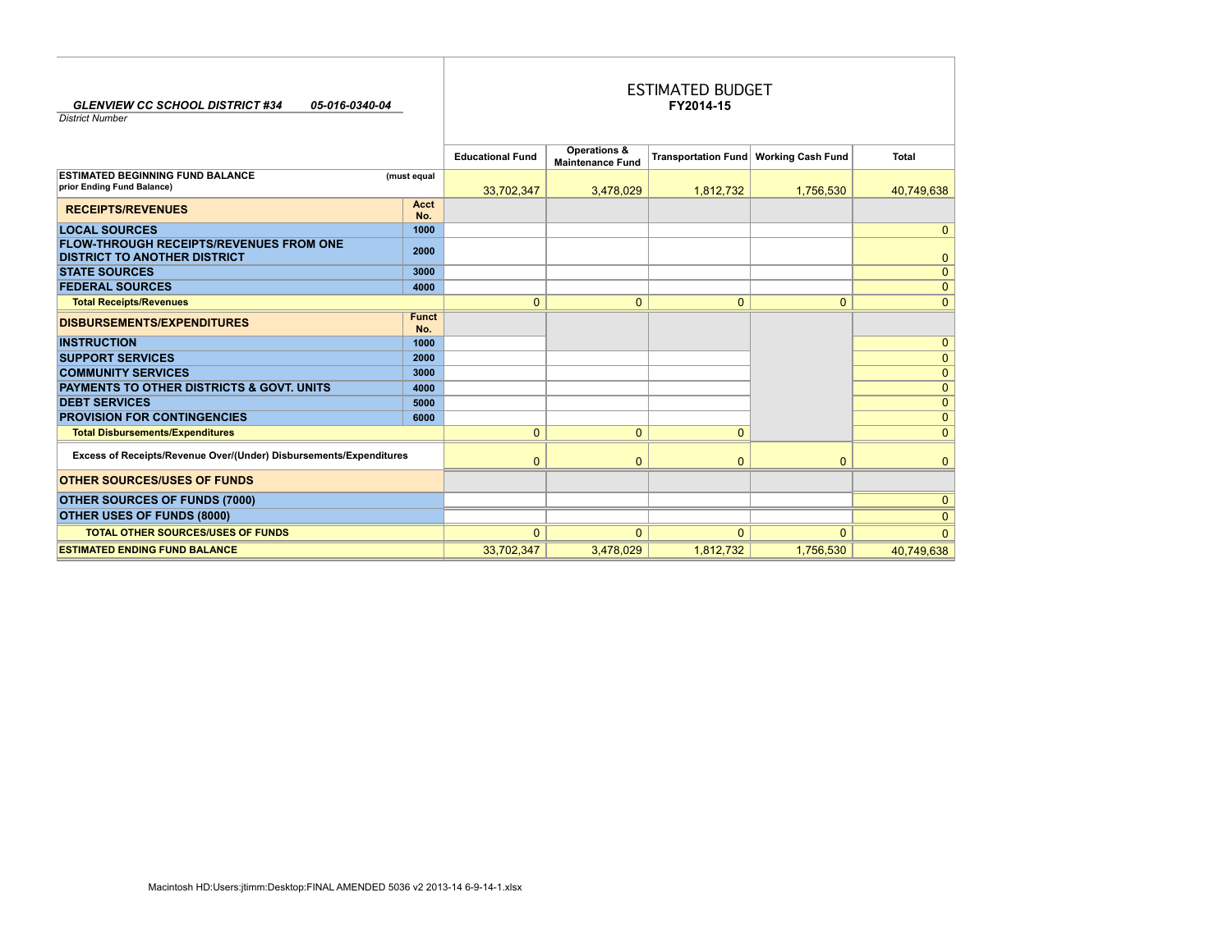| <b>GLENVIEW CC SCHOOL DISTRICT #34</b><br>05-016-0340-04<br><b>District Number</b>    |                     |                         |                                         | <b>ESTIMATED BUDGET</b><br>FY2014-15 |                                         |                |
|---------------------------------------------------------------------------------------|---------------------|-------------------------|-----------------------------------------|--------------------------------------|-----------------------------------------|----------------|
|                                                                                       |                     | <b>Educational Fund</b> | Operations &<br><b>Maintenance Fund</b> |                                      | Transportation Fund   Working Cash Fund | Total          |
| <b>ESTIMATED BEGINNING FUND BALANCE</b><br>prior Ending Fund Balance)                 | (must equal         | 33,702,347              | 3,478,029                               | 1,812,732                            | 1,756,530                               | 40,749,638     |
| <b>RECEIPTS/REVENUES</b>                                                              | Acct<br>No.         |                         |                                         |                                      |                                         |                |
| <b>LOCAL SOURCES</b>                                                                  | 1000                |                         |                                         |                                      |                                         | 0              |
| <b>FLOW-THROUGH RECEIPTS/REVENUES FROM ONE</b><br><b>DISTRICT TO ANOTHER DISTRICT</b> | 2000                |                         |                                         |                                      |                                         | 0              |
| <b>STATE SOURCES</b>                                                                  | 3000                |                         |                                         |                                      |                                         | 0              |
| <b>FEDERAL SOURCES</b>                                                                | 4000                |                         |                                         |                                      |                                         | 0              |
| <b>Total Receipts/Revenues</b>                                                        |                     | $\mathbf{0}$            | $\Omega$                                | $\mathbf{0}$                         | $\mathbf{0}$                            | $\Omega$       |
| <b>DISBURSEMENTS/EXPENDITURES</b>                                                     | <b>Funct</b><br>No. |                         |                                         |                                      |                                         |                |
| <b>INSTRUCTION</b>                                                                    | 1000                |                         |                                         |                                      |                                         | 0              |
| <b>SUPPORT SERVICES</b>                                                               | 2000                |                         |                                         |                                      |                                         | 0              |
| <b>COMMUNITY SERVICES</b>                                                             | 3000                |                         |                                         |                                      |                                         | $\overline{0}$ |
| <b>PAYMENTS TO OTHER DISTRICTS &amp; GOVT, UNITS</b>                                  | 4000                |                         |                                         |                                      |                                         | 0              |
| <b>DEBT SERVICES</b>                                                                  | 5000                |                         |                                         |                                      |                                         | 0              |
| <b>PROVISION FOR CONTINGENCIES</b>                                                    | 6000                |                         |                                         |                                      |                                         | 0              |
| <b>Total Disbursements/Expenditures</b>                                               |                     | $\Omega$                | $\Omega$                                | $\mathbf{0}$                         |                                         | $\Omega$       |
| Excess of Receipts/Revenue Over/(Under) Disbursements/Expenditures                    |                     | $\mathbf 0$             | $\Omega$                                | $\Omega$                             | $\mathbf{0}$                            | n              |
| <b>OTHER SOURCES/USES OF FUNDS</b>                                                    |                     |                         |                                         |                                      |                                         |                |
| <b>OTHER SOURCES OF FUNDS (7000)</b>                                                  |                     |                         |                                         |                                      |                                         | O              |
| OTHER USES OF FUNDS (8000)                                                            |                     |                         |                                         |                                      |                                         | O              |
| <b>TOTAL OTHER SOURCES/USES OF FUNDS</b>                                              |                     | $\Omega$                | $\Omega$                                | $\Omega$                             | $\Omega$                                | $\Omega$       |
| <b>ESTIMATED ENDING FUND BALANCE</b>                                                  |                     | 33,702,347              | 3,478,029                               | 1,812,732                            | 1,756,530                               | 40,749,638     |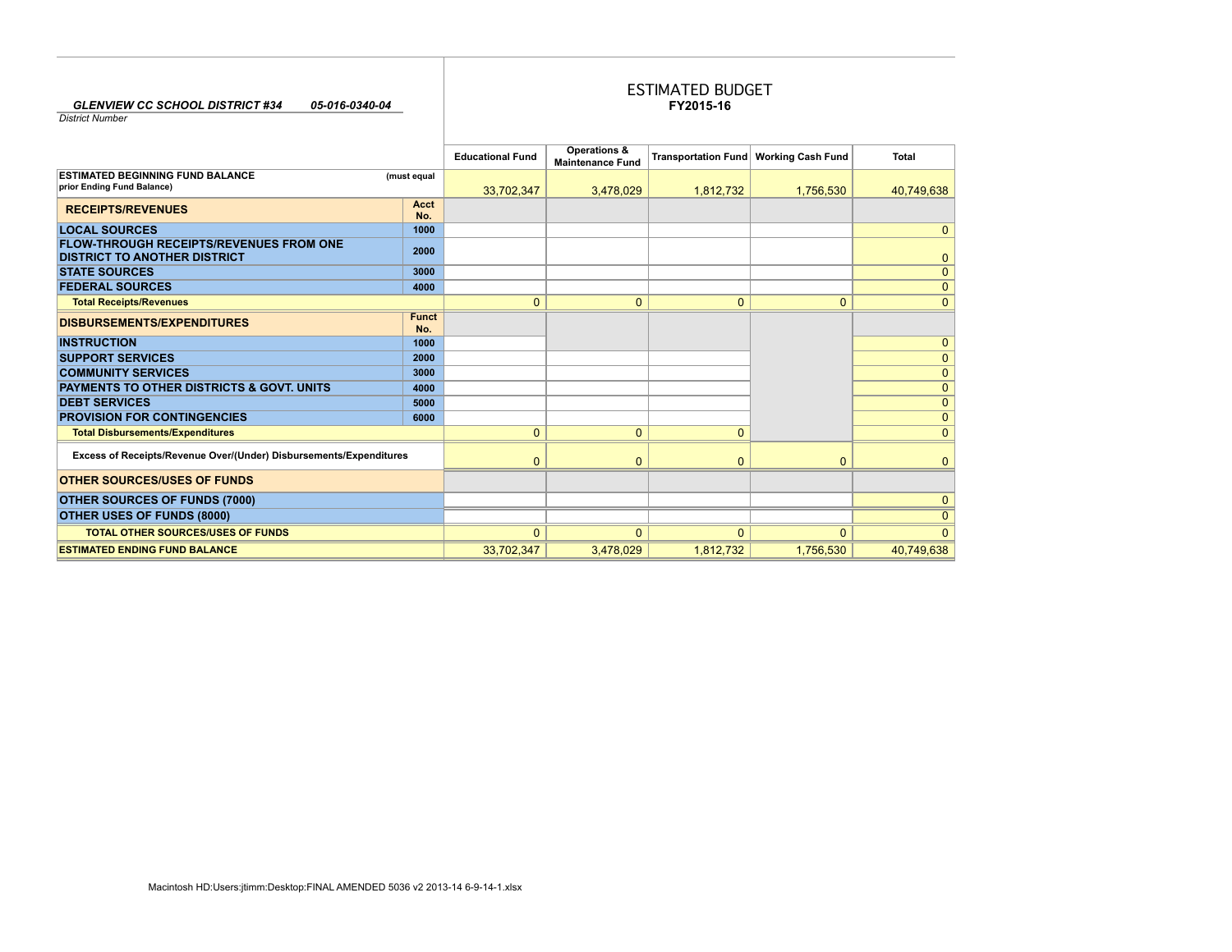### *GLENVIEW CC SCHOOL DISTRICT #34 05-016-0340-04*

## **FY2015-16** ESTIMATED BUDGET

*District Number*

|                                                                                       |                     | <b>Educational Fund</b> | Operations &<br><b>Maintenance Fund</b> |              | Transportation Fund   Working Cash Fund | <b>Total</b> |
|---------------------------------------------------------------------------------------|---------------------|-------------------------|-----------------------------------------|--------------|-----------------------------------------|--------------|
| <b>ESTIMATED BEGINNING FUND BALANCE</b><br>prior Ending Fund Balance)                 | (must equal         | 33,702,347              | 3,478,029                               | 1,812,732    | 1,756,530                               | 40.749.638   |
| <b>RECEIPTS/REVENUES</b>                                                              | Acct<br>No.         |                         |                                         |              |                                         |              |
| <b>LOCAL SOURCES</b>                                                                  | 1000                |                         |                                         |              |                                         | $\mathbf{0}$ |
| <b>FLOW-THROUGH RECEIPTS/REVENUES FROM ONE</b><br><b>DISTRICT TO ANOTHER DISTRICT</b> | 2000                |                         |                                         |              |                                         | $\mathbf 0$  |
| <b>STATE SOURCES</b>                                                                  | 3000                |                         |                                         |              |                                         | $\mathbf{0}$ |
| <b>FEDERAL SOURCES</b>                                                                | 4000                |                         |                                         |              |                                         | $\mathbf{0}$ |
| <b>Total Receipts/Revenues</b>                                                        |                     | $\mathbf{0}$            | $\mathbf{0}$                            | $\mathbf{0}$ | $\mathbf{0}$                            | $\Omega$     |
| <b>DISBURSEMENTS/EXPENDITURES</b>                                                     | <b>Funct</b><br>No. |                         |                                         |              |                                         |              |
| <b>INSTRUCTION</b>                                                                    | 1000                |                         |                                         |              |                                         | $\mathbf{0}$ |
| <b>SUPPORT SERVICES</b>                                                               | 2000                |                         |                                         |              |                                         | $\mathbf{0}$ |
| <b>COMMUNITY SERVICES</b>                                                             | 3000                |                         |                                         |              |                                         | $\mathbf{0}$ |
| <b>PAYMENTS TO OTHER DISTRICTS &amp; GOVT. UNITS</b>                                  | 4000                |                         |                                         |              |                                         | $\mathbf{0}$ |
| <b>DEBT SERVICES</b>                                                                  | 5000                |                         |                                         |              |                                         | $\mathbf{0}$ |
| <b>PROVISION FOR CONTINGENCIES</b>                                                    | 6000                |                         |                                         |              |                                         | $\mathbf{0}$ |
| <b>Total Disbursements/Expenditures</b>                                               |                     | $\mathbf{0}$            | $\mathbf{0}$                            | $\mathbf{0}$ |                                         | $\Omega$     |
| Excess of Receipts/Revenue Over/(Under) Disbursements/Expenditures                    |                     | $\mathbf{0}$            | $\overline{0}$                          | $\mathbf{0}$ | $\mathbf{0}$                            | $\mathbf{0}$ |
| <b>OTHER SOURCES/USES OF FUNDS</b>                                                    |                     |                         |                                         |              |                                         |              |
| <b>OTHER SOURCES OF FUNDS (7000)</b>                                                  |                     |                         |                                         |              |                                         | $\mathbf{0}$ |
| <b>OTHER USES OF FUNDS (8000)</b>                                                     |                     |                         |                                         |              |                                         | $\mathbf{0}$ |
| <b>TOTAL OTHER SOURCES/USES OF FUNDS</b>                                              |                     | $\mathbf{0}$            | $\Omega$                                | $\mathbf{0}$ | $\Omega$                                | $\Omega$     |
| <b>ESTIMATED ENDING FUND BALANCE</b>                                                  |                     | 33,702,347              | 3,478,029                               | 1,812,732    | 1,756,530                               | 40,749,638   |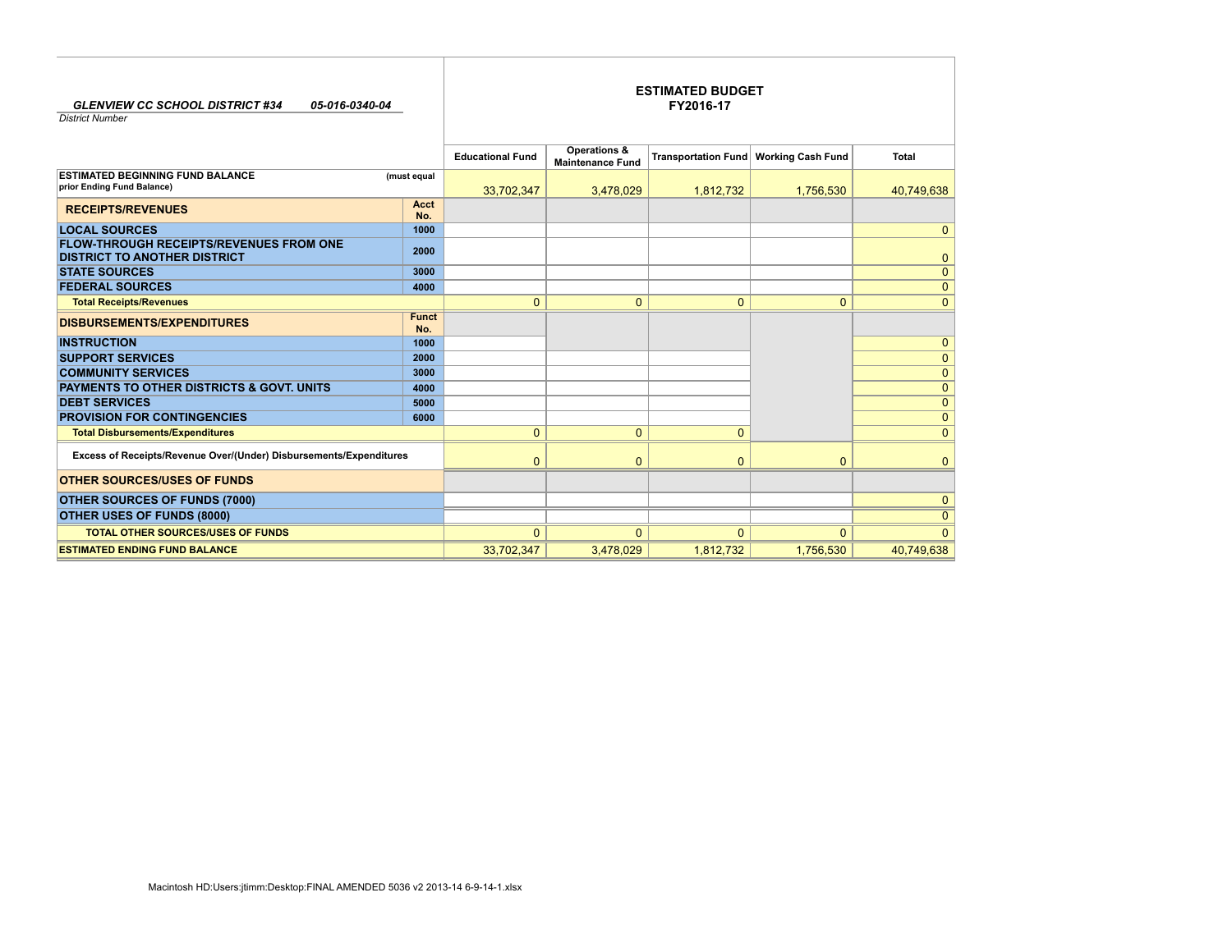| <b>GLENVIEW CC SCHOOL DISTRICT #34</b><br>05-016-0340-04<br><b>District Number</b>    |                     |                         | <b>ESTIMATED BUDGET</b><br>FY2016-17    |                |                                         |              |  |  |  |  |  |
|---------------------------------------------------------------------------------------|---------------------|-------------------------|-----------------------------------------|----------------|-----------------------------------------|--------------|--|--|--|--|--|
|                                                                                       |                     | <b>Educational Fund</b> | Operations &<br><b>Maintenance Fund</b> |                | Transportation Fund   Working Cash Fund | <b>Total</b> |  |  |  |  |  |
| <b>ESTIMATED BEGINNING FUND BALANCE</b><br>prior Ending Fund Balance)                 | (must equal         | 33,702,347              | 3,478,029                               | 1,812,732      | 1,756,530                               | 40,749,638   |  |  |  |  |  |
| <b>RECEIPTS/REVENUES</b>                                                              | <b>Acct</b><br>No.  |                         |                                         |                |                                         |              |  |  |  |  |  |
| <b>LOCAL SOURCES</b>                                                                  | 1000                |                         |                                         |                |                                         | 0            |  |  |  |  |  |
| <b>FLOW-THROUGH RECEIPTS/REVENUES FROM ONE</b><br><b>DISTRICT TO ANOTHER DISTRICT</b> | 2000                |                         |                                         |                |                                         | 0            |  |  |  |  |  |
| <b>STATE SOURCES</b>                                                                  | 3000                |                         |                                         |                |                                         | 0            |  |  |  |  |  |
| <b>FEDERAL SOURCES</b>                                                                | 4000                |                         |                                         |                |                                         | 0            |  |  |  |  |  |
| <b>Total Receipts/Revenues</b>                                                        |                     | $\mathbf{0}$            | $\mathbf{0}$                            | $\mathbf{0}$   | $\mathbf{0}$                            | 0            |  |  |  |  |  |
| <b>DISBURSEMENTS/EXPENDITURES</b>                                                     | <b>Funct</b><br>No. |                         |                                         |                |                                         |              |  |  |  |  |  |
| <b>INSTRUCTION</b>                                                                    | 1000                |                         |                                         |                |                                         | 0            |  |  |  |  |  |
| <b>SUPPORT SERVICES</b>                                                               | 2000                |                         |                                         |                |                                         | 0            |  |  |  |  |  |
| <b>COMMUNITY SERVICES</b>                                                             | 3000                |                         |                                         |                |                                         | 0            |  |  |  |  |  |
| PAYMENTS TO OTHER DISTRICTS & GOVT. UNITS                                             | 4000                |                         |                                         |                |                                         | 0            |  |  |  |  |  |
| <b>DEBT SERVICES</b>                                                                  | 5000                |                         |                                         |                |                                         | 0            |  |  |  |  |  |
| <b>PROVISION FOR CONTINGENCIES</b>                                                    | 6000                |                         |                                         |                |                                         | 0            |  |  |  |  |  |
| <b>Total Disbursements/Expenditures</b>                                               |                     | $\mathbf{0}$            | $\mathbf{0}$                            | $\mathbf{0}$   |                                         | $\Omega$     |  |  |  |  |  |
| Excess of Receipts/Revenue Over/(Under) Disbursements/Expenditures                    |                     | $\mathbf{0}$            | $\overline{0}$                          | $\overline{0}$ | $\mathbf{0}$                            | $\Omega$     |  |  |  |  |  |
| <b>OTHER SOURCES/USES OF FUNDS</b>                                                    |                     |                         |                                         |                |                                         |              |  |  |  |  |  |
| <b>OTHER SOURCES OF FUNDS (7000)</b>                                                  |                     |                         |                                         |                |                                         | 0            |  |  |  |  |  |
| OTHER USES OF FUNDS (8000)                                                            |                     |                         |                                         |                |                                         | $\Omega$     |  |  |  |  |  |
| <b>TOTAL OTHER SOURCES/USES OF FUNDS</b>                                              |                     | $\Omega$                | $\Omega$                                | $\Omega$       | $\Omega$                                | $\Omega$     |  |  |  |  |  |
| <b>ESTIMATED ENDING FUND BALANCE</b>                                                  |                     | 33,702,347              | 3,478,029                               | 1,812,732      | 1,756,530                               | 40,749,638   |  |  |  |  |  |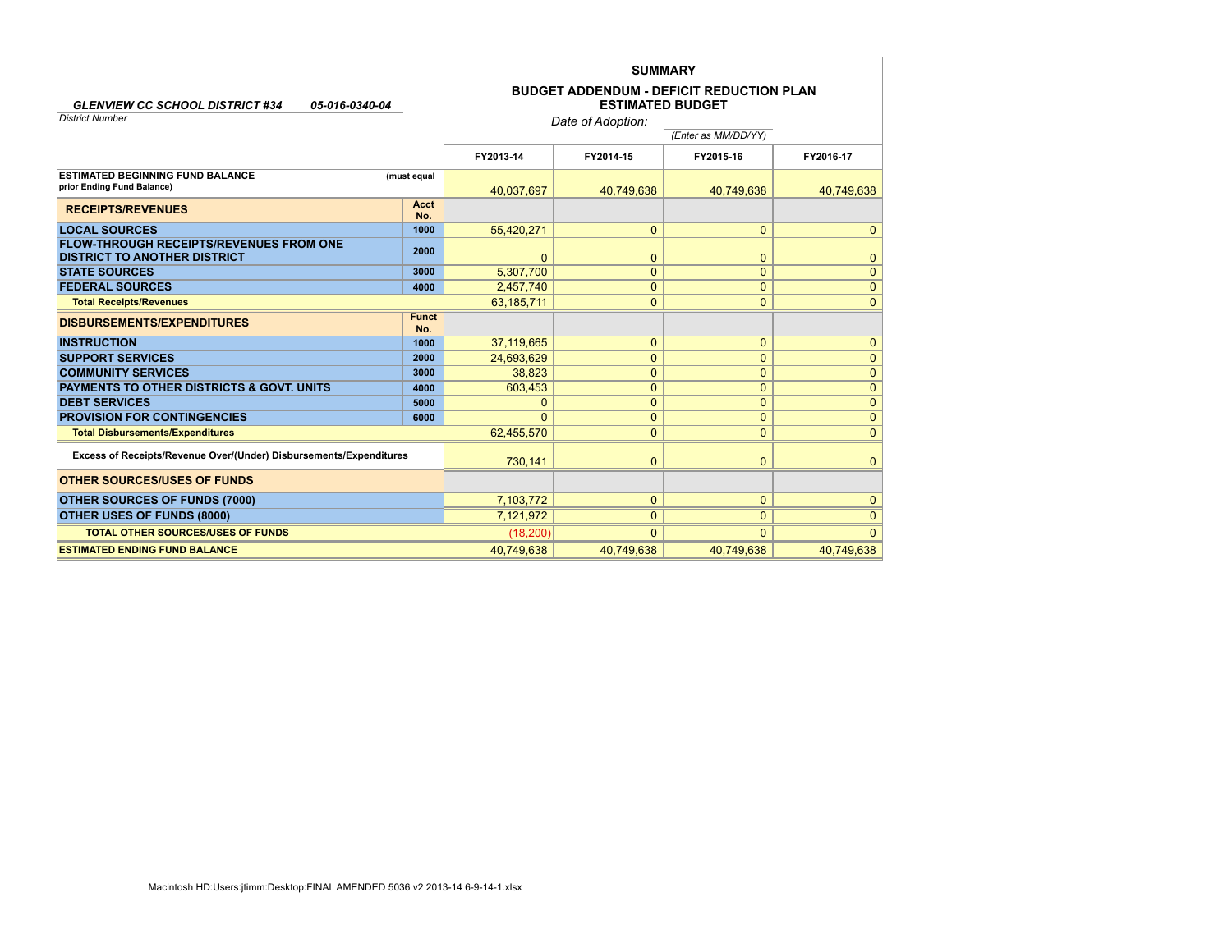|                                                                                       |                     | <b>SUMMARY</b> |                         |                                                 |                |  |  |  |  |
|---------------------------------------------------------------------------------------|---------------------|----------------|-------------------------|-------------------------------------------------|----------------|--|--|--|--|
| <b>GLENVIEW CC SCHOOL DISTRICT #34</b><br>05-016-0340-04<br><b>District Number</b>    |                     |                | <b>ESTIMATED BUDGET</b> | <b>BUDGET ADDENDUM - DEFICIT REDUCTION PLAN</b> |                |  |  |  |  |
|                                                                                       |                     |                | Date of Adoption:       |                                                 |                |  |  |  |  |
|                                                                                       |                     |                |                         | (Enter as MM/DD/YY)                             |                |  |  |  |  |
|                                                                                       |                     | FY2013-14      | FY2014-15               | FY2015-16                                       | FY2016-17      |  |  |  |  |
| <b>ESTIMATED BEGINNING FUND BALANCE</b>                                               | (must equal         |                |                         |                                                 |                |  |  |  |  |
| prior Ending Fund Balance)                                                            |                     | 40.037.697     | 40.749.638              | 40.749.638                                      | 40,749,638     |  |  |  |  |
| <b>RECEIPTS/REVENUES</b>                                                              | Acct                |                |                         |                                                 |                |  |  |  |  |
|                                                                                       | No.                 |                |                         |                                                 |                |  |  |  |  |
| <b>LOCAL SOURCES</b>                                                                  | 1000                | 55,420,271     | $\mathbf{0}$            | $\Omega$                                        | $\mathbf{0}$   |  |  |  |  |
| <b>FLOW-THROUGH RECEIPTS/REVENUES FROM ONE</b><br><b>DISTRICT TO ANOTHER DISTRICT</b> | 2000                | $\Omega$       | 0                       | 0                                               | $\mathbf{0}$   |  |  |  |  |
| <b>STATE SOURCES</b>                                                                  | 3000                | 5,307,700      | $\mathbf{0}$            | $\mathbf{0}$                                    | $\mathbf{0}$   |  |  |  |  |
| <b>FEDERAL SOURCES</b>                                                                | 4000                | 2,457,740      | 0                       | $\mathbf{0}$                                    | $\mathbf{0}$   |  |  |  |  |
| <b>Total Receipts/Revenues</b>                                                        |                     | 63,185,711     | $\Omega$                | $\Omega$                                        | $\mathbf{0}$   |  |  |  |  |
| <b>DISBURSEMENTS/EXPENDITURES</b>                                                     | <b>Funct</b><br>No. |                |                         |                                                 |                |  |  |  |  |
| <b>INSTRUCTION</b>                                                                    | 1000                | 37,119,665     | 0                       | $\mathbf{0}$                                    | $\mathbf{0}$   |  |  |  |  |
| <b>SUPPORT SERVICES</b>                                                               | 2000                | 24,693,629     | $\overline{0}$          | 0                                               | $\mathbf{0}$   |  |  |  |  |
| <b>COMMUNITY SERVICES</b>                                                             | 3000                | 38.823         | 0                       | $\mathbf{0}$                                    | $\mathbf{0}$   |  |  |  |  |
| <b>PAYMENTS TO OTHER DISTRICTS &amp; GOVT, UNITS</b>                                  | 4000                | 603,453        | 0                       | 0                                               | $\mathbf{0}$   |  |  |  |  |
| <b>DEBT SERVICES</b>                                                                  | 5000                | $\Omega$       | 0                       | $\Omega$                                        | $\mathbf{0}$   |  |  |  |  |
| <b>PROVISION FOR CONTINGENCIES</b>                                                    | 6000                | $\Omega$       | $\mathbf{0}$            | $\Omega$                                        | $\overline{0}$ |  |  |  |  |
| <b>Total Disbursements/Expenditures</b>                                               |                     | 62,455,570     | $\overline{0}$          | $\mathbf{0}$                                    | $\overline{0}$ |  |  |  |  |
| Excess of Receipts/Revenue Over/(Under) Disbursements/Expenditures                    |                     | 730.141        | $\mathbf{0}$            | $\mathbf{0}$                                    | $\mathbf{0}$   |  |  |  |  |
| <b>OTHER SOURCES/USES OF FUNDS</b>                                                    |                     |                |                         |                                                 |                |  |  |  |  |
| <b>OTHER SOURCES OF FUNDS (7000)</b>                                                  |                     | 7,103,772      | $\mathbf{0}$            | $\mathbf{0}$                                    | $\mathbf{0}$   |  |  |  |  |
| <b>OTHER USES OF FUNDS (8000)</b>                                                     |                     | 7.121.972      | $\mathbf{0}$            | $\mathbf{0}$                                    | $\overline{0}$ |  |  |  |  |
| <b>TOTAL OTHER SOURCES/USES OF FUNDS</b>                                              |                     | (18, 200)      | $\Omega$                | $\Omega$                                        | $\Omega$       |  |  |  |  |
| <b>ESTIMATED ENDING FUND BALANCE</b>                                                  |                     | 40,749,638     | 40,749,638              | 40,749,638                                      | 40,749,638     |  |  |  |  |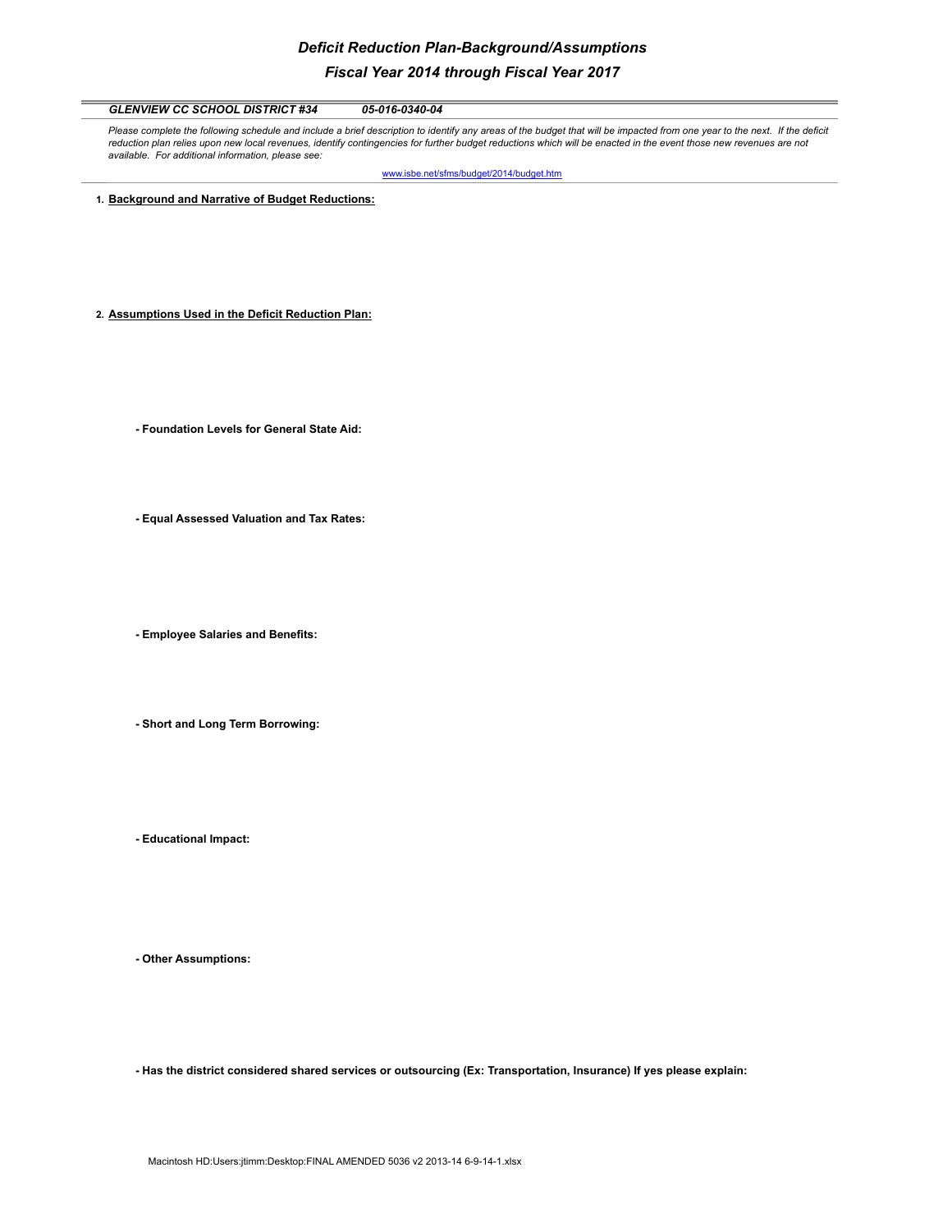# *Deficit Reduction Plan-Background/Assumptions Fiscal Year 2014 through Fiscal Year 2017*

*GLENVIEW CC SCHOOL DISTRICT #34 05-016-0340-04* Please complete the following schedule and include a brief description to identify any areas of the budget that will be impacted from one year to the next. If the deficit reduction plan relies upon new local revenues, identify contingencies for further budget reductions which will be enacted in the event those new revenues are not *available. For additional information, please see:*  www.isbe.net/sfms/budget/2014/budget.htm **1. Background and Narrative of Budget Reductions: 2. Assumptions Used in the Deficit Reduction Plan: - Foundation Levels for General State Aid: - Equal Assessed Valuation and Tax Rates: - Employee Salaries and Benefits: - Short and Long Term Borrowing:**

**- Educational Impact:**

**- Other Assumptions:**

**- Has the district considered shared services or outsourcing (Ex: Transportation, Insurance) If yes please explain:**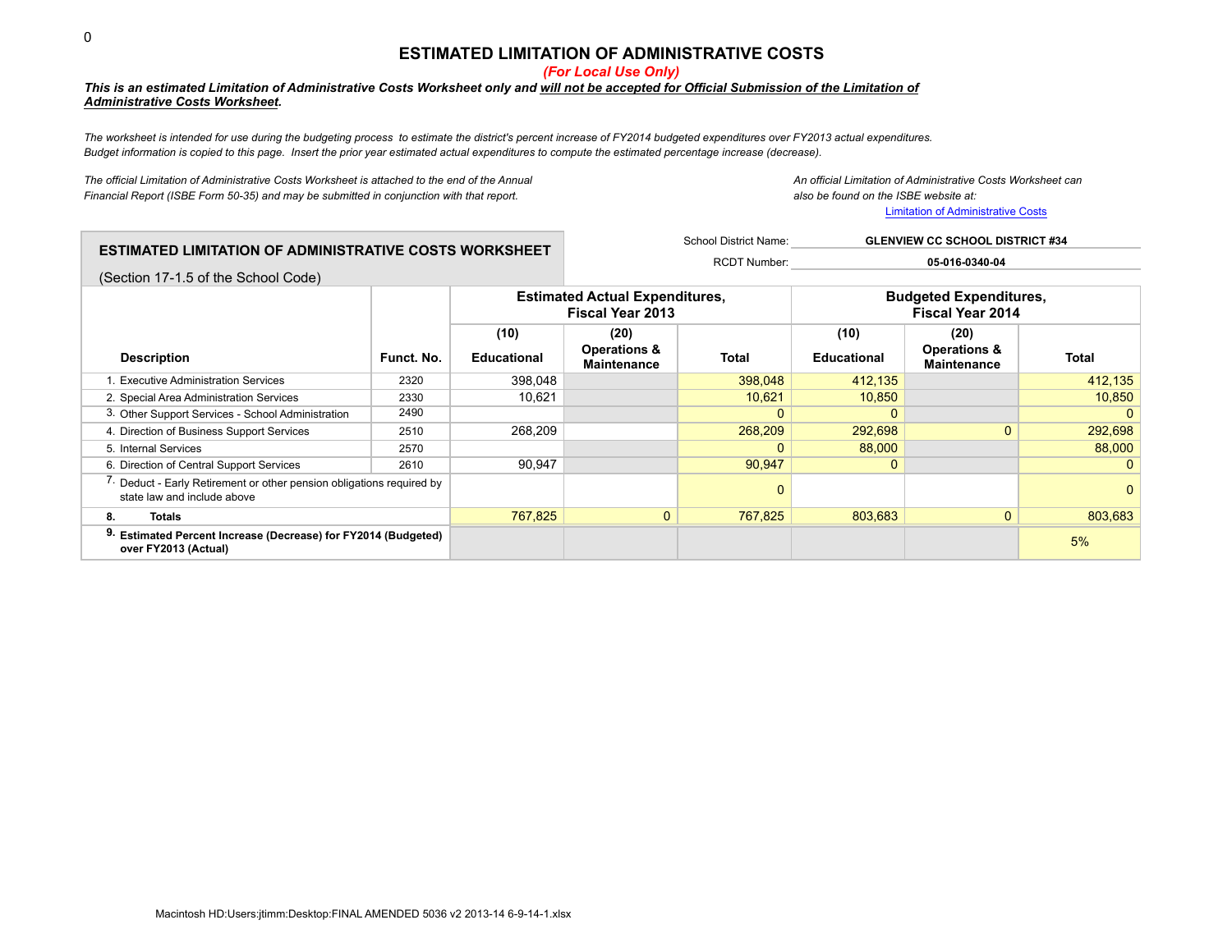## **ESTIMATED LIMITATION OF ADMINISTRATIVE COSTS**

*(For Local Use Only)*

## *This is an estimated Limitation of Administrative Costs Worksheet only and will not be accepted for Official Submission of the Limitation of Administrative Costs Worksheet.*

*The worksheet is intended for use during the budgeting process to estimate the district's percent increase of FY2014 budgeted expenditures over FY2013 actual expenditures. Budget information is copied to this page. Insert the prior year estimated actual expenditures to compute the estimated percentage increase (decrease).*

*The official Limitation of Administrative Costs Worksheet is attached to the end of the Annual An official Limitation of Administrative Costs Worksheet can Financial Report (ISBE Form 50-35) and may be submitted in conjunction with that report. also be found on the ISBE website at:*

Limitation of Administrative Costs

|                                                                                                      | <b>ESTIMATED LIMITATION OF ADMINISTRATIVE COSTS WORKSHEET</b> |                    |                                                                  | School District Name:<br><b>GLENVIEW CC SCHOOL DISTRICT #34</b> |                    |                                                          |              |  |  |
|------------------------------------------------------------------------------------------------------|---------------------------------------------------------------|--------------------|------------------------------------------------------------------|-----------------------------------------------------------------|--------------------|----------------------------------------------------------|--------------|--|--|
|                                                                                                      |                                                               |                    |                                                                  | <b>RCDT Number:</b>                                             |                    | 05-016-0340-04                                           |              |  |  |
| (Section 17-1.5 of the School Code)                                                                  |                                                               |                    |                                                                  |                                                                 |                    |                                                          |              |  |  |
|                                                                                                      |                                                               |                    | <b>Estimated Actual Expenditures,</b><br><b>Fiscal Year 2013</b> |                                                                 |                    | <b>Budgeted Expenditures,</b><br><b>Fiscal Year 2014</b> |              |  |  |
|                                                                                                      |                                                               | (10)               | (20)                                                             |                                                                 | (10)               | (20)                                                     |              |  |  |
| <b>Description</b>                                                                                   | Funct. No.                                                    | <b>Educational</b> | <b>Operations &amp;</b><br><b>Maintenance</b>                    | <b>Total</b>                                                    | <b>Educational</b> | <b>Operations &amp;</b><br><b>Maintenance</b>            | <b>Total</b> |  |  |
| <b>Executive Administration Services</b>                                                             | 2320                                                          | 398,048            |                                                                  | 398,048                                                         | 412,135            |                                                          | 412,135      |  |  |
| 2. Special Area Administration Services                                                              | 2330                                                          | 10,621             |                                                                  | 10,621                                                          | 10,850             |                                                          | 10,850       |  |  |
| 3. Other Support Services - School Administration                                                    | 2490                                                          |                    |                                                                  | $\Omega$                                                        | 0                  |                                                          |              |  |  |
| 4. Direction of Business Support Services                                                            | 2510                                                          | 268,209            |                                                                  | 268,209                                                         | 292,698            | $\Omega$                                                 | 292,698      |  |  |
| 5. Internal Services                                                                                 | 2570                                                          |                    |                                                                  | 0                                                               | 88,000             |                                                          | 88,000       |  |  |
| 6. Direction of Central Support Services                                                             | 2610                                                          | 90.947             |                                                                  | 90,947                                                          | 0                  |                                                          |              |  |  |
| 7. Deduct - Early Retirement or other pension obligations required by<br>state law and include above |                                                               |                    |                                                                  | 0                                                               |                    |                                                          | O            |  |  |
| <b>Totals</b><br>8.                                                                                  |                                                               | 767,825            | $\Omega$                                                         | 767,825                                                         | 803.683            | $\Omega$                                                 | 803,683      |  |  |
| Estimated Percent Increase (Decrease) for FY2014 (Budgeted)<br>over FY2013 (Actual)                  |                                                               |                    |                                                                  |                                                                 |                    |                                                          | 5%           |  |  |

0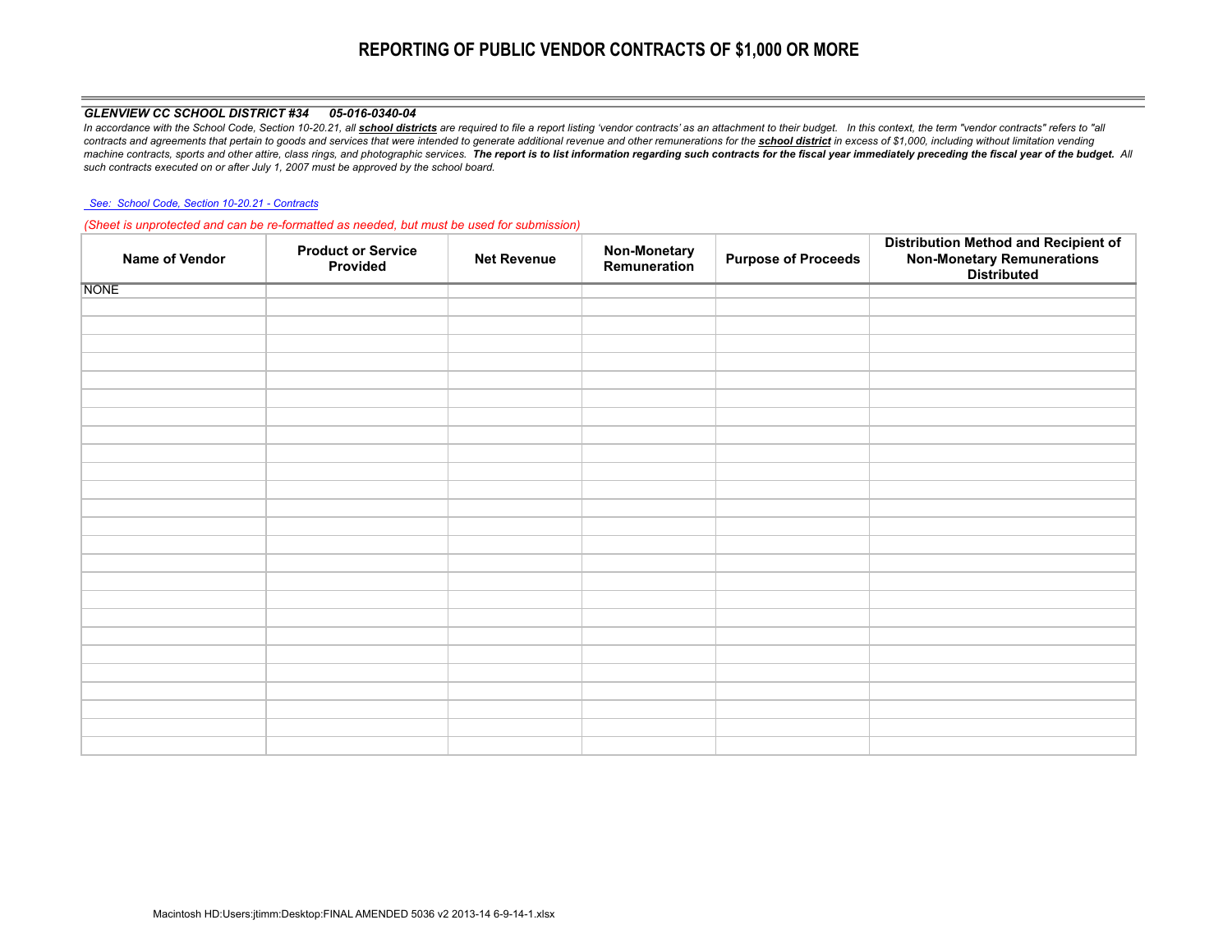# **REPORTING OF PUBLIC VENDOR CONTRACTS OF \$1,000 OR MORE**

### *GLENVIEW CC SCHOOL DISTRICT #34 05-016-0340-04*

In accordance with the School Code, Section 10-20.21, all school districts are required to file a report listing 'vendor contracts' as an attachment to their budget. In this context, the term "vendor contracts" refers to " contracts and agreements that pertain to goods and services that were intended to generate additional revenue and other remunerations for the school district in excess of \$1,000, including without limitation vending machine contracts, sports and other attire, class rings, and photographic services. The report is to list information regarding such contracts for the fiscal year immediately preceding the fiscal year of the budget. All *such contracts executed on or after July 1, 2007 must be approved by the school board.*

#### *See: School Code, Section 10-20.21 - Contracts*

*(Sheet is unprotected and can be re-formatted as needed, but must be used for submission)*

| Name of Vendor | <b>Product or Service</b><br>Provided | <b>Net Revenue</b> | <b>Non-Monetary</b><br>Remuneration | <b>Purpose of Proceeds</b> | Distribution Method and Recipient of<br>Non-Monetary Remunerations<br>Distributed |
|----------------|---------------------------------------|--------------------|-------------------------------------|----------------------------|-----------------------------------------------------------------------------------|
| <b>NONE</b>    |                                       |                    |                                     |                            |                                                                                   |
|                |                                       |                    |                                     |                            |                                                                                   |
|                |                                       |                    |                                     |                            |                                                                                   |
|                |                                       |                    |                                     |                            |                                                                                   |
|                |                                       |                    |                                     |                            |                                                                                   |
|                |                                       |                    |                                     |                            |                                                                                   |
|                |                                       |                    |                                     |                            |                                                                                   |
|                |                                       |                    |                                     |                            |                                                                                   |
|                |                                       |                    |                                     |                            |                                                                                   |
|                |                                       |                    |                                     |                            |                                                                                   |
|                |                                       |                    |                                     |                            |                                                                                   |
|                |                                       |                    |                                     |                            |                                                                                   |
|                |                                       |                    |                                     |                            |                                                                                   |
|                |                                       |                    |                                     |                            |                                                                                   |
|                |                                       |                    |                                     |                            |                                                                                   |
|                |                                       |                    |                                     |                            |                                                                                   |
|                |                                       |                    |                                     |                            |                                                                                   |
|                |                                       |                    |                                     |                            |                                                                                   |
|                |                                       |                    |                                     |                            |                                                                                   |
|                |                                       |                    |                                     |                            |                                                                                   |
|                |                                       |                    |                                     |                            |                                                                                   |
|                |                                       |                    |                                     |                            |                                                                                   |
|                |                                       |                    |                                     |                            |                                                                                   |
|                |                                       |                    |                                     |                            |                                                                                   |
|                |                                       |                    |                                     |                            |                                                                                   |
|                |                                       |                    |                                     |                            |                                                                                   |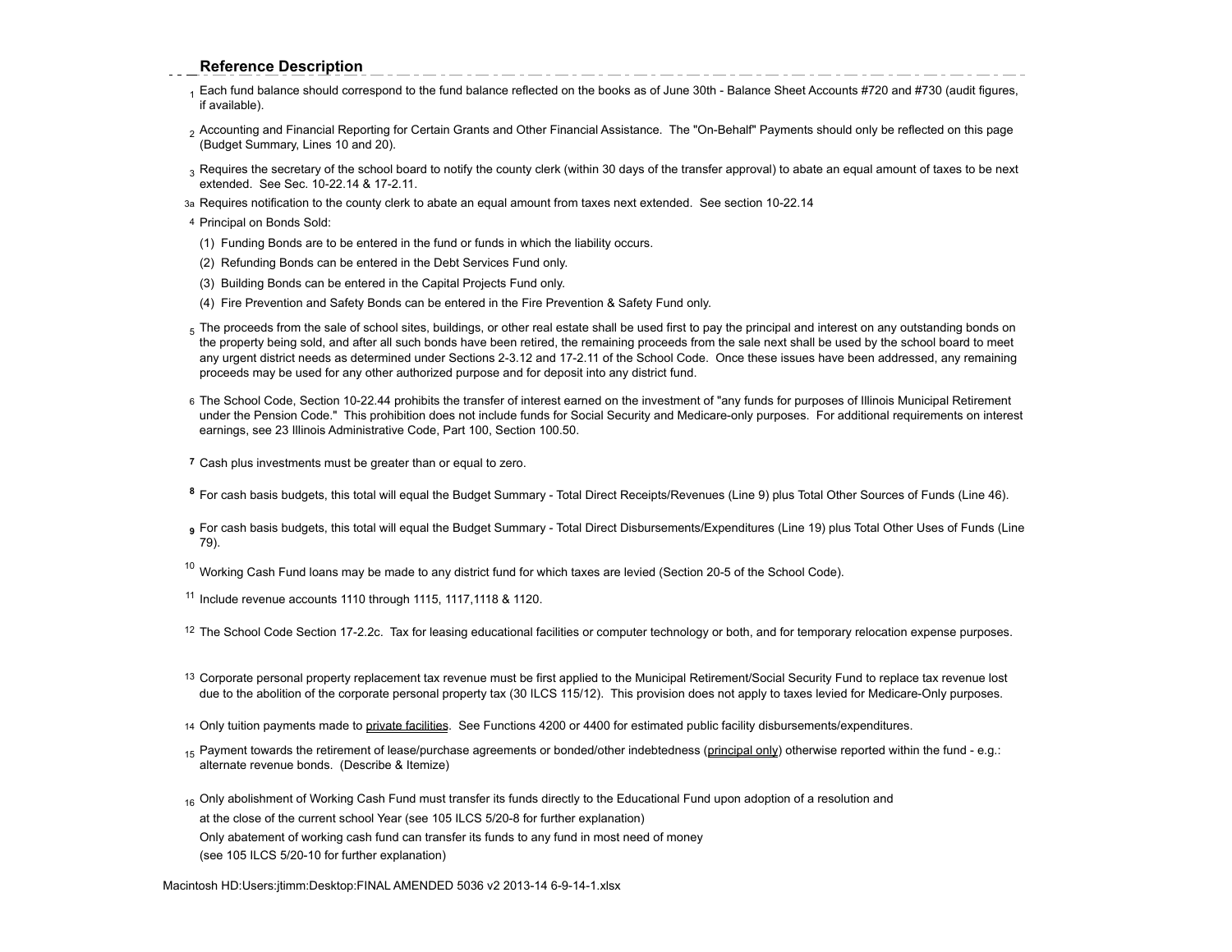## **Reference Description**

- 1 Each fund balance should correspond to the fund balance reflected on the books as of June 30th Balance Sheet Accounts #720 and #730 (audit figures, if available).
- <sup>2</sup> Accounting and Financial Reporting for Certain Grants and Other Financial Assistance. The "On-Behalf" Payments should only be reflected on this page (Budget Summary, Lines 10 and 20).
- 3 Requires the secretary of the school board to notify the county clerk (within 30 days of the transfer approval) to abate an equal amount of taxes to be next extended. See Sec. 10-22.14 & 17-2.11.
- 3a Requires notification to the county clerk to abate an equal amount from taxes next extended. See section 10-22.14
- 4 Principal on Bonds Sold:
- (1) Funding Bonds are to be entered in the fund or funds in which the liability occurs.
- (2) Refunding Bonds can be entered in the Debt Services Fund only.
- (3) Building Bonds can be entered in the Capital Projects Fund only.
- (4) Fire Prevention and Safety Bonds can be entered in the Fire Prevention & Safety Fund only.
- 5 The proceeds from the sale of school sites, buildings, or other real estate shall be used first to pay the principal and interest on any outstanding bonds on the property being sold, and after all such bonds have been retired, the remaining proceeds from the sale next shall be used by the school board to meet any urgent district needs as determined under Sections 2-3.12 and 17-2.11 of the School Code. Once these issues have been addressed, any remaining proceeds may be used for any other authorized purpose and for deposit into any district fund.
- 6 The School Code, Section 10-22.44 prohibits the transfer of interest earned on the investment of "any funds for purposes of Illinois Municipal Retirement under the Pension Code." This prohibition does not include funds for Social Security and Medicare-only purposes. For additional requirements on interest earnings, see 23 Illinois Administrative Code, Part 100, Section 100.50.
- **7** Cash plus investments must be greater than or equal to zero.
- **<sup>8</sup>** For cash basis budgets, this total will equal the Budget Summary Total Direct Receipts/Revenues (Line 9) plus Total Other Sources of Funds (Line 46).
- **<sup>9</sup>** For cash basis budgets, this total will equal the Budget Summary Total Direct Disbursements/Expenditures (Line 19) plus Total Other Uses of Funds (Line 79).
- $10$  Working Cash Fund loans may be made to any district fund for which taxes are levied (Section 20-5 of the School Code).
- <sup>11</sup> Include revenue accounts 1110 through 1115, 1117,1118 & 1120.
- <sup>12</sup> The School Code Section 17-2.2c. Tax for leasing educational facilities or computer technology or both, and for temporary relocation expense purposes.
- 13 Corporate personal property replacement tax revenue must be first applied to the Municipal Retirement/Social Security Fund to replace tax revenue lost due to the abolition of the corporate personal property tax (30 ILCS 115/12). This provision does not apply to taxes levied for Medicare-Only purposes.
- 14 Only tuition payments made to private facilities. See Functions 4200 or 4400 for estimated public facility disbursements/expenditures.
- <sub>15</sub> Payment towards the retirement of lease/purchase agreements or bonded/other indebtedness (principal only) otherwise reported within the fund e.g.: alternate revenue bonds. (Describe & Itemize)
- 16 Only abolishment of Working Cash Fund must transfer its funds directly to the Educational Fund upon adoption of a resolution and at the close of the current school Year (see 105 ILCS 5/20-8 for further explanation) Only abatement of working cash fund can transfer its funds to any fund in most need of money (see 105 ILCS 5/20-10 for further explanation)

Macintosh HD:Users:jtimm:Desktop:FINAL AMENDED 5036 v2 2013-14 6-9-14-1.xlsx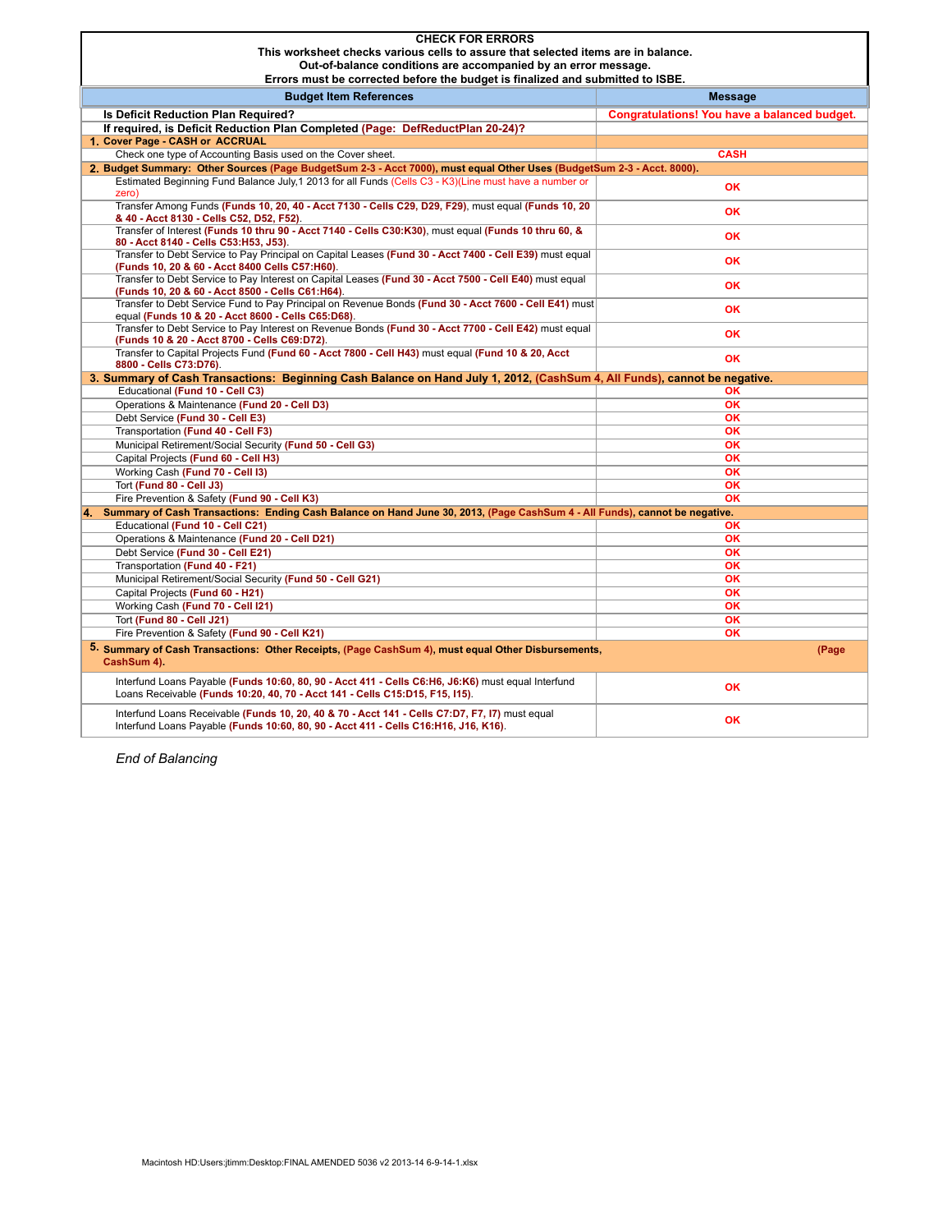| <b>CHECK FOR ERRORS</b>                                                                                                                                                               |                                              |  |  |  |  |  |
|---------------------------------------------------------------------------------------------------------------------------------------------------------------------------------------|----------------------------------------------|--|--|--|--|--|
|                                                                                                                                                                                       |                                              |  |  |  |  |  |
| This worksheet checks various cells to assure that selected items are in balance.                                                                                                     |                                              |  |  |  |  |  |
| Out-of-balance conditions are accompanied by an error message.                                                                                                                        |                                              |  |  |  |  |  |
| Errors must be corrected before the budget is finalized and submitted to ISBE.                                                                                                        |                                              |  |  |  |  |  |
| <b>Budget Item References</b>                                                                                                                                                         | <b>Message</b>                               |  |  |  |  |  |
| Is Deficit Reduction Plan Required?                                                                                                                                                   | Congratulations! You have a balanced budget. |  |  |  |  |  |
| If required, is Deficit Reduction Plan Completed (Page: DefReductPlan 20-24)?                                                                                                         |                                              |  |  |  |  |  |
| 1. Cover Page - CASH or ACCRUAL                                                                                                                                                       |                                              |  |  |  |  |  |
| Check one type of Accounting Basis used on the Cover sheet.                                                                                                                           | <b>CASH</b>                                  |  |  |  |  |  |
| 2. Budget Summary: Other Sources (Page BudgetSum 2-3 - Acct 7000), must equal Other Uses (BudgetSum 2-3 - Acct. 8000).                                                                |                                              |  |  |  |  |  |
| Estimated Beginning Fund Balance July, 1 2013 for all Funds (Cells C3 - K3)(Line must have a number or                                                                                |                                              |  |  |  |  |  |
| zero)                                                                                                                                                                                 | <b>OK</b>                                    |  |  |  |  |  |
| Transfer Among Funds (Funds 10, 20, 40 - Acct 7130 - Cells C29, D29, F29), must equal (Funds 10, 20                                                                                   | OK                                           |  |  |  |  |  |
| & 40 - Acct 8130 - Cells C52, D52, F52).                                                                                                                                              |                                              |  |  |  |  |  |
| Transfer of Interest (Funds 10 thru 90 - Acct 7140 - Cells C30:K30), must equal (Funds 10 thru 60, &                                                                                  | OK                                           |  |  |  |  |  |
| 80 - Acct 8140 - Cells C53:H53, J53).                                                                                                                                                 |                                              |  |  |  |  |  |
| Transfer to Debt Service to Pay Principal on Capital Leases (Fund 30 - Acct 7400 - Cell E39) must equal                                                                               | <b>OK</b>                                    |  |  |  |  |  |
| (Funds 10, 20 & 60 - Acct 8400 Cells C57:H60).                                                                                                                                        |                                              |  |  |  |  |  |
| Transfer to Debt Service to Pay Interest on Capital Leases (Fund 30 - Acct 7500 - Cell E40) must equal                                                                                | <b>OK</b>                                    |  |  |  |  |  |
| (Funds 10, 20 & 60 - Acct 8500 - Cells C61:H64).<br>Transfer to Debt Service Fund to Pay Principal on Revenue Bonds (Fund 30 - Acct 7600 - Cell E41) must                             |                                              |  |  |  |  |  |
| equal (Funds 10 & 20 - Acct 8600 - Cells C65:D68).                                                                                                                                    | <b>OK</b>                                    |  |  |  |  |  |
| Transfer to Debt Service to Pay Interest on Revenue Bonds (Fund 30 - Acct 7700 - Cell E42) must equal                                                                                 |                                              |  |  |  |  |  |
| (Funds 10 & 20 - Acct 8700 - Cells C69:D72).                                                                                                                                          | OK                                           |  |  |  |  |  |
| Transfer to Capital Projects Fund (Fund 60 - Acct 7800 - Cell H43) must equal (Fund 10 & 20, Acct                                                                                     |                                              |  |  |  |  |  |
| 8800 - Cells C73:D76).                                                                                                                                                                | <b>OK</b>                                    |  |  |  |  |  |
| 3. Summary of Cash Transactions: Beginning Cash Balance on Hand July 1, 2012, (CashSum 4, All Funds), cannot be negative.                                                             |                                              |  |  |  |  |  |
| Educational (Fund 10 - Cell C3)                                                                                                                                                       | OK                                           |  |  |  |  |  |
| Operations & Maintenance (Fund 20 - Cell D3)                                                                                                                                          | <b>OK</b>                                    |  |  |  |  |  |
| Debt Service (Fund 30 - Cell E3)                                                                                                                                                      | <b>OK</b>                                    |  |  |  |  |  |
| Transportation (Fund 40 - Cell F3)                                                                                                                                                    | <b>OK</b>                                    |  |  |  |  |  |
| Municipal Retirement/Social Security (Fund 50 - Cell G3)                                                                                                                              | OK                                           |  |  |  |  |  |
| Capital Projects (Fund 60 - Cell H3)                                                                                                                                                  | OK                                           |  |  |  |  |  |
| Working Cash (Fund 70 - Cell I3)                                                                                                                                                      | <b>OK</b>                                    |  |  |  |  |  |
| Tort (Fund 80 - Cell J3)                                                                                                                                                              | OK                                           |  |  |  |  |  |
| Fire Prevention & Safety (Fund 90 - Cell K3)                                                                                                                                          | OK                                           |  |  |  |  |  |
| 4. Summary of Cash Transactions: Ending Cash Balance on Hand June 30, 2013, (Page CashSum 4 - All Funds), cannot be negative.                                                         |                                              |  |  |  |  |  |
| Educational (Fund 10 - Cell C21)                                                                                                                                                      | <b>OK</b>                                    |  |  |  |  |  |
| Operations & Maintenance (Fund 20 - Cell D21)                                                                                                                                         | <b>OK</b>                                    |  |  |  |  |  |
| Debt Service (Fund 30 - Cell E21)                                                                                                                                                     | OK                                           |  |  |  |  |  |
|                                                                                                                                                                                       |                                              |  |  |  |  |  |
| Transportation (Fund 40 - F21)                                                                                                                                                        | <b>OK</b>                                    |  |  |  |  |  |
| Municipal Retirement/Social Security (Fund 50 - Cell G21)                                                                                                                             | OK                                           |  |  |  |  |  |
| Capital Projects (Fund 60 - H21)                                                                                                                                                      | <b>OK</b>                                    |  |  |  |  |  |
| Working Cash (Fund 70 - Cell I21)                                                                                                                                                     | <b>OK</b>                                    |  |  |  |  |  |
| Tort (Fund 80 - Cell J21)                                                                                                                                                             | OK                                           |  |  |  |  |  |
| Fire Prevention & Safety (Fund 90 - Cell K21)                                                                                                                                         | OK                                           |  |  |  |  |  |
| 5. Summary of Cash Transactions: Other Receipts, (Page CashSum 4), must equal Other Disbursements,<br>CashSum 4).                                                                     | (Page                                        |  |  |  |  |  |
| Interfund Loans Payable (Funds 10:60, 80, 90 - Acct 411 - Cells C6:H6, J6:K6) must equal Interfund<br>Loans Receivable (Funds 10:20, 40, 70 - Acct 141 - Cells C15:D15, F15, I15).    | OK                                           |  |  |  |  |  |
| Interfund Loans Receivable (Funds 10, 20, 40 & 70 - Acct 141 - Cells C7:D7, F7, I7) must equal<br>Interfund Loans Payable (Funds 10:60, 80, 90 - Acct 411 - Cells C16:H16, J16, K16). | OK                                           |  |  |  |  |  |

*End of Balancing*